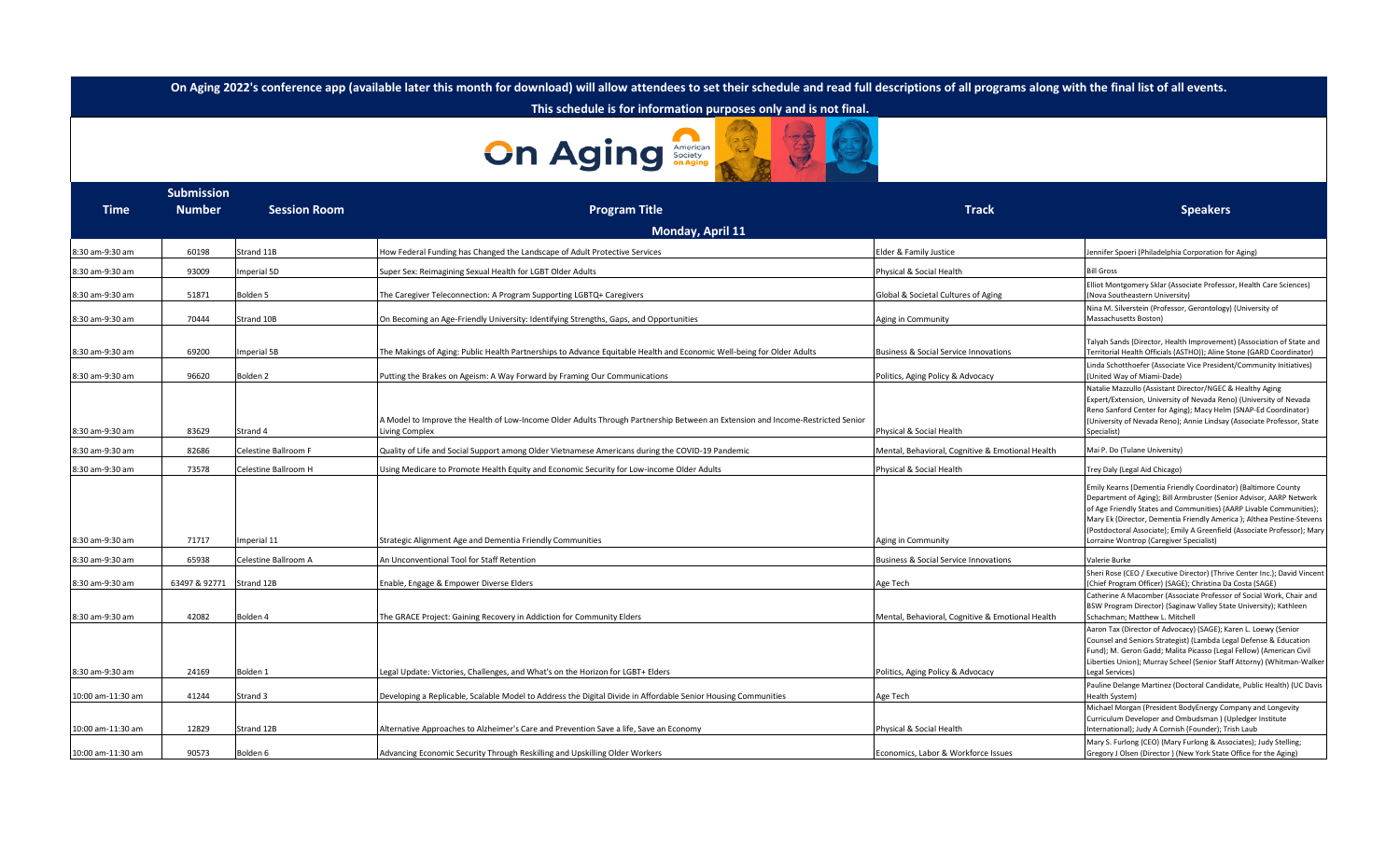**On Aging 2022's conference app (available later this month for download) will allow attendees to set their schedule and read full descriptions of all programs along with the final list of all events.**

 **This schedule is for information purposes only and is not final.**

## **On Aging Strategy**

| <b>Submission</b> |               |                      |                                                                                                                                                  |                                                  |                                                                                                                                                                                                                                                                                                                                                                                                              |
|-------------------|---------------|----------------------|--------------------------------------------------------------------------------------------------------------------------------------------------|--------------------------------------------------|--------------------------------------------------------------------------------------------------------------------------------------------------------------------------------------------------------------------------------------------------------------------------------------------------------------------------------------------------------------------------------------------------------------|
| <b>Time</b>       | <b>Number</b> | <b>Session Room</b>  | <b>Program Title</b>                                                                                                                             | Track                                            | <b>Speakers</b>                                                                                                                                                                                                                                                                                                                                                                                              |
|                   |               |                      | Monday, April 11                                                                                                                                 |                                                  |                                                                                                                                                                                                                                                                                                                                                                                                              |
| 8:30 am-9:30 am   | 60198         | Strand 11B           | How Federal Funding has Changed the Landscape of Adult Protective Services                                                                       | Elder & Family Justice                           | ennifer Spoeri (Philadelphia Corporation for Aging)                                                                                                                                                                                                                                                                                                                                                          |
| 8:30 am-9:30 am   | 93009         | mperial 5D           | Super Sex: Reimagining Sexual Health for LGBT Older Adults                                                                                       | Physical & Social Health                         | <b>Bill Gross</b>                                                                                                                                                                                                                                                                                                                                                                                            |
| 8:30 am-9:30 am   | 51871         | Bolden 5             | The Caregiver Teleconnection: A Program Supporting LGBTQ+ Caregivers                                                                             | Global & Societal Cultures of Aging              | Elliot Montgomery Sklar (Associate Professor, Health Care Sciences)<br>(Nova Southeastern University)                                                                                                                                                                                                                                                                                                        |
| 8:30 am-9:30 am   | 70444         | Strand 10B           | On Becoming an Age-Friendly University: Identifying Strengths, Gaps, and Opportunities                                                           | Aging in Community                               | Nina M. Silverstein (Professor, Gerontology) (University of<br>Massachusetts Boston)                                                                                                                                                                                                                                                                                                                         |
| 8:30 am-9:30 am   | 69200         | mperial 5B           | The Makings of Aging: Public Health Partnerships to Advance Equitable Health and Economic Well-being for Older Adults                            | Business & Social Service Innovations            | Talyah Sands (Director, Health Improvement) (Association of State and<br>Territorial Health Officials (ASTHO)); Aline Stone (GARD Coordinator)                                                                                                                                                                                                                                                               |
| 8:30 am-9:30 am   | 96620         | Bolden <sub>2</sub>  | Putting the Brakes on Ageism: A Way Forward by Framing Our Communications                                                                        | Politics, Aging Policy & Advocacy                | Linda Schotthoefer (Associate Vice President/Community Initiatives)<br>(United Way of Miami-Dade)                                                                                                                                                                                                                                                                                                            |
| 8:30 am-9:30 am   | 83629         | Strand 4             | A Model to Improve the Health of Low-Income Older Adults Through Partnership Between an Extension and Income-Restricted Senior<br>Living Complex | Physical & Social Health                         | Natalie Mazzullo (Assistant Director/NGEC & Healthy Aging<br>Expert/Extension, University of Nevada Reno) (University of Nevada<br>Reno Sanford Center for Aging); Macy Helm (SNAP-Ed Coordinator)<br>(University of Nevada Reno); Annie Lindsay (Associate Professor, State<br>Specialist)                                                                                                                  |
| 8:30 am-9:30 am   | 82686         | Celestine Ballroom F | Quality of Life and Social Support among Older Vietnamese Americans during the COVID-19 Pandemic                                                 | Mental, Behavioral, Cognitive & Emotional Health | Mai P. Do (Tulane University)                                                                                                                                                                                                                                                                                                                                                                                |
| 8:30 am-9:30 am   | 73578         | Celestine Ballroom H | Using Medicare to Promote Health Equity and Economic Security for Low-income Older Adults                                                        | Physical & Social Health                         | Frey Daly (Legal Aid Chicago)                                                                                                                                                                                                                                                                                                                                                                                |
| 8:30 am-9:30 am   | 71717         | mperial 11           | Strategic Alignment Age and Dementia Friendly Communities                                                                                        | Aging in Community                               | Emily Kearns (Dementia Friendly Coordinator) (Baltimore County<br>Department of Aging); Bill Armbruster (Senior Advisor, AARP Network<br>of Age Friendly States and Communities) (AARP Livable Communities);<br>Mary Ek (Director, Dementia Friendly America); Althea Pestine-Stevens<br>(Postdoctoral Associate); Emily A Greenfield (Associate Professor); Mary<br>Lorraine Wontrop (Caregiver Specialist) |
| 8:30 am-9:30 am   | 65938         | Celestine Ballroom A | An Unconventional Tool for Staff Retention                                                                                                       | <b>Business &amp; Social Service Innovations</b> | Valerie Burke                                                                                                                                                                                                                                                                                                                                                                                                |
| 8:30 am-9:30 am   | 63497 & 92771 | Strand 12B           | Enable, Engage & Empower Diverse Elders                                                                                                          | Age Tech                                         | Sheri Rose (CEO / Executive Director) (Thrive Center Inc.); David Vincent<br>(Chief Program Officer) (SAGE); Christina Da Costa (SAGE)                                                                                                                                                                                                                                                                       |
| 8:30 am-9:30 am   | 42082         | Bolden 4             | The GRACE Project: Gaining Recovery in Addiction for Community Elders                                                                            | Mental, Behavioral, Cognitive & Emotional Health | Catherine A Macomber (Associate Professor of Social Work, Chair and<br>BSW Program Director) (Saginaw Valley State University); Kathleen<br>Schachman; Matthew L. Mitchell                                                                                                                                                                                                                                   |
| 8:30 am-9:30 am   | 24169         | Bolden 1             | Legal Update: Victories, Challenges, and What's on the Horizon for LGBT+ Elders                                                                  | Politics, Aging Policy & Advocacy                | Aaron Tax (Director of Advocacy) (SAGE); Karen L. Loewy (Senior<br>Counsel and Seniors Strategist) (Lambda Legal Defense & Education<br>Fund); M. Geron Gadd; Malita Picasso (Legal Fellow) (American Civil<br>Liberties Union); Murray Scheel (Senior Staff Attorny) (Whitman-Walker<br>Legal Services)                                                                                                     |
| 10:00 am-11:30 am | 41244         | Strand 3             | Developing a Replicable, Scalable Model to Address the Digital Divide in Affordable Senior Housing Communities                                   | Age Tech                                         | Pauline Delange Martinez (Doctoral Candidate, Public Health) (UC Davis<br>Health System)                                                                                                                                                                                                                                                                                                                     |
| 10:00 am-11:30 am | 12829         | Strand 12B           | Alternative Approaches to Alzheimer's Care and Prevention Save a life, Save an Economy                                                           | Physical & Social Health                         | Michael Morgan (President BodyEnergy Company and Longevity<br>Curriculum Developer and Ombudsman ) (Upledger Institute<br>International); Judy A Cornish (Founder); Trish Laub                                                                                                                                                                                                                               |
| 10:00 am-11:30 am | 90573         | Bolden 6             | Advancing Economic Security Through Reskilling and Upskilling Older Workers                                                                      | Economics, Labor & Workforce Issues              | Mary S. Furlong (CEO) (Mary Furlong & Associates); Judy Stelling;<br>Gregory J Olsen (Director) (New York State Office for the Aging)                                                                                                                                                                                                                                                                        |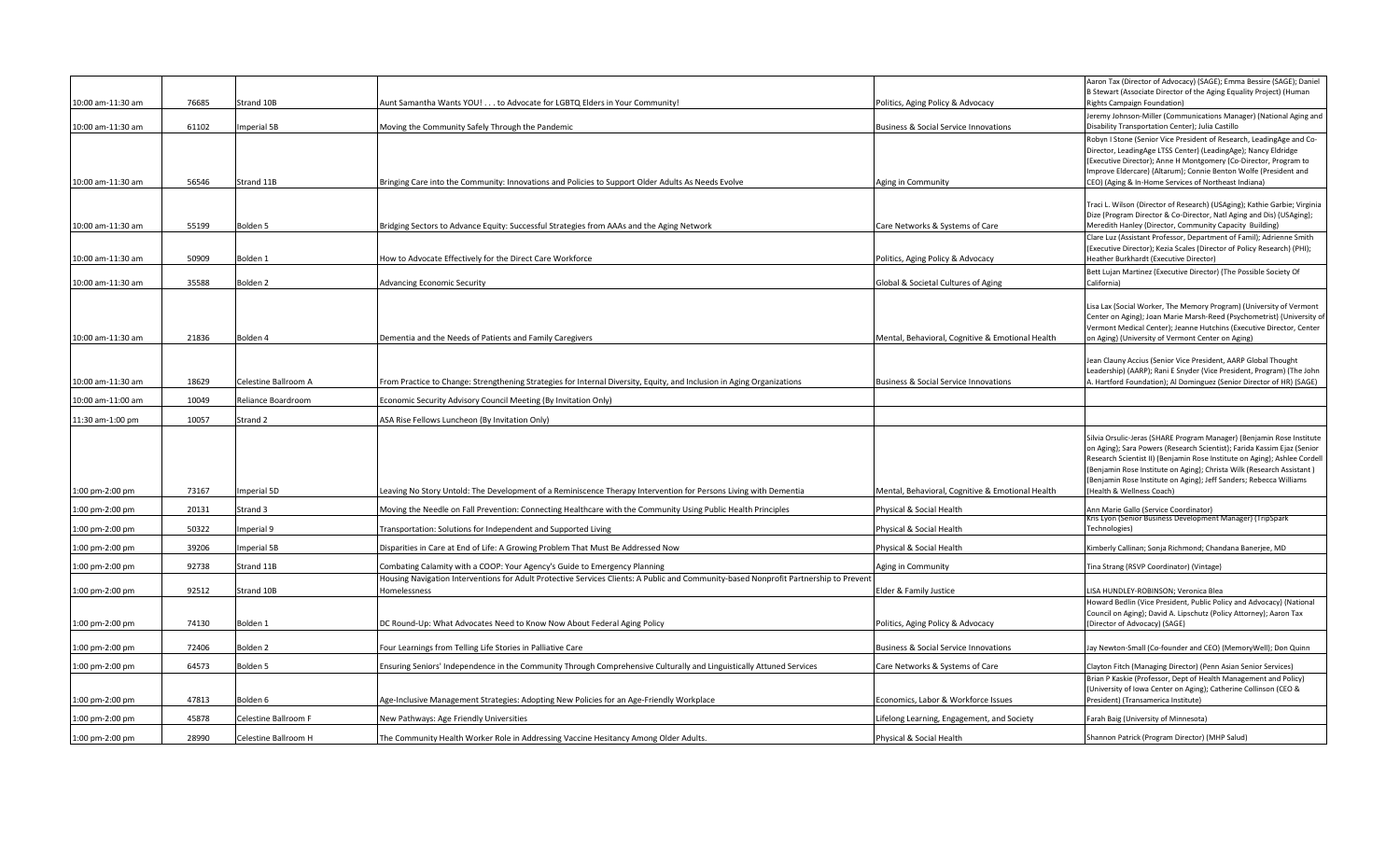| 10:00 am-11:30 am | 76685 | Strand 10B           | Aunt Samantha Wants YOU! to Advocate for LGBTQ Elders in Your Community!                                                                              | Politics, Aging Policy & Advocacy                | Aaron Tax (Director of Advocacy) (SAGE); Emma Bessire (SAGE); Daniel<br>B Stewart (Associate Director of the Aging Equality Project) (Human<br><b>Rights Campaign Foundation)</b>                                                                                                                                                                                                                         |
|-------------------|-------|----------------------|-------------------------------------------------------------------------------------------------------------------------------------------------------|--------------------------------------------------|-----------------------------------------------------------------------------------------------------------------------------------------------------------------------------------------------------------------------------------------------------------------------------------------------------------------------------------------------------------------------------------------------------------|
| 10:00 am-11:30 am | 61102 | mperial 5B           | Moving the Community Safely Through the Pandemic                                                                                                      | <b>Business &amp; Social Service Innovations</b> | Jeremy Johnson-Miller (Communications Manager) (National Aging and<br>Disability Transportation Center); Julia Castillo                                                                                                                                                                                                                                                                                   |
| 10:00 am-11:30 am | 56546 | Strand 11B           | Bringing Care into the Community: Innovations and Policies to Support Older Adults As Needs Evolve                                                    | Aging in Community                               | Robyn I Stone (Senior Vice President of Research, LeadingAge and Co-<br>Director, LeadingAge LTSS Center) (LeadingAge); Nancy Eldridge<br>(Executive Director); Anne H Montgomery (Co-Director, Program to<br>Improve Eldercare) (Altarum); Connie Benton Wolfe (President and<br>CEO) (Aging & In-Home Services of Northeast Indiana)                                                                    |
| 10:00 am-11:30 am | 55199 | Bolden 5             | Bridging Sectors to Advance Equity: Successful Strategies from AAAs and the Aging Network                                                             | Care Networks & Systems of Care                  | Traci L. Wilson (Director of Research) (USAging); Kathie Garbie; Virginia<br>Dize (Program Director & Co-Director, Natl Aging and Dis) (USAging);<br>Meredith Hanley (Director, Community Capacity Building)                                                                                                                                                                                              |
| 10:00 am-11:30 am | 50909 | Bolden 1             | How to Advocate Effectively for the Direct Care Workforce                                                                                             | Politics, Aging Policy & Advocacy                | Clare Luz (Assistant Professor, Department of Famil); Adrienne Smith<br>(Executive Director); Kezia Scales (Director of Policy Research) (PHI);<br>Heather Burkhardt (Executive Director)                                                                                                                                                                                                                 |
| 10:00 am-11:30 am | 35588 | Bolden <sub>2</sub>  | <b>Advancing Economic Security</b>                                                                                                                    | Global & Societal Cultures of Aging              | Bett Lujan Martinez (Executive Director) (The Possible Society Of<br>California)                                                                                                                                                                                                                                                                                                                          |
| 10:00 am-11:30 am | 21836 | Bolden 4             | Dementia and the Needs of Patients and Family Caregivers                                                                                              | Mental, Behavioral, Cognitive & Emotional Health | Lisa Lax (Social Worker, The Memory Program) (University of Vermont<br>Center on Aging); Joan Marie Marsh-Reed (Psychometrist) (University of<br>Vermont Medical Center); Jeanne Hutchins (Executive Director, Center<br>on Aging) (University of Vermont Center on Aging)                                                                                                                                |
| 10:00 am-11:30 am | 18629 | Celestine Ballroom A | From Practice to Change: Strengthening Strategies for Internal Diversity, Equity, and Inclusion in Aging Organizations                                | <b>Business &amp; Social Service Innovations</b> | Jean Clauny Accius (Senior Vice President, AARP Global Thought<br>Leadership) (AARP); Rani E Snyder (Vice President, Program) (The John<br>A. Hartford Foundation); Al Dominguez (Senior Director of HR) (SAGE)                                                                                                                                                                                           |
| 10:00 am-11:00 am | 10049 | Reliance Boardroom   | Economic Security Advisory Council Meeting (By Invitation Only)                                                                                       |                                                  |                                                                                                                                                                                                                                                                                                                                                                                                           |
| 11:30 am-1:00 pm  | 10057 | Strand 2             | ASA Rise Fellows Luncheon (By Invitation Only)                                                                                                        |                                                  |                                                                                                                                                                                                                                                                                                                                                                                                           |
| 1:00 pm-2:00 pm   | 73167 | mperial 5D           | Leaving No Story Untold: The Development of a Reminiscence Therapy Intervention for Persons Living with Dementia                                      | Mental, Behavioral, Cognitive & Emotional Health | Silvia Orsulic-Jeras (SHARE Program Manager) (Benjamin Rose Institute<br>on Aging); Sara Powers (Research Scientist); Farida Kassim Ejaz (Senior<br>Research Scientist II) (Benjamin Rose Institute on Aging); Ashlee Cordell<br>(Benjamin Rose Institute on Aging); Christa Wilk (Research Assistant)<br>(Benjamin Rose Institute on Aging); Jeff Sanders; Rebecca Williams<br>(Health & Wellness Coach) |
| 1:00 pm-2:00 pm   | 20131 | Strand 3             | Moving the Needle on Fall Prevention: Connecting Healthcare with the Community Using Public Health Principles                                         | Physical & Social Health                         | Ann Marie Gallo (Service Coordinator)                                                                                                                                                                                                                                                                                                                                                                     |
| 1:00 pm-2:00 pm   | 50322 | mperial 9            | Fransportation: Solutions for Independent and Supported Living                                                                                        | Physical & Social Health                         | Kris Lyon (Senior Business Development Manager) (TripSpark<br>Technologies)                                                                                                                                                                                                                                                                                                                               |
| 1:00 pm-2:00 pm   | 39206 | mperial 5B           | Disparities in Care at End of Life: A Growing Problem That Must Be Addressed Now                                                                      | Physical & Social Health                         | Kimberly Callinan; Sonja Richmond; Chandana Banerjee, MD                                                                                                                                                                                                                                                                                                                                                  |
| 1:00 pm-2:00 pm   | 92738 | Strand 11B           | Combating Calamity with a COOP: Your Agency's Guide to Emergency Planning                                                                             | Aging in Community                               | Tina Strang (RSVP Coordinator) (Vintage)                                                                                                                                                                                                                                                                                                                                                                  |
| 1:00 pm-2:00 pm   | 92512 | Strand 10B           | Housing Navigation Interventions for Adult Protective Services Clients: A Public and Community-based Nonprofit Partnership to Prevent<br>Homelessness | Elder & Family Justice                           | LISA HUNDLEY-ROBINSON; Veronica Blea                                                                                                                                                                                                                                                                                                                                                                      |
| 1:00 pm-2:00 pm   | 74130 | Bolden 1             | DC Round-Up: What Advocates Need to Know Now About Federal Aging Policy                                                                               | Politics, Aging Policy & Advocacy                | Howard Bedlin (Vice President, Public Policy and Advocacy) (National<br>Council on Aging); David A. Lipschutz (Policy Attorney); Aaron Tax<br>(Director of Advocacy) (SAGE)                                                                                                                                                                                                                               |
| 1:00 pm-2:00 pm   | 72406 | Bolden 2             | Four Learnings from Telling Life Stories in Palliative Care                                                                                           | <b>Business &amp; Social Service Innovations</b> | Jay Newton-Small (Co-founder and CEO) (MemoryWell); Don Quinn                                                                                                                                                                                                                                                                                                                                             |
| 1:00 pm-2:00 pm   | 64573 | Bolden 5             | Ensuring Seniors' Independence in the Community Through Comprehensive Culturally and Linguistically Attuned Services                                  | Care Networks & Systems of Care                  | Clayton Fitch (Managing Director) (Penn Asian Senior Services)                                                                                                                                                                                                                                                                                                                                            |
| 1:00 pm-2:00 pm   | 47813 | Bolden 6             | Age-Inclusive Management Strategies: Adopting New Policies for an Age-Friendly Workplace                                                              | Economics, Labor & Workforce Issues              | Brian P Kaskie (Professor, Dept of Health Management and Policy)<br>(University of Iowa Center on Aging); Catherine Collinson (CEO &<br>President) (Transamerica Institute)                                                                                                                                                                                                                               |
| 1:00 pm-2:00 pm   | 45878 | Celestine Ballroom F | New Pathways: Age Friendly Universities                                                                                                               | Lifelong Learning, Engagement, and Society       | Farah Baig (University of Minnesota)                                                                                                                                                                                                                                                                                                                                                                      |
| 1:00 pm-2:00 pm   | 28990 | Celestine Ballroom H | The Community Health Worker Role in Addressing Vaccine Hesitancy Among Older Adults.                                                                  | Physical & Social Health                         | Shannon Patrick (Program Director) (MHP Salud)                                                                                                                                                                                                                                                                                                                                                            |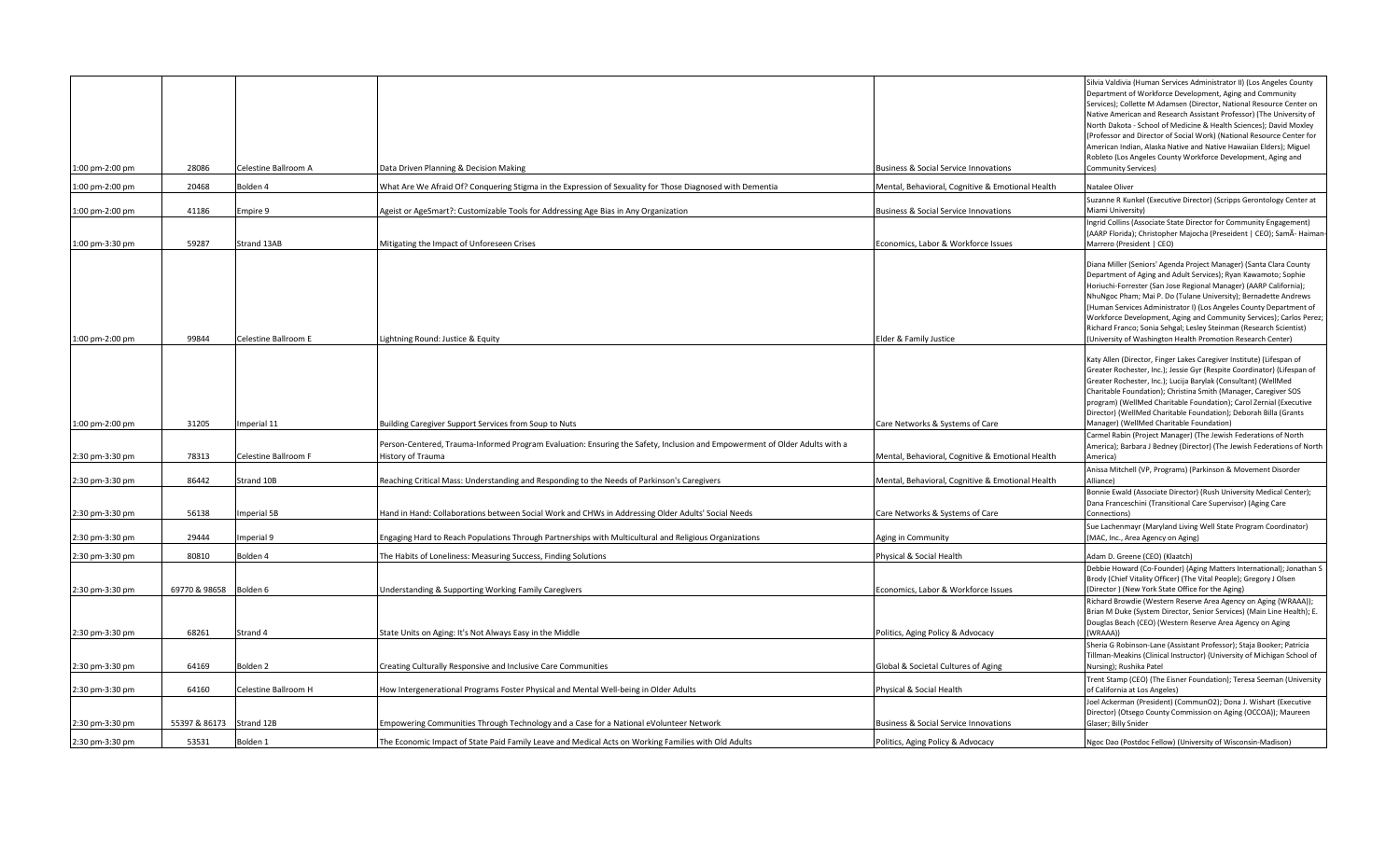| 1:00 pm-2:00 pm | 28086         | Celestine Ballroom A | Data Driven Planning & Decision Making                                                                                                          | Business & Social Service Innovations            | Silvia Valdivia (Human Services Administrator II) (Los Angeles County<br>Department of Workforce Development, Aging and Community<br>Services); Collette M Adamsen (Director, National Resource Center on<br>Native American and Research Assistant Professor) (The University of<br>North Dakota - School of Medicine & Health Sciences); David Moxley<br>Professor and Director of Social Work) (National Resource Center for<br>American Indian, Alaska Native and Native Hawaiian Elders); Miguel<br>Robleto (Los Angeles County Workforce Development, Aging and<br>Community Services) |
|-----------------|---------------|----------------------|-------------------------------------------------------------------------------------------------------------------------------------------------|--------------------------------------------------|----------------------------------------------------------------------------------------------------------------------------------------------------------------------------------------------------------------------------------------------------------------------------------------------------------------------------------------------------------------------------------------------------------------------------------------------------------------------------------------------------------------------------------------------------------------------------------------------|
| 1:00 pm-2:00 pm | 20468         | Bolden 4             | What Are We Afraid Of? Conquering Stigma in the Expression of Sexuality for Those Diagnosed with Dementia                                       | Mental, Behavioral, Cognitive & Emotional Health | Natalee Oliver                                                                                                                                                                                                                                                                                                                                                                                                                                                                                                                                                                               |
| 1:00 pm-2:00 pm | 41186         | mpire 9              | Ageist or AgeSmart?: Customizable Tools for Addressing Age Bias in Any Organization                                                             | Business & Social Service Innovations            | Suzanne R Kunkel (Executive Director) (Scripps Gerontology Center at<br>Miami University)                                                                                                                                                                                                                                                                                                                                                                                                                                                                                                    |
| 1:00 pm-3:30 pm | 59287         | Strand 13AB          | Mitigating the Impact of Unforeseen Crises                                                                                                      | Economics, Labor & Workforce Issues              | Ingrid Collins (Associate State Director for Community Engagement)<br>(AARP Florida); Christopher Majocha (Preseident   CEO); SamÃ- Haiman-<br>Marrero (President   CEO)                                                                                                                                                                                                                                                                                                                                                                                                                     |
| 1:00 pm-2:00 pm | 99844         | Celestine Ballroom E | Lightning Round: Justice & Equity                                                                                                               | Elder & Family Justice                           | Diana Miller (Seniors' Agenda Project Manager) (Santa Clara County<br>Department of Aging and Adult Services); Ryan Kawamoto; Sophie<br>Horiuchi-Forrester (San Jose Regional Manager) (AARP California);<br>NhuNgoc Pham; Mai P. Do (Tulane University); Bernadette Andrews<br>(Human Services Administrator I) (Los Angeles County Department of<br>Workforce Development, Aging and Community Services); Carlos Perez;<br>Richard Franco; Sonia Sehgal; Lesley Steinman (Research Scientist)<br>University of Washington Health Promotion Research Center)                                |
|                 |               |                      |                                                                                                                                                 |                                                  | Katy Allen (Director, Finger Lakes Caregiver Institute) (Lifespan of<br>Greater Rochester, Inc.); Jessie Gyr (Respite Coordinator) (Lifespan of<br>Greater Rochester, Inc.); Lucija Barylak (Consultant) (WellMed<br>Charitable Foundation); Christina Smith (Manager, Caregiver SOS<br>program) (WellMed Charitable Foundation); Carol Zernial (Executive<br>Director) (WellMed Charitable Foundation); Deborah Billa (Grants                                                                                                                                                               |
| 1:00 pm-2:00 pm | 31205         | Imperial 11          | Building Caregiver Support Services from Soup to Nuts                                                                                           | Care Networks & Systems of Care                  | Manager) (WellMed Charitable Foundation)<br>Carmel Rabin (Project Manager) (The Jewish Federations of North                                                                                                                                                                                                                                                                                                                                                                                                                                                                                  |
| 2:30 pm-3:30 pm | 78313         | Celestine Ballroom F | Person-Centered, Trauma-Informed Program Evaluation: Ensuring the Safety, Inclusion and Empowerment of Older Adults with a<br>History of Trauma | Mental, Behavioral, Cognitive & Emotional Health | America); Barbara J Bedney (Director) (The Jewish Federations of North<br>America)                                                                                                                                                                                                                                                                                                                                                                                                                                                                                                           |
| 2:30 pm-3:30 pm | 86442         | Strand 10B           | Reaching Critical Mass: Understanding and Responding to the Needs of Parkinson's Caregivers                                                     | Mental, Behavioral, Cognitive & Emotional Health | Anissa Mitchell (VP, Programs) (Parkinson & Movement Disorder<br>Alliance)                                                                                                                                                                                                                                                                                                                                                                                                                                                                                                                   |
| 2:30 pm-3:30 pm | 56138         | <b>Imperial 5B</b>   | Hand in Hand: Collaborations between Social Work and CHWs in Addressing Older Adults' Social Needs                                              | Care Networks & Systems of Care                  | Bonnie Ewald (Associate Director) (Rush University Medical Center);<br>Dana Franceschini (Transitional Care Supervisor) (Aging Care<br>Connections)                                                                                                                                                                                                                                                                                                                                                                                                                                          |
| 2:30 pm-3:30 pm | 29444         | mperial 9            | Engaging Hard to Reach Populations Through Partnerships with Multicultural and Religious Organizations                                          | Aging in Community                               | Sue Lachenmayr (Maryland Living Well State Program Coordinator)<br>(MAC, Inc., Area Agency on Aging)                                                                                                                                                                                                                                                                                                                                                                                                                                                                                         |
| 2:30 pm-3:30 pm | 80810         | Bolden 4             | The Habits of Loneliness: Measuring Success, Finding Solutions                                                                                  | Physical & Social Health                         | Adam D. Greene (CEO) (Klaatch)                                                                                                                                                                                                                                                                                                                                                                                                                                                                                                                                                               |
| 2:30 pm-3:30 pm | 69770 & 98658 | Bolden 6             | <b>Jnderstanding &amp; Supporting Working Family Caregivers</b>                                                                                 | Economics, Labor & Workforce Issues              | Debbie Howard (Co-Founder) (Aging Matters International); Jonathan S<br>Brody (Chief Vitality Officer) (The Vital People); Gregory J Olsen<br>(Director) (New York State Office for the Aging)                                                                                                                                                                                                                                                                                                                                                                                               |
|                 |               |                      |                                                                                                                                                 |                                                  | Richard Browdie (Western Reserve Area Agency on Aging (WRAAA));<br>Brian M Duke (System Director, Senior Services) (Main Line Health); E.<br>Douglas Beach (CEO) (Western Reserve Area Agency on Aging                                                                                                                                                                                                                                                                                                                                                                                       |
| 2:30 pm-3:30 pm | 68261         | Strand 4             | State Units on Aging: It's Not Always Easy in the Middle                                                                                        | Politics, Aging Policy & Advocacy                | (WRAAA))                                                                                                                                                                                                                                                                                                                                                                                                                                                                                                                                                                                     |
| 2:30 pm-3:30 pm | 64169         | Bolden <sub>2</sub>  | Creating Culturally Responsive and Inclusive Care Communities                                                                                   | Global & Societal Cultures of Aging              | Sheria G Robinson-Lane (Assistant Professor); Staja Booker; Patricia<br>Tillman-Meakins (Clinical Instructor) (University of Michigan School of<br>Nursing); Rushika Patel                                                                                                                                                                                                                                                                                                                                                                                                                   |
| 2:30 pm-3:30 pm | 64160         | Celestine Ballroom H | How Intergenerational Programs Foster Physical and Mental Well-being in Older Adults                                                            | Physical & Social Health                         | rent Stamp (CEO) (The Eisner Foundation); Teresa Seeman (University<br>of California at Los Angeles)                                                                                                                                                                                                                                                                                                                                                                                                                                                                                         |
| 2:30 pm-3:30 pm | 55397 & 86173 | Strand 12B           | Empowering Communities Through Technology and a Case for a National eVolunteer Network                                                          | <b>Business &amp; Social Service Innovations</b> | loel Ackerman (President) (CommunO2); Dona J. Wishart (Executive<br>Director) (Otsego County Commission on Aging (OCCOA)); Maureen<br>Glaser; Billy Snider                                                                                                                                                                                                                                                                                                                                                                                                                                   |
| 2:30 pm-3:30 pm | 53531         | Bolden 1             | The Economic Impact of State Paid Family Leave and Medical Acts on Working Families with Old Adults                                             | Politics, Aging Policy & Advocacy                | Ngoc Dao (Postdoc Fellow) (University of Wisconsin-Madison)                                                                                                                                                                                                                                                                                                                                                                                                                                                                                                                                  |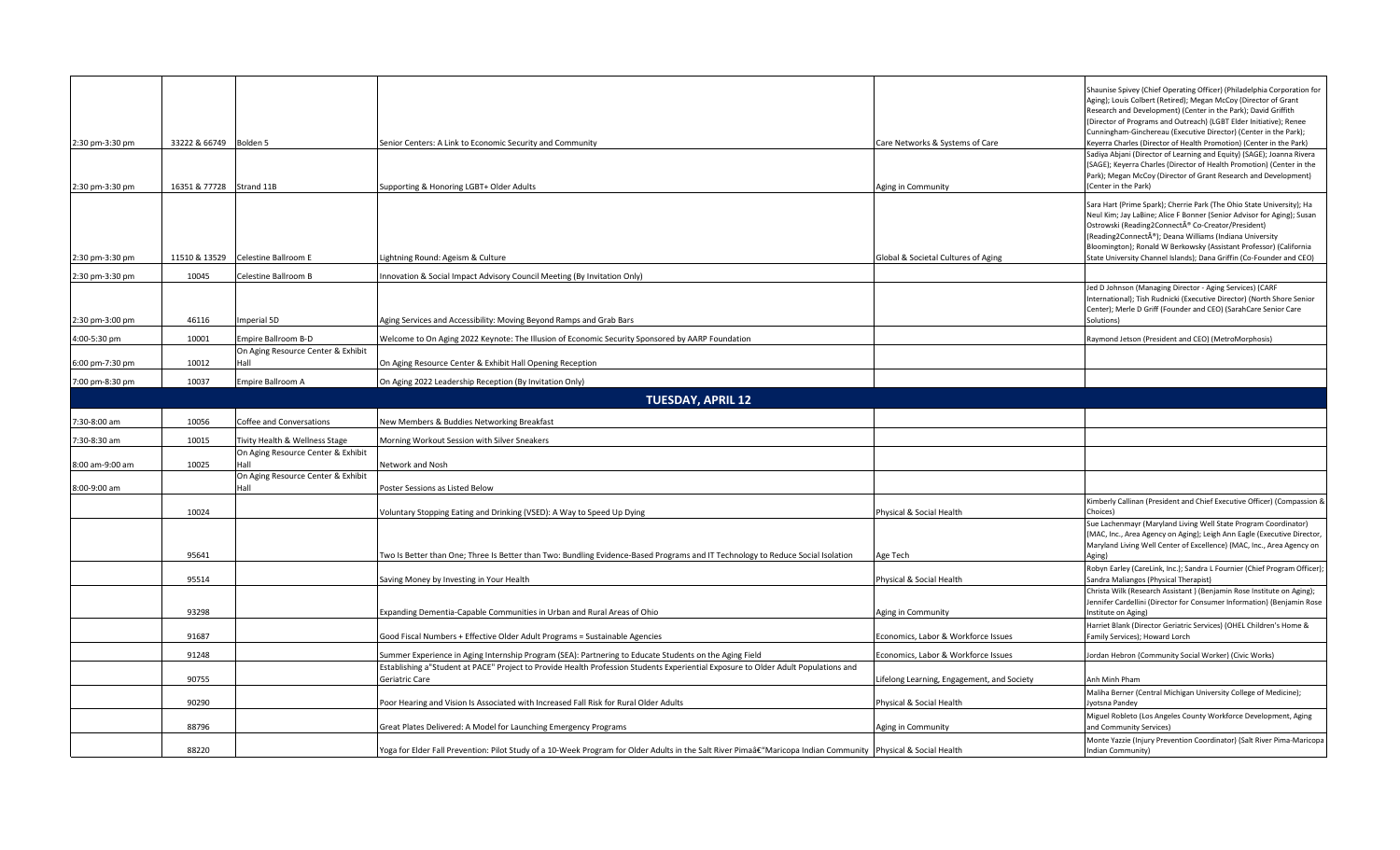| 2:30 pm-3:30 pm                    | 33222 & 66749 Bolden 5   |                                            | Senior Centers: A Link to Economic Security and Community                                                                                                                                                                                    | Care Networks & Systems of Care                           | Shaunise Spivey (Chief Operating Officer) (Philadelphia Corporation for<br>Aging); Louis Colbert (Retired); Megan McCoy (Director of Grant<br>Research and Development) (Center in the Park); David Griffith<br>(Director of Programs and Outreach) (LGBT Elder Initiative); Renee<br>Cunningham-Ginchereau (Executive Director) (Center in the Park);<br>Keyerra Charles (Director of Health Promotion) (Center in the Park)<br>Sadiya Abjani (Director of Learning and Equity) (SAGE); Joanna Rivera<br>(SAGE); Keyerra Charles (Director of Health Promotion) (Center in the<br>Park); Megan McCoy (Director of Grant Research and Development) |
|------------------------------------|--------------------------|--------------------------------------------|----------------------------------------------------------------------------------------------------------------------------------------------------------------------------------------------------------------------------------------------|-----------------------------------------------------------|----------------------------------------------------------------------------------------------------------------------------------------------------------------------------------------------------------------------------------------------------------------------------------------------------------------------------------------------------------------------------------------------------------------------------------------------------------------------------------------------------------------------------------------------------------------------------------------------------------------------------------------------------|
| 2:30 pm-3:30 pm<br>2:30 pm-3:30 pm | 16351 & 77728 Strand 11B | 11510 & 13529 Celestine Ballroom E         | Supporting & Honoring LGBT+ Older Adults<br>Lightning Round: Ageism & Culture                                                                                                                                                                | Aging in Community<br>Global & Societal Cultures of Aging | (Center in the Park)<br>Sara Hart (Prime Spark); Cherrie Park (The Ohio State University); Ha<br>Neul Kim; Jay LaBine; Alice F Bonner (Senior Advisor for Aging); Susan<br>Ostrowski (Reading2Connect® Co-Creator/President)<br>(Reading2Connect®); Deana Williams (Indiana University<br>Bloomington); Ronald W Berkowsky (Assistant Professor) (California<br>State University Channel Islands); Dana Griffin (Co-Founder and CEO)                                                                                                                                                                                                               |
| 2:30 pm-3:30 pm                    | 10045                    | Celestine Ballroom B                       | Innovation & Social Impact Advisory Council Meeting (By Invitation Only)                                                                                                                                                                     |                                                           |                                                                                                                                                                                                                                                                                                                                                                                                                                                                                                                                                                                                                                                    |
| 2:30 pm-3:00 pm                    | 46116                    | Imperial 5D                                | Aging Services and Accessibility: Moving Beyond Ramps and Grab Bars                                                                                                                                                                          |                                                           | Jed D Johnson (Managing Director - Aging Services) (CARF<br>International); Tish Rudnicki (Executive Director) (North Shore Senior<br>Center); Merle D Griff (Founder and CEO) (SarahCare Senior Care<br>Solutions)                                                                                                                                                                                                                                                                                                                                                                                                                                |
| 4:00-5:30 pm                       | 10001                    | Empire Ballroom B-D                        | Welcome to On Aging 2022 Keynote: The Illusion of Economic Security Sponsored by AARP Foundation                                                                                                                                             |                                                           | Raymond Jetson (President and CEO) (MetroMorphosis)                                                                                                                                                                                                                                                                                                                                                                                                                                                                                                                                                                                                |
|                                    |                          | On Aging Resource Center & Exhibit         |                                                                                                                                                                                                                                              |                                                           |                                                                                                                                                                                                                                                                                                                                                                                                                                                                                                                                                                                                                                                    |
| 6:00 pm-7:30 pm                    | 10012                    | Hall                                       | On Aging Resource Center & Exhibit Hall Opening Reception                                                                                                                                                                                    |                                                           |                                                                                                                                                                                                                                                                                                                                                                                                                                                                                                                                                                                                                                                    |
| 7:00 pm-8:30 pm                    | 10037                    | Empire Ballroom A                          | On Aging 2022 Leadership Reception (By Invitation Only)                                                                                                                                                                                      |                                                           |                                                                                                                                                                                                                                                                                                                                                                                                                                                                                                                                                                                                                                                    |
|                                    |                          |                                            | <b>TUESDAY, APRIL 12</b>                                                                                                                                                                                                                     |                                                           |                                                                                                                                                                                                                                                                                                                                                                                                                                                                                                                                                                                                                                                    |
| 7:30-8:00 am                       | 10056                    | Coffee and Conversations                   | New Members & Buddies Networking Breakfast                                                                                                                                                                                                   |                                                           |                                                                                                                                                                                                                                                                                                                                                                                                                                                                                                                                                                                                                                                    |
| 7:30-8:30 am                       | 10015                    | Tivity Health & Wellness Stage             |                                                                                                                                                                                                                                              |                                                           |                                                                                                                                                                                                                                                                                                                                                                                                                                                                                                                                                                                                                                                    |
| 8:00 am-9:00 am                    | 10025                    | On Aging Resource Center & Exhibit<br>Hall | Morning Workout Session with Silver Sneakers<br>Network and Nosh                                                                                                                                                                             |                                                           |                                                                                                                                                                                                                                                                                                                                                                                                                                                                                                                                                                                                                                                    |
|                                    |                          | On Aging Resource Center & Exhibit         |                                                                                                                                                                                                                                              |                                                           |                                                                                                                                                                                                                                                                                                                                                                                                                                                                                                                                                                                                                                                    |
| 8:00-9:00 am                       |                          | Hall                                       | Poster Sessions as Listed Below                                                                                                                                                                                                              |                                                           |                                                                                                                                                                                                                                                                                                                                                                                                                                                                                                                                                                                                                                                    |
|                                    | 10024                    |                                            | Voluntary Stopping Eating and Drinking (VSED): A Way to Speed Up Dying                                                                                                                                                                       | Physical & Social Health                                  | Kimberly Callinan (President and Chief Executive Officer) (Compassion &<br>Choices)                                                                                                                                                                                                                                                                                                                                                                                                                                                                                                                                                                |
|                                    | 95641                    |                                            | Two Is Better than One; Three Is Better than Two: Bundling Evidence-Based Programs and IT Technology to Reduce Social Isolation                                                                                                              | Age Tech                                                  | Sue Lachenmayr (Maryland Living Well State Program Coordinator)<br>(MAC, Inc., Area Agency on Aging); Leigh Ann Eagle (Executive Director,<br>Maryland Living Well Center of Excellence) (MAC, Inc., Area Agency on<br>Aging)                                                                                                                                                                                                                                                                                                                                                                                                                      |
|                                    |                          |                                            |                                                                                                                                                                                                                                              |                                                           | Robyn Earley (CareLink, Inc.); Sandra L Fournier (Chief Program Officer);                                                                                                                                                                                                                                                                                                                                                                                                                                                                                                                                                                          |
|                                    | 95514                    |                                            | Saving Money by Investing in Your Health                                                                                                                                                                                                     | Physical & Social Health                                  | Sandra Maliangos (Physical Therapist)<br>Christa Wilk (Research Assistant) (Benjamin Rose Institute on Aging);                                                                                                                                                                                                                                                                                                                                                                                                                                                                                                                                     |
|                                    | 93298                    |                                            | Expanding Dementia-Capable Communities in Urban and Rural Areas of Ohio                                                                                                                                                                      | Aging in Community                                        | Jennifer Cardellini (Director for Consumer Information) (Benjamin Rose<br>Institute on Aging)                                                                                                                                                                                                                                                                                                                                                                                                                                                                                                                                                      |
|                                    | 91687                    |                                            | Good Fiscal Numbers + Effective Older Adult Programs = Sustainable Agencies                                                                                                                                                                  | Economics, Labor & Workforce Issues                       | Harriet Blank (Director Geriatric Services) (OHEL Children's Home &<br>Family Services); Howard Lorch                                                                                                                                                                                                                                                                                                                                                                                                                                                                                                                                              |
|                                    |                          |                                            |                                                                                                                                                                                                                                              |                                                           |                                                                                                                                                                                                                                                                                                                                                                                                                                                                                                                                                                                                                                                    |
|                                    | 91248                    |                                            | Summer Experience in Aging Internship Program (SEA): Partnering to Educate Students on the Aging Field<br>Establishing a"Student at PACE" Project to Provide Health Profession Students Experiential Exposure to Older Adult Populations and | Economics, Labor & Workforce Issues                       | Jordan Hebron (Community Social Worker) (Civic Works)                                                                                                                                                                                                                                                                                                                                                                                                                                                                                                                                                                                              |
|                                    | 90755                    |                                            | Geriatric Care                                                                                                                                                                                                                               | Lifelong Learning, Engagement, and Society                | Anh Minh Pham                                                                                                                                                                                                                                                                                                                                                                                                                                                                                                                                                                                                                                      |
|                                    | 90290                    |                                            | Poor Hearing and Vision Is Associated with Increased Fall Risk for Rural Older Adults                                                                                                                                                        | Physical & Social Health                                  | Maliha Berner (Central Michigan University College of Medicine);<br>Jyotsna Pandey                                                                                                                                                                                                                                                                                                                                                                                                                                                                                                                                                                 |
|                                    | 88796                    |                                            | Great Plates Delivered: A Model for Launching Emergency Programs                                                                                                                                                                             | Aging in Community                                        | Miguel Robleto (Los Angeles County Workforce Development, Aging<br>and Community Services)                                                                                                                                                                                                                                                                                                                                                                                                                                                                                                                                                         |
|                                    | 88220                    |                                            | Yoga for Elder Fall Prevention: Pilot Study of a 10-Week Program for Older Adults in the Salt River Pimaâ€"Maricopa Indian Community Physical & Social Health                                                                                |                                                           | Monte Yazzie (Injury Prevention Coordinator) (Salt River Pima-Maricopa<br>Indian Community)                                                                                                                                                                                                                                                                                                                                                                                                                                                                                                                                                        |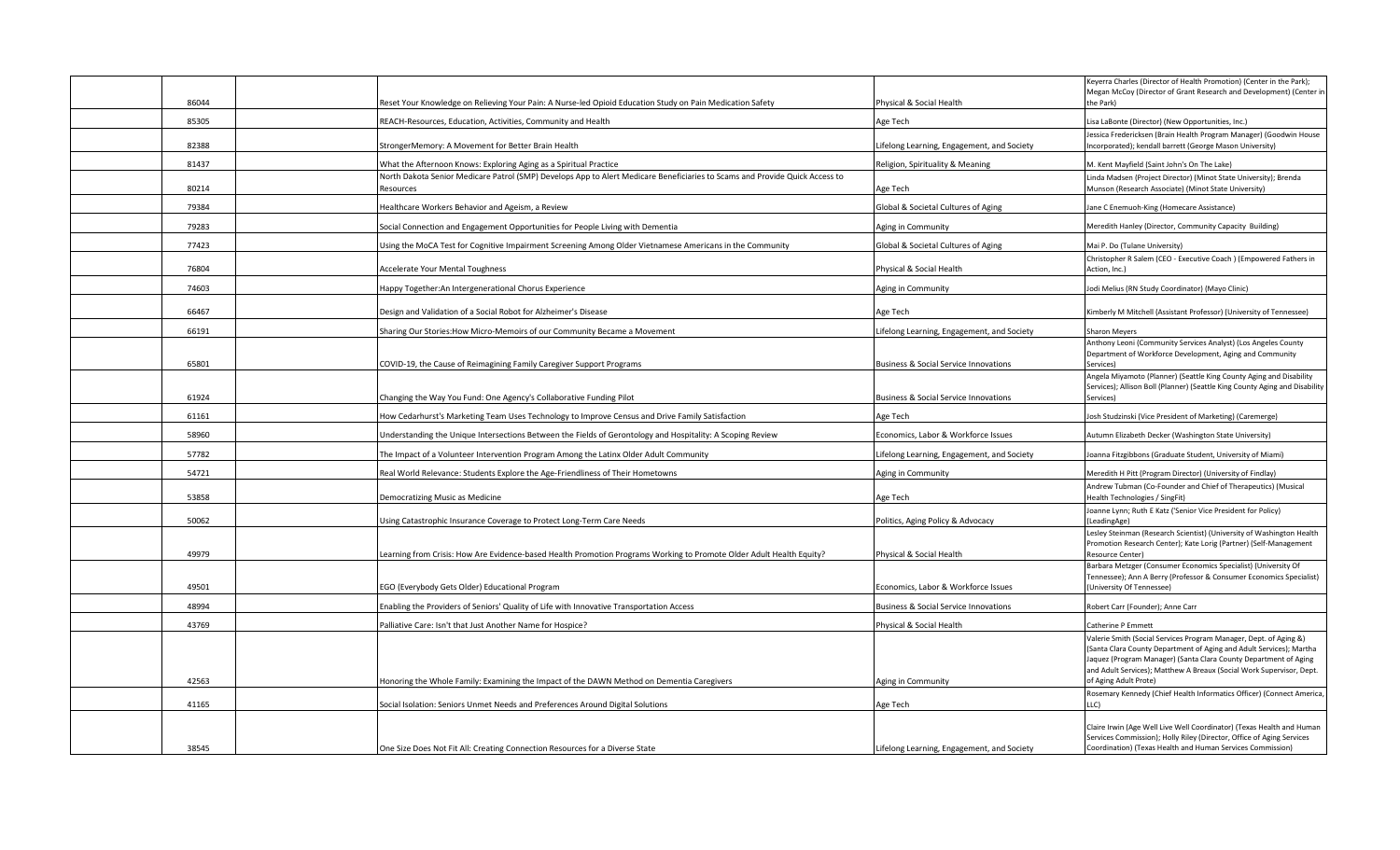| 86044 | Reset Your Knowledge on Relieving Your Pain: A Nurse-led Opioid Education Study on Pain Medication Safety                                | Physical & Social Health                         | Keyerra Charles (Director of Health Promotion) (Center in the Park);<br>Megan McCoy (Director of Grant Research and Development) (Center in<br>the Park) |
|-------|------------------------------------------------------------------------------------------------------------------------------------------|--------------------------------------------------|----------------------------------------------------------------------------------------------------------------------------------------------------------|
|       |                                                                                                                                          |                                                  |                                                                                                                                                          |
| 85305 | REACH-Resources, Education, Activities, Community and Health                                                                             | Age Tech                                         | isa LaBonte (Director) (New Opportunities, Inc.)<br>Jessica Fredericksen (Brain Health Program Manager) (Goodwin House                                   |
| 82388 | StrongerMemory: A Movement for Better Brain Health                                                                                       | Lifelong Learning, Engagement, and Society       | Incorporated); kendall barrett (George Mason University)                                                                                                 |
| 81437 | What the Afternoon Knows: Exploring Aging as a Spiritual Practice                                                                        | Religion, Spirituality & Meaning                 | M. Kent Mayfield (Saint John's On The Lake)                                                                                                              |
| 80214 | North Dakota Senior Medicare Patrol (SMP) Develops App to Alert Medicare Beneficiaries to Scams and Provide Quick Access to<br>Resources | Age Tech                                         | Linda Madsen (Project Director) (Minot State University); Brenda<br>Munson (Research Associate) (Minot State University)                                 |
| 79384 |                                                                                                                                          |                                                  |                                                                                                                                                          |
|       | Healthcare Workers Behavior and Ageism, a Review                                                                                         | Global & Societal Cultures of Aging              | Jane C Enemuoh-King (Homecare Assistance)                                                                                                                |
| 79283 | Social Connection and Engagement Opportunities for People Living with Dementia                                                           | Aging in Community                               | Meredith Hanley (Director, Community Capacity Building)                                                                                                  |
| 77423 | Using the MoCA Test for Cognitive Impairment Screening Among Older Vietnamese Americans in the Community                                 | Global & Societal Cultures of Aging              | Mai P. Do (Tulane University)<br>Christopher R Salem (CEO - Executive Coach ) (Empowered Fathers in                                                      |
| 76804 | <b>Accelerate Your Mental Toughness</b>                                                                                                  | Physical & Social Health                         | Action, Inc.)                                                                                                                                            |
| 74603 | Happy Together: An Intergenerational Chorus Experience                                                                                   | Aging in Community                               | Jodi Melius (RN Study Coordinator) (Mayo Clinic)                                                                                                         |
| 66467 | Design and Validation of a Social Robot for Alzheimer's Disease                                                                          | Age Tech                                         | Kimberly M Mitchell (Assistant Professor) (University of Tennessee)                                                                                      |
| 66191 | Sharing Our Stories: How Micro-Memoirs of our Community Became a Movement                                                                | Lifelong Learning, Engagement, and Society       | <b>Sharon Meyers</b>                                                                                                                                     |
|       |                                                                                                                                          |                                                  | Anthony Leoni (Community Services Analyst) (Los Angeles County                                                                                           |
| 65801 | COVID-19, the Cause of Reimagining Family Caregiver Support Programs                                                                     | <b>Business &amp; Social Service Innovations</b> | Department of Workforce Development, Aging and Community<br>Services)                                                                                    |
|       |                                                                                                                                          |                                                  | Angela Miyamoto (Planner) (Seattle King County Aging and Disability<br>Services); Allison Boll (Planner) (Seattle King County Aging and Disability       |
| 61924 | Changing the Way You Fund: One Agency's Collaborative Funding Pilot                                                                      | <b>Business &amp; Social Service Innovations</b> | Services)                                                                                                                                                |
| 61161 | How Cedarhurst's Marketing Team Uses Technology to Improve Census and Drive Family Satisfaction                                          | Age Tech                                         | Josh Studzinski (Vice President of Marketing) (Caremerge)                                                                                                |
| 58960 | Understanding the Unique Intersections Between the Fields of Gerontology and Hospitality: A Scoping Review                               | Economics, Labor & Workforce Issues              | Autumn Elizabeth Decker (Washington State University)                                                                                                    |
| 57782 | The Impact of a Volunteer Intervention Program Among the Latinx Older Adult Community                                                    | Lifelong Learning, Engagement, and Society       | Joanna Fitzgibbons (Graduate Student, University of Miami)                                                                                               |
| 54721 | Real World Relevance: Students Explore the Age-Friendliness of Their Hometowns                                                           | Aging in Community                               | Meredith H Pitt (Program Director) (University of Findlay)                                                                                               |
| 53858 | Democratizing Music as Medicine                                                                                                          | Age Tech                                         | Andrew Tubman (Co-Founder and Chief of Therapeutics) (Musical<br>Health Technologies / SingFit)                                                          |
| 50062 | Using Catastrophic Insurance Coverage to Protect Long-Term Care Needs                                                                    | Politics, Aging Policy & Advocacy                | Joanne Lynn; Ruth E Katz ('Senior Vice President for Policy)<br>(LeadingAge)                                                                             |
|       |                                                                                                                                          |                                                  | Lesley Steinman (Research Scientist) (University of Washington Health                                                                                    |
| 49979 | Learning from Crisis: How Are Evidence-based Health Promotion Programs Working to Promote Older Adult Health Equity?                     | Physical & Social Health                         | Promotion Research Center); Kate Lorig (Partner) (Self-Management<br>Resource Center)                                                                    |
|       |                                                                                                                                          |                                                  | Barbara Metzger (Consumer Economics Specialist) (University Of<br>Tennessee); Ann A Berry (Professor & Consumer Economics Specialist)                    |
| 49501 | EGO (Everybody Gets Older) Educational Program                                                                                           | Economics, Labor & Workforce Issues              | (University Of Tennessee)                                                                                                                                |
| 48994 | Enabling the Providers of Seniors' Quality of Life with Innovative Transportation Access                                                 | <b>Business &amp; Social Service Innovations</b> | Robert Carr (Founder); Anne Carr                                                                                                                         |
| 43769 | Palliative Care: Isn't that Just Another Name for Hospice?                                                                               | Physical & Social Health                         | Catherine P Emmett                                                                                                                                       |
|       |                                                                                                                                          |                                                  | Valerie Smith (Social Services Program Manager, Dept. of Aging &)<br>(Santa Clara County Department of Aging and Adult Services); Martha                 |
|       |                                                                                                                                          |                                                  | Jaquez (Program Manager) (Santa Clara County Department of Aging                                                                                         |
| 42563 | Honoring the Whole Family: Examining the Impact of the DAWN Method on Dementia Caregivers                                                | Aging in Community                               | and Adult Services); Matthew A Breaux (Social Work Supervisor, Dept.<br>of Aging Adult Prote)                                                            |
|       |                                                                                                                                          |                                                  | Rosemary Kennedy (Chief Health Informatics Officer) (Connect America                                                                                     |
| 41165 | Social Isolation: Seniors Unmet Needs and Preferences Around Digital Solutions                                                           | Age Tech                                         | LC)                                                                                                                                                      |
|       |                                                                                                                                          |                                                  | Claire Irwin (Age Well Live Well Coordinator) (Texas Health and Human                                                                                    |
| 38545 | One Size Does Not Fit All: Creating Connection Resources for a Diverse State                                                             | Lifelong Learning, Engagement, and Society       | Services Commission); Holly Riley (Director, Office of Aging Services<br>Coordination) (Texas Health and Human Services Commission)                      |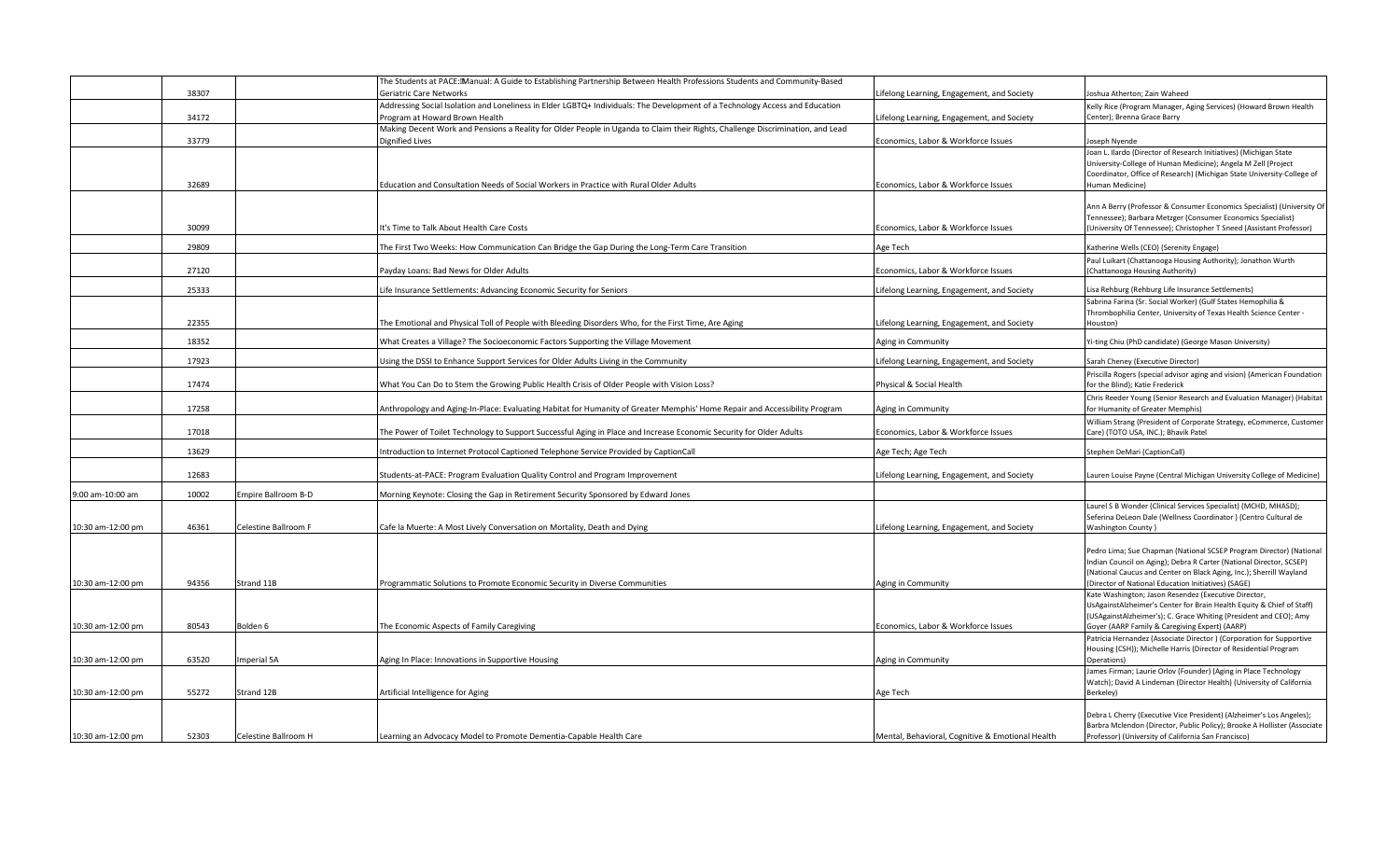|                   |                |                      | The Students at PACE: Manual: A Guide to Establishing Partnership Between Health Professions Students and Community-Based                                                         |                                                                                          |                                                                                                                                                                                                                                                                          |
|-------------------|----------------|----------------------|-----------------------------------------------------------------------------------------------------------------------------------------------------------------------------------|------------------------------------------------------------------------------------------|--------------------------------------------------------------------------------------------------------------------------------------------------------------------------------------------------------------------------------------------------------------------------|
|                   | 38307          |                      | Geriatric Care Networks                                                                                                                                                           | ifelong Learning, Engagement, and Society.                                               | oshua Atherton; Zain Waheed                                                                                                                                                                                                                                              |
|                   | 34172          |                      | Addressing Social Isolation and Loneliness in Elder LGBTQ+ Individuals: The Development of a Technology Access and Education<br>Program at Howard Brown Health                    | ifelong Learning, Engagement, and Society.                                               | Kelly Rice (Program Manager, Aging Services) (Howard Brown Health<br>Center); Brenna Grace Barry                                                                                                                                                                         |
|                   | 33779          |                      | Making Decent Work and Pensions a Reality for Older People in Uganda to Claim their Rights, Challenge Discrimination, and Lead<br>Dignified Lives                                 | Economics, Labor & Workforce Issues                                                      | Joseph Nyende                                                                                                                                                                                                                                                            |
|                   | 32689          |                      | Education and Consultation Needs of Social Workers in Practice with Rural Older Adults                                                                                            | Economics, Labor & Workforce Issues                                                      | oan L. Ilardo (Director of Research Initiatives) (Michigan State<br>University-College of Human Medicine); Angela M Zell (Project<br>Coordinator, Office of Research) (Michigan State University-College of<br>Human Medicine)                                           |
|                   | 30099          |                      | It's Time to Talk About Health Care Costs                                                                                                                                         | Economics, Labor & Workforce Issues                                                      | Ann A Berry (Professor & Consumer Economics Specialist) (University Of<br>Tennessee); Barbara Metzger (Consumer Economics Specialist)<br>(University Of Tennessee); Christopher T Sneed (Assistant Professor)                                                            |
|                   | 29809          |                      | The First Two Weeks: How Communication Can Bridge the Gap During the Long-Term Care Transition                                                                                    | Age Tech                                                                                 | Katherine Wells (CEO) (Serenity Engage)                                                                                                                                                                                                                                  |
|                   | 27120          |                      | Payday Loans: Bad News for Older Adults                                                                                                                                           | Economics, Labor & Workforce Issues                                                      | Paul Luikart (Chattanooga Housing Authority); Jonathon Wurth<br>(Chattanooga Housing Authority)                                                                                                                                                                          |
|                   |                |                      |                                                                                                                                                                                   |                                                                                          |                                                                                                                                                                                                                                                                          |
|                   | 25333<br>22355 |                      | Life Insurance Settlements: Advancing Economic Security for Seniors<br>The Emotional and Physical Toll of People with Bleeding Disorders Who, for the First Time, Are Aging       | ifelong Learning, Engagement, and Society.<br>ifelong Learning, Engagement, and Society. | isa Rehburg (Rehburg Life Insurance Settlements)<br>Sabrina Farina (Sr. Social Worker) (Gulf States Hemophilia &<br>Thrombophilia Center, University of Texas Health Science Center -<br>Houston)                                                                        |
|                   | 18352          |                      | What Creates a Village? The Socioeconomic Factors Supporting the Village Movement                                                                                                 | Aging in Community                                                                       | /i-ting Chiu (PhD candidate) (George Mason University)                                                                                                                                                                                                                   |
|                   | 17923          |                      |                                                                                                                                                                                   |                                                                                          | Sarah Cheney (Executive Director)                                                                                                                                                                                                                                        |
|                   | 17474          |                      | Using the DSSI to Enhance Support Services for Older Adults Living in the Community<br>What You Can Do to Stem the Growing Public Health Crisis of Older People with Vision Loss? | ifelong Learning, Engagement, and Society.<br>Physical & Social Health                   | Priscilla Rogers (special advisor aging and vision) (American Foundation<br>for the Blind); Katie Frederick                                                                                                                                                              |
|                   | 17258          |                      | Anthropology and Aging-In-Place: Evaluating Habitat for Humanity of Greater Memphis' Home Repair and Accessibility Program                                                        | Aging in Community                                                                       | Chris Reeder Young (Senior Research and Evaluation Manager) (Habitat<br>for Humanity of Greater Memphis)                                                                                                                                                                 |
|                   | 17018          |                      | The Power of Toilet Technology to Support Successful Aging in Place and Increase Economic Security for Older Adults                                                               | Economics, Labor & Workforce Issues                                                      | William Strang (President of Corporate Strategy, eCommerce, Customer<br>Care) (TOTO USA, INC.); Bhavik Patel                                                                                                                                                             |
|                   | 13629          |                      | Introduction to Internet Protocol Captioned Telephone Service Provided by CaptionCall                                                                                             | Age Tech; Age Tech                                                                       | Stephen DeMari (CaptionCall)                                                                                                                                                                                                                                             |
|                   | 12683          |                      | Students-at-PACE: Program Evaluation Quality Control and Program Improvement                                                                                                      | ifelong Learning, Engagement, and Society.                                               | auren Louise Payne (Central Michigan University College of Medicine)                                                                                                                                                                                                     |
| 9:00 am-10:00 am  | 10002          | Empire Ballroom B-D  | Morning Keynote: Closing the Gap in Retirement Security Sponsored by Edward Jones                                                                                                 |                                                                                          |                                                                                                                                                                                                                                                                          |
| 10:30 am-12:00 pm | 46361          | Celestine Ballroom F | Cafe la Muerte: A Most Lively Conversation on Mortality, Death and Dying                                                                                                          | ifelong Learning, Engagement, and Society.                                               | Laurel S B Wonder (Clinical Services Specialist) (MCHD, MHASD);<br>Seferina DeLeon Dale (Wellness Coordinator) (Centro Cultural de<br><b>Washington County)</b>                                                                                                          |
| 10:30 am-12:00 pm | 94356          | Strand 11B           | Programmatic Solutions to Promote Economic Security in Diverse Communities                                                                                                        | Aging in Community                                                                       | Pedro Lima; Sue Chapman (National SCSEP Program Director) (National<br>Indian Council on Aging); Debra R Carter (National Director, SCSEP)<br>(National Caucus and Center on Black Aging, Inc.); Sherrill Wayland<br>(Director of National Education Initiatives) (SAGE) |
|                   |                |                      |                                                                                                                                                                                   |                                                                                          | Kate Washington; Jason Resendez (Executive Director,<br>UsAgainstAlzheimer's Center for Brain Health Equity & Chief of Staff)<br>(USAgainstAlzheimer's); C. Grace Whiting (President and CEO); Amy                                                                       |
| 10:30 am-12:00 pm | 80543          | Bolden 6             | The Economic Aspects of Family Caregiving                                                                                                                                         | Economics, Labor & Workforce Issues                                                      | Goyer (AARP Family & Caregiving Expert) (AARP)                                                                                                                                                                                                                           |
| 10:30 am-12:00 pm | 63520          | Imperial 5A          | Aging In Place: Innovations in Supportive Housing                                                                                                                                 | Aging in Community                                                                       | Patricia Hernandez (Associate Director) (Corporation for Supportive<br>Housing (CSH)); Michelle Harris (Director of Residential Program<br>Operations)                                                                                                                   |
|                   |                |                      |                                                                                                                                                                                   |                                                                                          | James Firman; Laurie Orlov (Founder) (Aging in Place Technology                                                                                                                                                                                                          |
| 10:30 am-12:00 pm | 55272          | Strand 12B           | Artificial Intelligence for Aging                                                                                                                                                 | Age Tech                                                                                 | Watch); David A Lindeman (Director Health) (University of California<br>Berkeley)                                                                                                                                                                                        |
|                   |                |                      |                                                                                                                                                                                   |                                                                                          | Debra L Cherry (Executive Vice President) (Alzheimer's Los Angeles);<br>Barbra Mclendon (Director, Public Policy); Brooke A Hollister (Associate                                                                                                                         |
| 10:30 am-12:00 pm | 52303          | Celestine Ballroom H | Learning an Advocacy Model to Promote Dementia-Capable Health Care                                                                                                                | Mental, Behavioral, Cognitive & Emotional Health                                         | Professor) (University of California San Francisco)                                                                                                                                                                                                                      |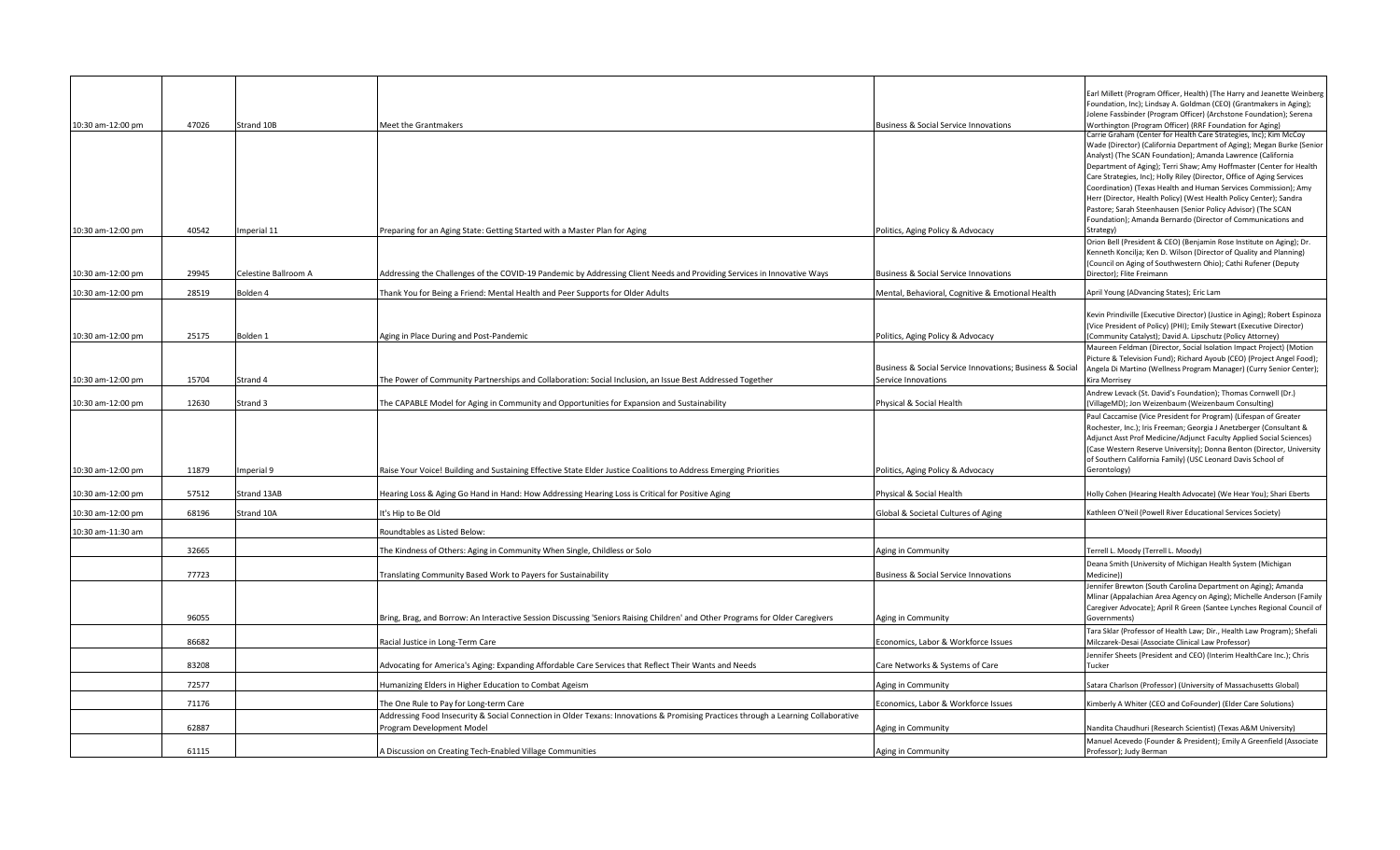|                   |       |                      |                                                                                                                                    |                                                          | Earl Millett (Program Officer, Health) (The Harry and Jeanette Weinberg                                                                            |
|-------------------|-------|----------------------|------------------------------------------------------------------------------------------------------------------------------------|----------------------------------------------------------|----------------------------------------------------------------------------------------------------------------------------------------------------|
|                   |       |                      |                                                                                                                                    |                                                          | Foundation, Inc); Lindsay A. Goldman (CEO) (Grantmakers in Aging);<br>Jolene Fassbinder (Program Officer) (Archstone Foundation); Serena           |
| 10:30 am-12:00 pm | 47026 | Strand 10B           | Meet the Grantmakers                                                                                                               | <b>Business &amp; Social Service Innovations</b>         | Worthington (Program Officer) (RRF Foundation for Aging)                                                                                           |
|                   |       |                      |                                                                                                                                    |                                                          | Carrie Graham (Center for Health Care Strategies, Inc); Kim McCoy                                                                                  |
|                   |       |                      |                                                                                                                                    |                                                          | Wade (Director) (California Department of Aging); Megan Burke (Senior<br>Analyst) (The SCAN Foundation); Amanda Lawrence (California               |
|                   |       |                      |                                                                                                                                    |                                                          | Department of Aging); Terri Shaw; Amy Hoffmaster (Center for Health                                                                                |
|                   |       |                      |                                                                                                                                    |                                                          | Care Strategies, Inc); Holly Riley (Director, Office of Aging Services<br>Coordination) (Texas Health and Human Services Commission); Amy          |
|                   |       |                      |                                                                                                                                    |                                                          | Herr (Director, Health Policy) (West Health Policy Center); Sandra                                                                                 |
|                   |       |                      |                                                                                                                                    |                                                          | Pastore; Sarah Steenhausen (Senior Policy Advisor) (The SCAN                                                                                       |
| 10:30 am-12:00 pm | 40542 | mperial 11           | Preparing for an Aging State: Getting Started with a Master Plan for Aging                                                         | Politics, Aging Policy & Advocacy                        | Foundation); Amanda Bernardo (Director of Communications and<br>Strategy)                                                                          |
|                   |       |                      |                                                                                                                                    |                                                          | Orion Bell (President & CEO) (Benjamin Rose Institute on Aging); Dr.                                                                               |
|                   |       |                      |                                                                                                                                    |                                                          | Kenneth Koncilja; Ken D. Wilson (Director of Quality and Planning)                                                                                 |
| 10:30 am-12:00 pm | 29945 | Celestine Ballroom A | Addressing the Challenges of the COVID-19 Pandemic by Addressing Client Needs and Providing Services in Innovative Ways            | <b>Business &amp; Social Service Innovations</b>         | (Council on Aging of Southwestern Ohio); Cathi Rufener (Deputy<br>Director); Flite Freimann                                                        |
| 10:30 am-12:00 pm | 28519 | Bolden 4             | Thank You for Being a Friend: Mental Health and Peer Supports for Older Adults                                                     | Mental, Behavioral, Cognitive & Emotional Health         | April Young (ADvancing States); Eric Lam                                                                                                           |
|                   |       |                      |                                                                                                                                    |                                                          |                                                                                                                                                    |
|                   |       |                      |                                                                                                                                    |                                                          | Kevin Prindiville (Executive Director) (Justice in Aging); Robert Espinoza<br>(Vice President of Policy) (PHI); Emily Stewart (Executive Director) |
| 10:30 am-12:00 pm | 25175 | Bolden 1             | Aging in Place During and Post-Pandemic                                                                                            | Politics, Aging Policy & Advocacy                        | (Community Catalyst); David A. Lipschutz (Policy Attorney)                                                                                         |
|                   |       |                      |                                                                                                                                    |                                                          | Maureen Feldman (Director, Social Isolation Impact Project) (Motion<br>Picture & Television Fund); Richard Ayoub (CEO) (Project Angel Food);       |
|                   |       |                      |                                                                                                                                    | Business & Social Service Innovations; Business & Social | Angela Di Martino (Wellness Program Manager) (Curry Senior Center);                                                                                |
| 10:30 am-12:00 pm | 15704 | Strand 4             | The Power of Community Partnerships and Collaboration: Social Inclusion, an Issue Best Addressed Together                          | Service Innovations                                      | Kira Morrisey                                                                                                                                      |
| 10:30 am-12:00 pm | 12630 | Strand 3             | The CAPABLE Model for Aging in Community and Opportunities for Expansion and Sustainability                                        | Physical & Social Health                                 | Andrew Levack (St. David's Foundation); Thomas Cornwell (Dr.)<br>(VillageMD); Jon Weizenbaum (Weizenbaum Consulting)                               |
|                   |       |                      |                                                                                                                                    |                                                          | Paul Caccamise (Vice President for Program) (Lifespan of Greater                                                                                   |
|                   |       |                      |                                                                                                                                    |                                                          | Rochester, Inc.); Iris Freeman; Georgia J Anetzberger (Consultant &<br>Adjunct Asst Prof Medicine/Adjunct Faculty Applied Social Sciences)         |
|                   |       |                      |                                                                                                                                    |                                                          | (Case Western Reserve University); Donna Benton (Director, University                                                                              |
| 10:30 am-12:00 pm | 11879 | Imperial 9           | Raise Your Voice! Building and Sustaining Effective State Elder Justice Coalitions to Address Emerging Priorities                  | Politics, Aging Policy & Advocacy                        | of Southern California Family) (USC Leonard Davis School of<br>Gerontology)                                                                        |
|                   |       |                      |                                                                                                                                    |                                                          |                                                                                                                                                    |
| 10:30 am-12:00 pm | 57512 | Strand 13AB          | Hearing Loss & Aging Go Hand in Hand: How Addressing Hearing Loss is Critical for Positive Aging                                   | Physical & Social Health                                 | Holly Cohen (Hearing Health Advocate) (We Hear You); Shari Eberts                                                                                  |
| 10:30 am-12:00 pm | 68196 | Strand 10A           | It's Hip to Be Old                                                                                                                 | Global & Societal Cultures of Aging                      | Kathleen O'Neil (Powell River Educational Services Society)                                                                                        |
| 10:30 am-11:30 am |       |                      | Roundtables as Listed Below:                                                                                                       |                                                          |                                                                                                                                                    |
|                   | 32665 |                      | The Kindness of Others: Aging in Community When Single, Childless or Solo                                                          | Aging in Community                                       | Terrell L. Moody (Terrell L. Moody)                                                                                                                |
|                   |       |                      |                                                                                                                                    |                                                          | Deana Smith (University of Michigan Health System (Michigan                                                                                        |
|                   | 77723 |                      | <b>Franslating Community Based Work to Payers for Sustainability</b>                                                               | <b>Business &amp; Social Service Innovations</b>         | Medicine))<br>Jennifer Brewton (South Carolina Department on Aging); Amanda                                                                        |
|                   |       |                      |                                                                                                                                    |                                                          | Mlinar (Appalachian Area Agency on Aging); Michelle Anderson (Family                                                                               |
|                   | 96055 |                      | Bring, Brag, and Borrow: An Interactive Session Discussing 'Seniors Raising Children' and Other Programs for Older Caregivers      | Aging in Community                                       | Caregiver Advocate); April R Green (Santee Lynches Regional Council of<br>Governments)                                                             |
|                   |       |                      |                                                                                                                                    |                                                          | Tara Sklar (Professor of Health Law; Dir., Health Law Program); Shefali                                                                            |
|                   | 86682 |                      | Racial Justice in Long-Term Care                                                                                                   | Economics, Labor & Workforce Issues                      | Milczarek-Desai (Associate Clinical Law Professor)                                                                                                 |
|                   | 83208 |                      | Advocating for America's Aging: Expanding Affordable Care Services that Reflect Their Wants and Needs                              | Care Networks & Systems of Care                          | Jennifer Sheets (President and CEO) (Interim HealthCare Inc.); Chris<br>Tucker                                                                     |
|                   | 72577 |                      | Humanizing Elders in Higher Education to Combat Ageism                                                                             | Aging in Community                                       | Satara Charlson (Professor) (University of Massachusetts Global)                                                                                   |
|                   | 71176 |                      | The One Rule to Pay for Long-term Care                                                                                             | Economics, Labor & Workforce Issues                      | Kimberly A Whiter (CEO and CoFounder) (Elder Care Solutions)                                                                                       |
|                   |       |                      | Addressing Food Insecurity & Social Connection in Older Texans: Innovations & Promising Practices through a Learning Collaborative |                                                          |                                                                                                                                                    |
|                   | 62887 |                      | Program Development Model                                                                                                          | Aging in Community                                       | Nandita Chaudhuri (Research Scientist) (Texas A&M University)<br>Manuel Acevedo (Founder & President); Emily A Greenfield (Associate               |
|                   | 61115 |                      | A Discussion on Creating Tech-Enabled Village Communities                                                                          | Aging in Community                                       | Professor); Judy Berman                                                                                                                            |
|                   |       |                      |                                                                                                                                    |                                                          |                                                                                                                                                    |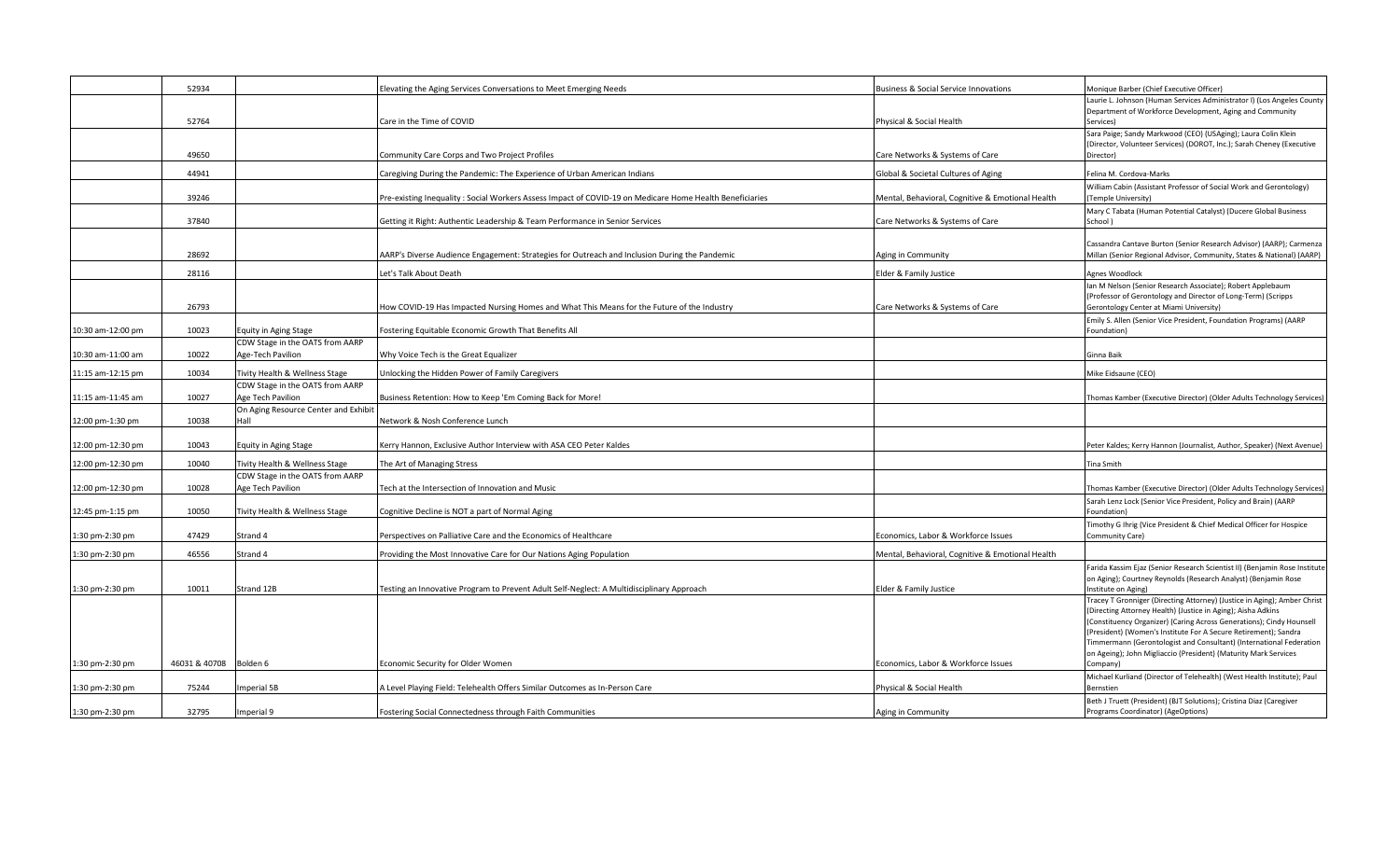|                   | 52934         |                                      | Elevating the Aging Services Conversations to Meet Emerging Needs                                       | <b>Business &amp; Social Service Innovations</b> | Monique Barber (Chief Executive Officer)                                                                                             |
|-------------------|---------------|--------------------------------------|---------------------------------------------------------------------------------------------------------|--------------------------------------------------|--------------------------------------------------------------------------------------------------------------------------------------|
|                   |               |                                      |                                                                                                         |                                                  | Laurie L. Johnson (Human Services Administrator I) (Los Angeles County                                                               |
|                   | 52764         |                                      | Care in the Time of COVID                                                                               | Physical & Social Health                         | Department of Workforce Development, Aging and Community<br>Services)                                                                |
|                   |               |                                      |                                                                                                         |                                                  | Sara Paige; Sandy Markwood (CEO) (USAging); Laura Colin Klein                                                                        |
|                   |               |                                      |                                                                                                         |                                                  | (Director, Volunteer Services) (DOROT, Inc.); Sarah Cheney (Executive                                                                |
|                   | 49650         |                                      | Community Care Corps and Two Project Profiles                                                           | Care Networks & Systems of Care                  | Director)                                                                                                                            |
|                   | 44941         |                                      | Caregiving During the Pandemic: The Experience of Urban American Indians                                | Global & Societal Cultures of Aging              | Felina M. Cordova-Marks                                                                                                              |
|                   |               |                                      |                                                                                                         |                                                  | William Cabin (Assistant Professor of Social Work and Gerontology)                                                                   |
|                   | 39246         |                                      | Pre-existing Inequality: Social Workers Assess Impact of COVID-19 on Medicare Home Health Beneficiaries | Mental, Behavioral, Cognitive & Emotional Health | (Temple University)                                                                                                                  |
|                   | 37840         |                                      | Getting it Right: Authentic Leadership & Team Performance in Senior Services                            | Care Networks & Systems of Care                  | Mary C Tabata (Human Potential Catalyst) (Ducere Global Business<br>School)                                                          |
|                   |               |                                      |                                                                                                         |                                                  |                                                                                                                                      |
|                   |               |                                      |                                                                                                         |                                                  | Cassandra Cantave Burton (Senior Research Advisor) (AARP); Carmenza                                                                  |
|                   | 28692         |                                      | AARP's Diverse Audience Engagement: Strategies for Outreach and Inclusion During the Pandemic           | Aging in Community                               | Millan (Senior Regional Advisor, Community, States & National) (AARP)                                                                |
|                   | 28116         |                                      | Let's Talk About Death                                                                                  | Elder & Family Justice                           | Agnes Woodlock                                                                                                                       |
|                   |               |                                      |                                                                                                         |                                                  | Ian M Nelson (Senior Research Associate); Robert Applebaum                                                                           |
|                   | 26793         |                                      | How COVID-19 Has Impacted Nursing Homes and What This Means for the Future of the Industry              | Care Networks & Systems of Care                  | (Professor of Gerontology and Director of Long-Term) (Scripps<br>Gerontology Center at Miami University)                             |
|                   |               |                                      |                                                                                                         |                                                  | Emily S. Allen (Senior Vice President, Foundation Programs) (AARP                                                                    |
| 10:30 am-12:00 pm | 10023         | Equity in Aging Stage                | Fostering Equitable Economic Growth That Benefits All                                                   |                                                  | Foundation)                                                                                                                          |
|                   |               | CDW Stage in the OATS from AARP      |                                                                                                         |                                                  |                                                                                                                                      |
| 10:30 am-11:00 am | 10022         | Age-Tech Pavilion                    | Why Voice Tech is the Great Equalizer                                                                   |                                                  | Ginna Baik                                                                                                                           |
| 11:15 am-12:15 pm | 10034         | Tivity Health & Wellness Stage       | <b>Jnlocking the Hidden Power of Family Caregivers</b>                                                  |                                                  | Mike Eidsaune (CEO)                                                                                                                  |
|                   |               | CDW Stage in the OATS from AARP      |                                                                                                         |                                                  |                                                                                                                                      |
| 11:15 am-11:45 am | 10027         | Age Tech Pavilion                    | Business Retention: How to Keep 'Em Coming Back for More!                                               |                                                  | Thomas Kamber (Executive Director) (Older Adults Technology Services)                                                                |
|                   |               | On Aging Resource Center and Exhibit |                                                                                                         |                                                  |                                                                                                                                      |
| 12:00 pm-1:30 pm  | 10038         | Hall                                 | Network & Nosh Conference Lunch                                                                         |                                                  |                                                                                                                                      |
|                   |               |                                      |                                                                                                         |                                                  |                                                                                                                                      |
| 12:00 pm-12:30 pm | 10043         | Equity in Aging Stage                | Kerry Hannon, Exclusive Author Interview with ASA CEO Peter Kaldes                                      |                                                  | Peter Kaldes; Kerry Hannon (Journalist, Author, Speaker) (Next Avenue)                                                               |
| 12:00 pm-12:30 pm | 10040         | Tivity Health & Wellness Stage       | The Art of Managing Stress                                                                              |                                                  | <b>Tina Smith</b>                                                                                                                    |
|                   |               | CDW Stage in the OATS from AARP      |                                                                                                         |                                                  |                                                                                                                                      |
| 12:00 pm-12:30 pm | 10028         | Age Tech Pavilion                    | Fech at the Intersection of Innovation and Music                                                        |                                                  | Thomas Kamber (Executive Director) (Older Adults Technology Services)                                                                |
| 12:45 pm-1:15 pm  | 10050         | Tivity Health & Wellness Stage       | Cognitive Decline is NOT a part of Normal Aging                                                         |                                                  | Sarah Lenz Lock (Senior Vice President, Policy and Brain) (AARP<br>Foundation)                                                       |
|                   |               |                                      |                                                                                                         |                                                  | Timothy G Ihrig (Vice President & Chief Medical Officer for Hospice                                                                  |
| 1:30 pm-2:30 pm   | 47429         | Strand 4                             | Perspectives on Palliative Care and the Economics of Healthcare                                         | Economics, Labor & Workforce Issues              | Community Care)                                                                                                                      |
| 1:30 pm-2:30 pm   | 46556         | Strand 4                             | Providing the Most Innovative Care for Our Nations Aging Population                                     | Mental, Behavioral, Cognitive & Emotional Health |                                                                                                                                      |
|                   |               |                                      |                                                                                                         |                                                  | Farida Kassim Ejaz (Senior Research Scientist II) (Benjamin Rose Institute                                                           |
|                   |               |                                      |                                                                                                         |                                                  | on Aging); Courtney Reynolds (Research Analyst) (Benjamin Rose                                                                       |
| 1:30 pm-2:30 pm   | 10011         | Strand 12B                           | Festing an Innovative Program to Prevent Adult Self-Neglect: A Multidisciplinary Approach               | Elder & Family Justice                           | Institute on Aging)                                                                                                                  |
|                   |               |                                      |                                                                                                         |                                                  | Tracey T Gronniger (Directing Attorney) (Justice in Aging); Amber Christ                                                             |
|                   |               |                                      |                                                                                                         |                                                  | (Directing Attorney Health) (Justice in Aging); Aisha Adkins<br>(Constituency Organizer) (Caring Across Generations); Cindy Hounsell |
|                   |               |                                      |                                                                                                         |                                                  | (President) (Women's Institute For A Secure Retirement); Sandra                                                                      |
|                   |               |                                      |                                                                                                         |                                                  | Timmermann (Gerontologist and Consultant) (International Federation                                                                  |
|                   |               |                                      |                                                                                                         |                                                  | on Ageing); John Migliaccio (President) (Maturity Mark Services                                                                      |
| 1:30 pm-2:30 pm   | 46031 & 40708 | Bolden 6                             | Economic Security for Older Women                                                                       | Economics, Labor & Workforce Issues              | Company)                                                                                                                             |
| 1:30 pm-2:30 pm   | 75244         | mperial 5B                           | A Level Playing Field: Telehealth Offers Similar Outcomes as In-Person Care                             | Physical & Social Health                         | Michael Kurliand (Director of Telehealth) (West Health Institute); Paul<br>Bernstier                                                 |
|                   |               |                                      |                                                                                                         |                                                  | Beth J Truett (President) (BJT Solutions); Cristina Diaz (Caregiver                                                                  |
| 1:30 pm-2:30 pm   | 32795         | Imperial 9                           | Fostering Social Connectedness through Faith Communities                                                | Aging in Community                               | Programs Coordinator) (AgeOptions)                                                                                                   |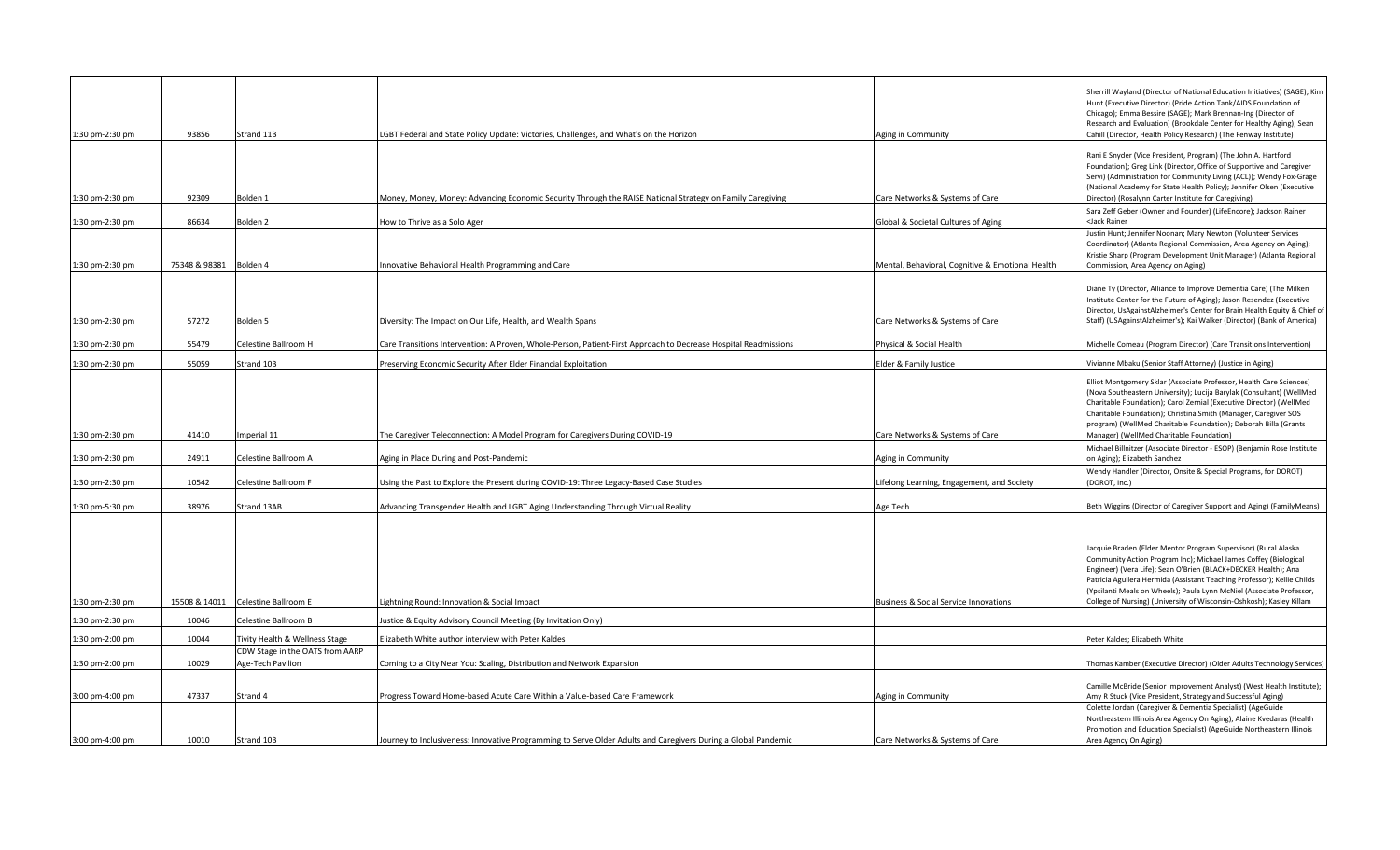| 1:30 pm-2:30 pm | 93856                  | Strand 11B                                           | LGBT Federal and State Policy Update: Victories, Challenges, and What's on the Horizon                          | Aging in Community                               | Sherrill Wayland (Director of National Education Initiatives) (SAGE); Kim<br>Hunt (Executive Director) (Pride Action Tank/AIDS Foundation of<br>Chicago); Emma Bessire (SAGE); Mark Brennan-Ing (Director of<br>Research and Evaluation) (Brookdale Center for Healthy Aging); Sean<br>Cahill (Director, Health Policy Research) (The Fenway Institute)                                                                        |
|-----------------|------------------------|------------------------------------------------------|-----------------------------------------------------------------------------------------------------------------|--------------------------------------------------|--------------------------------------------------------------------------------------------------------------------------------------------------------------------------------------------------------------------------------------------------------------------------------------------------------------------------------------------------------------------------------------------------------------------------------|
| 1:30 pm-2:30 pm | 92309                  | Bolden 1                                             | Money, Money, Money: Advancing Economic Security Through the RAISE National Strategy on Family Caregiving       | Care Networks & Systems of Care                  | Rani E Snyder (Vice President, Program) (The John A. Hartford<br>Foundation); Greg Link (Director, Office of Supportive and Caregiver<br>Servi) (Administration for Community Living (ACL)); Wendy Fox-Grage<br>(National Academy for State Health Policy); Jennifer Olsen (Executive<br>Director) (Rosalynn Carter Institute for Caregiving)                                                                                  |
| 1:30 pm-2:30 pm | 86634                  | Bolden <sub>2</sub>                                  | How to Thrive as a Solo Ager                                                                                    | Global & Societal Cultures of Aging              | Sara Zeff Geber (Owner and Founder) (LifeEncore); Jackson Rainer<br><jack rainer<="" td=""></jack>                                                                                                                                                                                                                                                                                                                             |
|                 |                        |                                                      |                                                                                                                 |                                                  | Justin Hunt; Jennifer Noonan; Mary Newton (Volunteer Services<br>Coordinator) (Atlanta Regional Commission, Area Agency on Aging);<br>Kristie Sharp (Program Development Unit Manager) (Atlanta Regional                                                                                                                                                                                                                       |
| 1:30 pm-2:30 pm | 75348 & 98381 Bolden 4 |                                                      | Innovative Behavioral Health Programming and Care                                                               | Mental, Behavioral, Cognitive & Emotional Health | Commission, Area Agency on Aging)                                                                                                                                                                                                                                                                                                                                                                                              |
| 1:30 pm-2:30 pm | 57272                  | Bolden 5                                             | Diversity: The Impact on Our Life, Health, and Wealth Spans                                                     | Care Networks & Systems of Care                  | Diane Ty (Director, Alliance to Improve Dementia Care) (The Milken<br>Institute Center for the Future of Aging); Jason Resendez (Executive<br>Director, UsAgainstAlzheimer's Center for Brain Health Equity & Chief of<br>Staff) (USAgainstAlzheimer's); Kai Walker (Director) (Bank of America)                                                                                                                               |
|                 |                        |                                                      |                                                                                                                 |                                                  |                                                                                                                                                                                                                                                                                                                                                                                                                                |
| 1:30 pm-2:30 pm | 55479                  | Celestine Ballroom H                                 | Care Transitions Intervention: A Proven, Whole-Person, Patient-First Approach to Decrease Hospital Readmissions | Physical & Social Health                         | Michelle Comeau (Program Director) (Care Transitions Intervention)                                                                                                                                                                                                                                                                                                                                                             |
| 1:30 pm-2:30 pm | 55059                  | Strand 10B                                           | Preserving Economic Security After Elder Financial Exploitation                                                 | Elder & Family Justice                           | Vivianne Mbaku (Senior Staff Attorney) (Justice in Aging)                                                                                                                                                                                                                                                                                                                                                                      |
| 1:30 pm-2:30 pm | 41410                  | Imperial 11                                          | The Caregiver Teleconnection: A Model Program for Caregivers During COVID-19                                    | Care Networks & Systems of Care                  | Elliot Montgomery Sklar (Associate Professor, Health Care Sciences)<br>(Nova Southeastern University); Lucija Barylak (Consultant) (WellMed<br>Charitable Foundation); Carol Zernial (Executive Director) (WellMed<br>Charitable Foundation); Christina Smith (Manager, Caregiver SOS<br>program) (WellMed Charitable Foundation); Deborah Billa (Grants<br>Manager) (WellMed Charitable Foundation)                           |
| 1:30 pm-2:30 pm | 24911                  | Celestine Ballroom A                                 | Aging in Place During and Post-Pandemic                                                                         | Aging in Community                               | Michael Billnitzer (Associate Director - ESOP) (Benjamin Rose Institute<br>on Aging); Elizabeth Sanchez                                                                                                                                                                                                                                                                                                                        |
| 1:30 pm-2:30 pm | 10542                  | Celestine Ballroom F                                 | Using the Past to Explore the Present during COVID-19: Three Legacy-Based Case Studies                          | Lifelong Learning, Engagement, and Society       | Wendy Handler (Director, Onsite & Special Programs, for DOROT)<br>(DOROT, Inc.)                                                                                                                                                                                                                                                                                                                                                |
| 1:30 pm-5:30 pm | 38976                  | Strand 13AB                                          | Advancing Transgender Health and LGBT Aging Understanding Through Virtual Reality                               | Age Tech                                         | Beth Wiggins (Director of Caregiver Support and Aging) (FamilyMeans)                                                                                                                                                                                                                                                                                                                                                           |
| 1:30 pm-2:30 pm |                        | 15508 & 14011 Celestine Ballroom E                   | Lightning Round: Innovation & Social Impact                                                                     | <b>Business &amp; Social Service Innovations</b> | Jacquie Braden (Elder Mentor Program Supervisor) (Rural Alaska<br>Community Action Program Inc); Michael James Coffey (Biological<br>Engineer) (Vera Life); Sean O'Brien (BLACK+DECKER Health); Ana<br>Patricia Aguilera Hermida (Assistant Teaching Professor); Kellie Childs<br>(Ypsilanti Meals on Wheels); Paula Lynn McNiel (Associate Professor,<br>College of Nursing) (University of Wisconsin-Oshkosh); Kasley Killam |
| 1:30 pm-2:30 pm | 10046                  | Celestine Ballroom B                                 | Justice & Equity Advisory Council Meeting (By Invitation Only)                                                  |                                                  |                                                                                                                                                                                                                                                                                                                                                                                                                                |
| 1:30 pm-2:00 pm | 10044                  | Tivity Health & Wellness Stage                       | Elizabeth White author interview with Peter Kaldes                                                              |                                                  | Peter Kaldes; Elizabeth White                                                                                                                                                                                                                                                                                                                                                                                                  |
| 1:30 pm-2:00 pm | 10029                  | CDW Stage in the OATS from AARP<br>Age-Tech Pavilion | Coming to a City Near You: Scaling, Distribution and Network Expansion                                          |                                                  | Thomas Kamber (Executive Director) (Older Adults Technology Services)                                                                                                                                                                                                                                                                                                                                                          |
| 3:00 pm-4:00 pm | 47337                  | Strand 4                                             | Progress Toward Home-based Acute Care Within a Value-based Care Framework                                       | Aging in Community                               | Camille McBride (Senior Improvement Analyst) (West Health Institute);<br>Amy R Stuck (Vice President, Strategy and Successful Aging)<br>Colette Jordan (Caregiver & Dementia Specialist) (AgeGuide                                                                                                                                                                                                                             |
| 3:00 pm-4:00 pm | 10010                  | Strand 10B                                           | Journey to Inclusiveness: Innovative Programming to Serve Older Adults and Caregivers During a Global Pandemic  | Care Networks & Systems of Care                  | Northeastern Illinois Area Agency On Aging); Alaine Kvedaras (Health<br>Promotion and Education Specialist) (AgeGuide Northeastern Illinois<br>Area Agency On Aging)                                                                                                                                                                                                                                                           |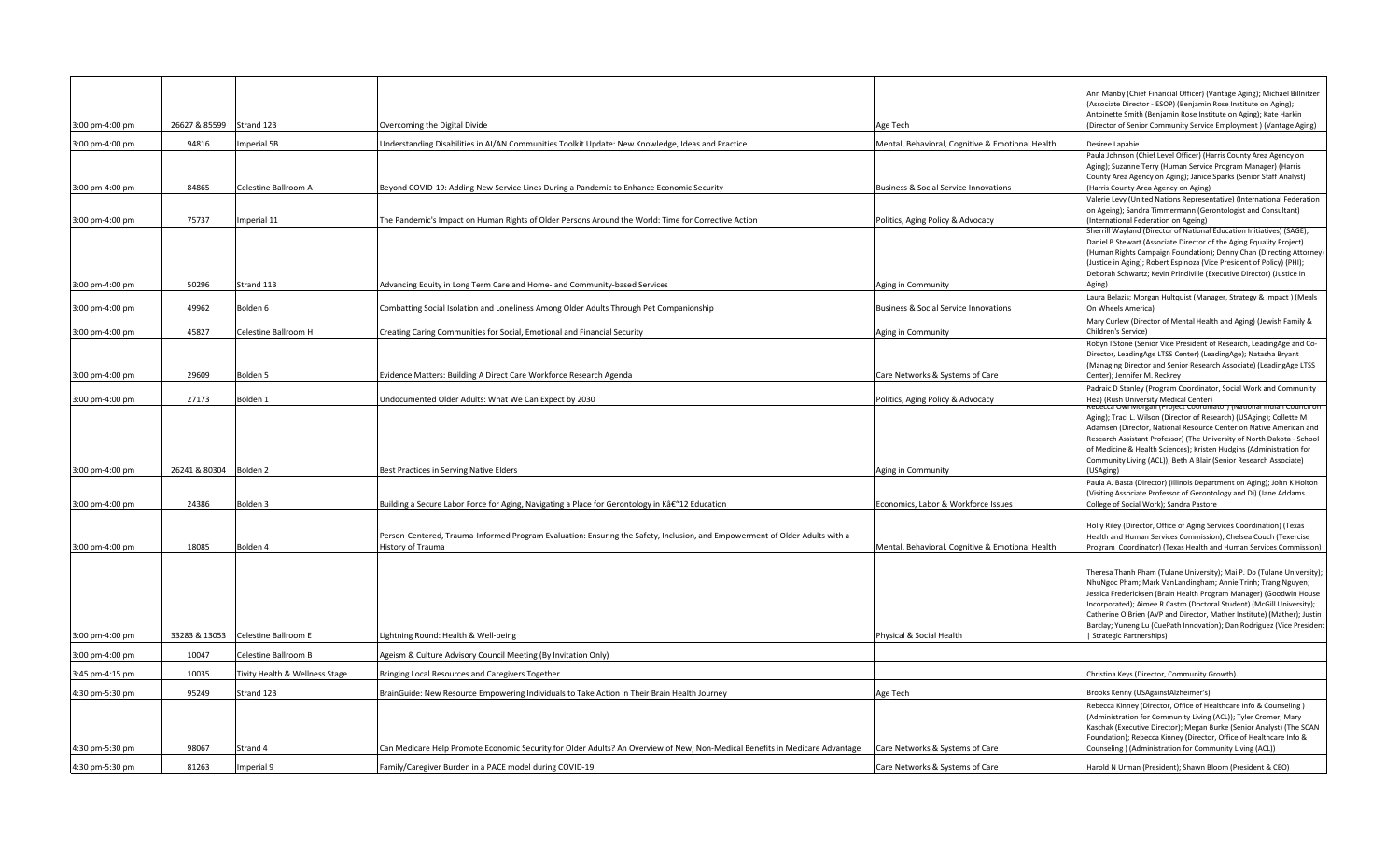|                 |                        |                                |                                                                                                                                                  |                                                  | Ann Manby (Chief Financial Officer) (Vantage Aging); Michael Billnitzer                                                                    |
|-----------------|------------------------|--------------------------------|--------------------------------------------------------------------------------------------------------------------------------------------------|--------------------------------------------------|--------------------------------------------------------------------------------------------------------------------------------------------|
|                 |                        |                                |                                                                                                                                                  |                                                  | (Associate Director - ESOP) (Benjamin Rose Institute on Aging);<br>Antoinette Smith (Benjamin Rose Institute on Aging); Kate Harkin        |
| 3:00 pm-4:00 pm | 26627 & 85599          | Strand 12B                     | Overcoming the Digital Divide                                                                                                                    | Age Tech                                         | (Director of Senior Community Service Employment) (Vantage Aging)                                                                          |
| 3:00 pm-4:00 pm | 94816                  | mperial 5B                     | Jnderstanding Disabilities in AI/AN Communities Toolkit Update: New Knowledge, Ideas and Practice                                                | Mental, Behavioral, Cognitive & Emotional Health | Desiree Lapahie                                                                                                                            |
|                 |                        |                                |                                                                                                                                                  |                                                  | Paula Johnson (Chief Level Officer) (Harris County Area Agency on                                                                          |
|                 |                        |                                |                                                                                                                                                  |                                                  | Aging); Suzanne Terry (Human Service Program Manager) (Harris<br>County Area Agency on Aging); Janice Sparks (Senior Staff Analyst)        |
| 3:00 pm-4:00 pm | 84865                  | Celestine Ballroom A           | Beyond COVID-19: Adding New Service Lines During a Pandemic to Enhance Economic Security                                                         | <b>Business &amp; Social Service Innovations</b> | (Harris County Area Agency on Aging)                                                                                                       |
|                 |                        |                                |                                                                                                                                                  |                                                  | Valerie Levy (United Nations Representative) (International Federation                                                                     |
| 3:00 pm-4:00 pm | 75737                  | Imperial 11                    | The Pandemic's Impact on Human Rights of Older Persons Around the World: Time for Corrective Action                                              | Politics, Aging Policy & Advocacy                | on Ageing); Sandra Timmermann (Gerontologist and Consultant)<br>(International Federation on Ageing)                                       |
|                 |                        |                                |                                                                                                                                                  |                                                  | Sherrill Wayland (Director of National Education Initiatives) (SAGE);                                                                      |
|                 |                        |                                |                                                                                                                                                  |                                                  | Daniel B Stewart (Associate Director of the Aging Equality Project)<br>(Human Rights Campaign Foundation); Denny Chan (Directing Attorney) |
|                 |                        |                                |                                                                                                                                                  |                                                  | (Justice in Aging); Robert Espinoza (Vice President of Policy) (PHI);                                                                      |
|                 |                        |                                |                                                                                                                                                  |                                                  | Deborah Schwartz; Kevin Prindiville (Executive Director) (Justice in                                                                       |
| 3:00 pm-4:00 pm | 50296                  | Strand 11B                     | Advancing Equity in Long Term Care and Home- and Community-based Services                                                                        | Aging in Community                               | Aging)<br>Laura Belazis; Morgan Hultquist (Manager, Strategy & Impact) (Meals                                                              |
| 3:00 pm-4:00 pm | 49962                  | Bolden 6                       | Combatting Social Isolation and Loneliness Among Older Adults Through Pet Companionship                                                          | <b>Business &amp; Social Service Innovations</b> | On Wheels America)                                                                                                                         |
|                 |                        |                                |                                                                                                                                                  |                                                  | Mary Curlew (Director of Mental Health and Aging) (Jewish Family &                                                                         |
| 3:00 pm-4:00 pm | 45827                  | Celestine Ballroom H           | Creating Caring Communities for Social, Emotional and Financial Security                                                                         | Aging in Community                               | Children's Service)<br>Robyn I Stone (Senior Vice President of Research, LeadingAge and Co-                                                |
|                 |                        |                                |                                                                                                                                                  |                                                  | Director, LeadingAge LTSS Center) (LeadingAge); Natasha Bryant                                                                             |
|                 |                        |                                |                                                                                                                                                  |                                                  | (Managing Director and Senior Research Associate) (LeadingAge LTSS                                                                         |
| 3:00 pm-4:00 pm | 29609                  | Bolden <sub>5</sub>            | Evidence Matters: Building A Direct Care Workforce Research Agenda                                                                               | Care Networks & Systems of Care                  | Center); Jennifer M. Reckrey                                                                                                               |
| 3:00 pm-4:00 pm | 27173                  | Bolden 1                       | Undocumented Older Adults: What We Can Expect by 2030                                                                                            | Politics, Aging Policy & Advocacy                | Padraic D Stanley (Program Coordinator, Social Work and Community<br>Hea) (Rush University Medical Center)                                 |
|                 |                        |                                |                                                                                                                                                  |                                                  | tebecca Owi Morgan (Project Coordinator) (National Indian Council on                                                                       |
|                 |                        |                                |                                                                                                                                                  |                                                  | Aging); Traci L. Wilson (Director of Research) (USAging); Collette M<br>Adamsen (Director, National Resource Center on Native American and |
|                 |                        |                                |                                                                                                                                                  |                                                  | Research Assistant Professor) (The University of North Dakota - School                                                                     |
|                 |                        |                                |                                                                                                                                                  |                                                  | of Medicine & Health Sciences); Kristen Hudgins (Administration for<br>Community Living (ACL)); Beth A Blair (Senior Research Associate)   |
| 3:00 pm-4:00 pm | 26241 & 80304 Bolden 2 |                                | Best Practices in Serving Native Elders                                                                                                          | Aging in Community                               | (USAging)                                                                                                                                  |
|                 |                        |                                |                                                                                                                                                  |                                                  | Paula A. Basta (Director) (Illinois Department on Aging); John K Holton                                                                    |
| 3:00 pm-4:00 pm | 24386                  | Bolden <sub>3</sub>            | Building a Secure Labor Force for Aging, Navigating a Place for Gerontology in Kâ€"12 Education                                                  | Economics, Labor & Workforce Issues              | (Visiting Associate Professor of Gerontology and Di) (Jane Addams<br>College of Social Work); Sandra Pastore                               |
|                 |                        |                                |                                                                                                                                                  |                                                  |                                                                                                                                            |
|                 |                        |                                |                                                                                                                                                  |                                                  | Holly Riley (Director, Office of Aging Services Coordination) (Texas                                                                       |
| 3:00 pm-4:00 pm | 18085                  | Bolden 4                       | Person-Centered, Trauma-Informed Program Evaluation: Ensuring the Safety, Inclusion, and Empowerment of Older Adults with a<br>History of Trauma | Mental, Behavioral, Cognitive & Emotional Health | Health and Human Services Commission); Chelsea Couch (Texercise<br>Program Coordinator) (Texas Health and Human Services Commission)       |
|                 |                        |                                |                                                                                                                                                  |                                                  |                                                                                                                                            |
|                 |                        |                                |                                                                                                                                                  |                                                  | [heresa Thanh Pham (Tulane University); Mai P. Do (Tulane University);                                                                     |
|                 |                        |                                |                                                                                                                                                  |                                                  | NhuNgoc Pham; Mark VanLandingham; Annie Trinh; Trang Nguyen;<br>Iessica Fredericksen (Brain Health Program Manager) (Goodwin House         |
|                 |                        |                                |                                                                                                                                                  |                                                  | Incorporated); Aimee R Castro (Doctoral Student) (McGill University);                                                                      |
|                 |                        |                                |                                                                                                                                                  |                                                  | Catherine O'Brien (AVP and Director, Mather Institute) (Mather); Justin                                                                    |
| 3:00 pm-4:00 pm | 33283 & 13053          | Celestine Ballroom E           | ightning Round: Health & Well-being.                                                                                                             | Physical & Social Health                         | Barclay; Yuneng Lu (CuePath Innovation); Dan Rodriguez (Vice President<br><b>Strategic Partnerships)</b>                                   |
| 3:00 pm-4:00 pm | 10047                  | Celestine Ballroom B           | Ageism & Culture Advisory Council Meeting (By Invitation Only)                                                                                   |                                                  |                                                                                                                                            |
| 3:45 pm-4:15 pm | 10035                  | Fivity Health & Wellness Stage | Bringing Local Resources and Caregivers Together                                                                                                 |                                                  | Christina Keys (Director, Community Growth)                                                                                                |
|                 |                        |                                |                                                                                                                                                  |                                                  |                                                                                                                                            |
| 4:30 pm-5:30 pm | 95249                  | Strand 12B                     | BrainGuide: New Resource Empowering Individuals to Take Action in Their Brain Health Journey                                                     | Age Tech                                         | Brooks Kenny (USAgainstAlzheimer's)<br>Rebecca Kinney (Director, Office of Healthcare Info & Counseling)                                   |
|                 |                        |                                |                                                                                                                                                  |                                                  | (Administration for Community Living (ACL)); Tyler Cromer; Mary                                                                            |
|                 |                        |                                |                                                                                                                                                  |                                                  | Kaschak (Executive Director); Megan Burke (Senior Analyst) (The SCAN                                                                       |
| 4:30 pm-5:30 pm | 98067                  | Strand 4                       | Can Medicare Help Promote Economic Security for Older Adults? An Overview of New, Non-Medical Benefits in Medicare Advantage                     | Care Networks & Systems of Care                  | Foundation); Rebecca Kinney (Director, Office of Healthcare Info &<br>Counseling ) (Administration for Community Living (ACL))             |
| 4:30 pm-5:30 pm | 81263                  | mperial 9                      | Family/Caregiver Burden in a PACE model during COVID-19                                                                                          | Care Networks & Systems of Care                  | Harold N Urman (President); Shawn Bloom (President & CEO)                                                                                  |
|                 |                        |                                |                                                                                                                                                  |                                                  |                                                                                                                                            |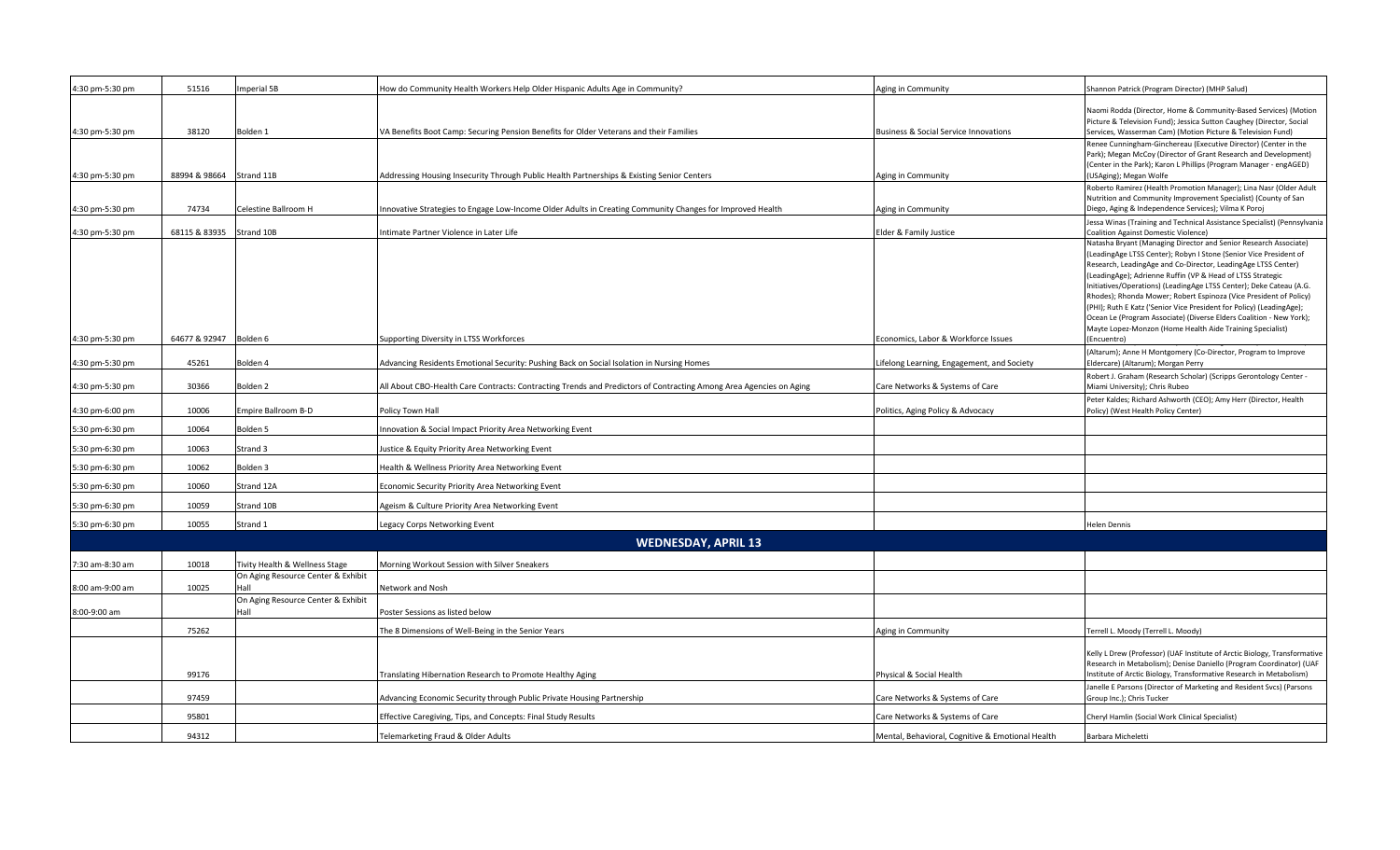| 4:30 pm-5:30 pm | 51516         | mperial 5B                                 | How do Community Health Workers Help Older Hispanic Adults Age in Community?                                       | Aging in Community                               | Shannon Patrick (Program Director) (MHP Salud)                                                                                                                                                                                                                                                                                                                                                                                                                                                                                                                                                                                              |
|-----------------|---------------|--------------------------------------------|--------------------------------------------------------------------------------------------------------------------|--------------------------------------------------|---------------------------------------------------------------------------------------------------------------------------------------------------------------------------------------------------------------------------------------------------------------------------------------------------------------------------------------------------------------------------------------------------------------------------------------------------------------------------------------------------------------------------------------------------------------------------------------------------------------------------------------------|
| 4:30 pm-5:30 pm | 38120         | Bolden 1                                   | VA Benefits Boot Camp: Securing Pension Benefits for Older Veterans and their Families                             | Business & Social Service Innovations            | Naomi Rodda (Director, Home & Community-Based Services) (Motion<br>Picture & Television Fund); Jessica Sutton Caughey (Director, Social<br>Services, Wasserman Cam) (Motion Picture & Television Fund)                                                                                                                                                                                                                                                                                                                                                                                                                                      |
| 4:30 pm-5:30 pm | 88994 & 98664 | Strand 11B                                 | Addressing Housing Insecurity Through Public Health Partnerships & Existing Senior Centers                         | Aging in Community                               | Renee Cunningham-Ginchereau (Executive Director) (Center in the<br>Park); Megan McCoy (Director of Grant Research and Development)<br>(Center in the Park); Karon L Phillips (Program Manager - engAGED)<br>(USAging); Megan Wolfe                                                                                                                                                                                                                                                                                                                                                                                                          |
|                 |               |                                            |                                                                                                                    |                                                  | Roberto Ramirez (Health Promotion Manager); Lina Nasr (Older Adult<br>Nutrition and Community Improvement Specialist) (County of San                                                                                                                                                                                                                                                                                                                                                                                                                                                                                                        |
| 4:30 pm-5:30 pm | 74734         | Celestine Ballroom H                       | nnovative Strategies to Engage Low-Income Older Adults in Creating Community Changes for Improved Health           | Aging in Community                               | Diego, Aging & Independence Services); Vilma K Poroj                                                                                                                                                                                                                                                                                                                                                                                                                                                                                                                                                                                        |
| 4:30 pm-5:30 pm | 68115 & 83935 | Strand 10B                                 | ntimate Partner Violence in Later Life                                                                             | Elder & Family Justice                           | Jessa Winas (Training and Technical Assistance Specialist) (Pennsylvania<br><b>Coalition Against Domestic Violence)</b>                                                                                                                                                                                                                                                                                                                                                                                                                                                                                                                     |
| 4:30 pm-5:30 pm | 64677 & 92947 | Bolden 6                                   | Supporting Diversity in LTSS Workforces                                                                            | Economics, Labor & Workforce Issues              | Natasha Bryant (Managing Director and Senior Research Associate)<br>(LeadingAge LTSS Center); Robyn I Stone (Senior Vice President of<br>Research, LeadingAge and Co-Director, LeadingAge LTSS Center)<br>(LeadingAge); Adrienne Ruffin (VP & Head of LTSS Strategic<br>Initiatives/Operations) (LeadingAge LTSS Center); Deke Cateau (A.G.<br>Rhodes); Rhonda Mower; Robert Espinoza (Vice President of Policy)<br>(PHI); Ruth E Katz ('Senior Vice President for Policy) (LeadingAge);<br>Ocean Le (Program Associate) (Diverse Elders Coalition - New York);<br>Mayte Lopez-Monzon (Home Health Aide Training Specialist)<br>(Encuentro) |
|                 |               |                                            |                                                                                                                    |                                                  | (Altarum); Anne H Montgomery (Co-Director, Program to Improve                                                                                                                                                                                                                                                                                                                                                                                                                                                                                                                                                                               |
| 4:30 pm-5:30 pm | 45261         | Bolden 4                                   | Advancing Residents Emotional Security: Pushing Back on Social Isolation in Nursing Homes                          | ifelong Learning, Engagement, and Society.       | Eldercare) (Altarum); Morgan Perry                                                                                                                                                                                                                                                                                                                                                                                                                                                                                                                                                                                                          |
| 4:30 pm-5:30 pm | 30366         | Bolden <sub>2</sub>                        | All About CBO-Health Care Contracts: Contracting Trends and Predictors of Contracting Among Area Agencies on Aging | Care Networks & Systems of Care                  | Robert J. Graham (Research Scholar) (Scripps Gerontology Center -<br>Miami University); Chris Rubeo                                                                                                                                                                                                                                                                                                                                                                                                                                                                                                                                         |
| 4:30 pm-6:00 pm | 10006         | Empire Ballroom B-D                        | Policy Town Hall                                                                                                   | Politics, Aging Policy & Advocacy                | Peter Kaldes; Richard Ashworth (CEO); Amy Herr (Director, Health<br>Policy) (West Health Policy Center)                                                                                                                                                                                                                                                                                                                                                                                                                                                                                                                                     |
| 5:30 pm-6:30 pm | 10064         | Bolden 5                                   | nnovation & Social Impact Priority Area Networking Event                                                           |                                                  |                                                                                                                                                                                                                                                                                                                                                                                                                                                                                                                                                                                                                                             |
| 5:30 pm-6:30 pm | 10063         | Strand 3                                   | lustice & Equity Priority Area Networking Event                                                                    |                                                  |                                                                                                                                                                                                                                                                                                                                                                                                                                                                                                                                                                                                                                             |
| 5:30 pm-6:30 pm | 10062         | Bolden <sub>3</sub>                        | Health & Wellness Priority Area Networking Event                                                                   |                                                  |                                                                                                                                                                                                                                                                                                                                                                                                                                                                                                                                                                                                                                             |
| 5:30 pm-6:30 pm | 10060         | Strand 12A                                 | Economic Security Priority Area Networking Event                                                                   |                                                  |                                                                                                                                                                                                                                                                                                                                                                                                                                                                                                                                                                                                                                             |
| 5:30 pm-6:30 pm | 10059         | Strand 10B                                 | Ageism & Culture Priority Area Networking Event                                                                    |                                                  |                                                                                                                                                                                                                                                                                                                                                                                                                                                                                                                                                                                                                                             |
| 5:30 pm-6:30 pm | 10055         | Strand 1                                   | Legacy Corps Networking Event                                                                                      |                                                  | Helen Dennis                                                                                                                                                                                                                                                                                                                                                                                                                                                                                                                                                                                                                                |
|                 |               |                                            | <b>WEDNESDAY, APRIL 13</b>                                                                                         |                                                  |                                                                                                                                                                                                                                                                                                                                                                                                                                                                                                                                                                                                                                             |
| 7:30 am-8:30 am | 10018         | Tivity Health & Wellness Stage             | Morning Workout Session with Silver Sneakers                                                                       |                                                  |                                                                                                                                                                                                                                                                                                                                                                                                                                                                                                                                                                                                                                             |
| 8:00 am-9:00 am | 10025         | On Aging Resource Center & Exhibit<br>Hall | Network and Nosh                                                                                                   |                                                  |                                                                                                                                                                                                                                                                                                                                                                                                                                                                                                                                                                                                                                             |
| 8:00-9:00 am    |               | On Aging Resource Center & Exhibit<br>Hall | Poster Sessions as listed below                                                                                    |                                                  |                                                                                                                                                                                                                                                                                                                                                                                                                                                                                                                                                                                                                                             |
|                 | 75262         |                                            | The 8 Dimensions of Well-Being in the Senior Years                                                                 | Aging in Community                               | Terrell L. Moody (Terrell L. Moody)                                                                                                                                                                                                                                                                                                                                                                                                                                                                                                                                                                                                         |
|                 |               |                                            |                                                                                                                    |                                                  |                                                                                                                                                                                                                                                                                                                                                                                                                                                                                                                                                                                                                                             |
|                 | 99176         |                                            | Translating Hibernation Research to Promote Healthy Aging                                                          | Physical & Social Health                         | Kelly L Drew (Professor) (UAF Institute of Arctic Biology, Transformative<br>Research in Metabolism); Denise Daniello (Program Coordinator) (UAF<br>Institute of Arctic Biology, Transformative Research in Metabolism)                                                                                                                                                                                                                                                                                                                                                                                                                     |
|                 | 97459         |                                            | Advancing Economic Security through Public Private Housing Partnership                                             | Care Networks & Systems of Care                  | Janelle E Parsons (Director of Marketing and Resident Svcs) (Parsons<br>Group Inc.); Chris Tucker                                                                                                                                                                                                                                                                                                                                                                                                                                                                                                                                           |
|                 | 95801         |                                            | Effective Caregiving, Tips, and Concepts: Final Study Results                                                      | Care Networks & Systems of Care                  | Cheryl Hamlin (Social Work Clinical Specialist)                                                                                                                                                                                                                                                                                                                                                                                                                                                                                                                                                                                             |
|                 | 94312         |                                            | Telemarketing Fraud & Older Adults                                                                                 | Mental, Behavioral, Cognitive & Emotional Health | Barbara Micheletti                                                                                                                                                                                                                                                                                                                                                                                                                                                                                                                                                                                                                          |
|                 |               |                                            |                                                                                                                    |                                                  |                                                                                                                                                                                                                                                                                                                                                                                                                                                                                                                                                                                                                                             |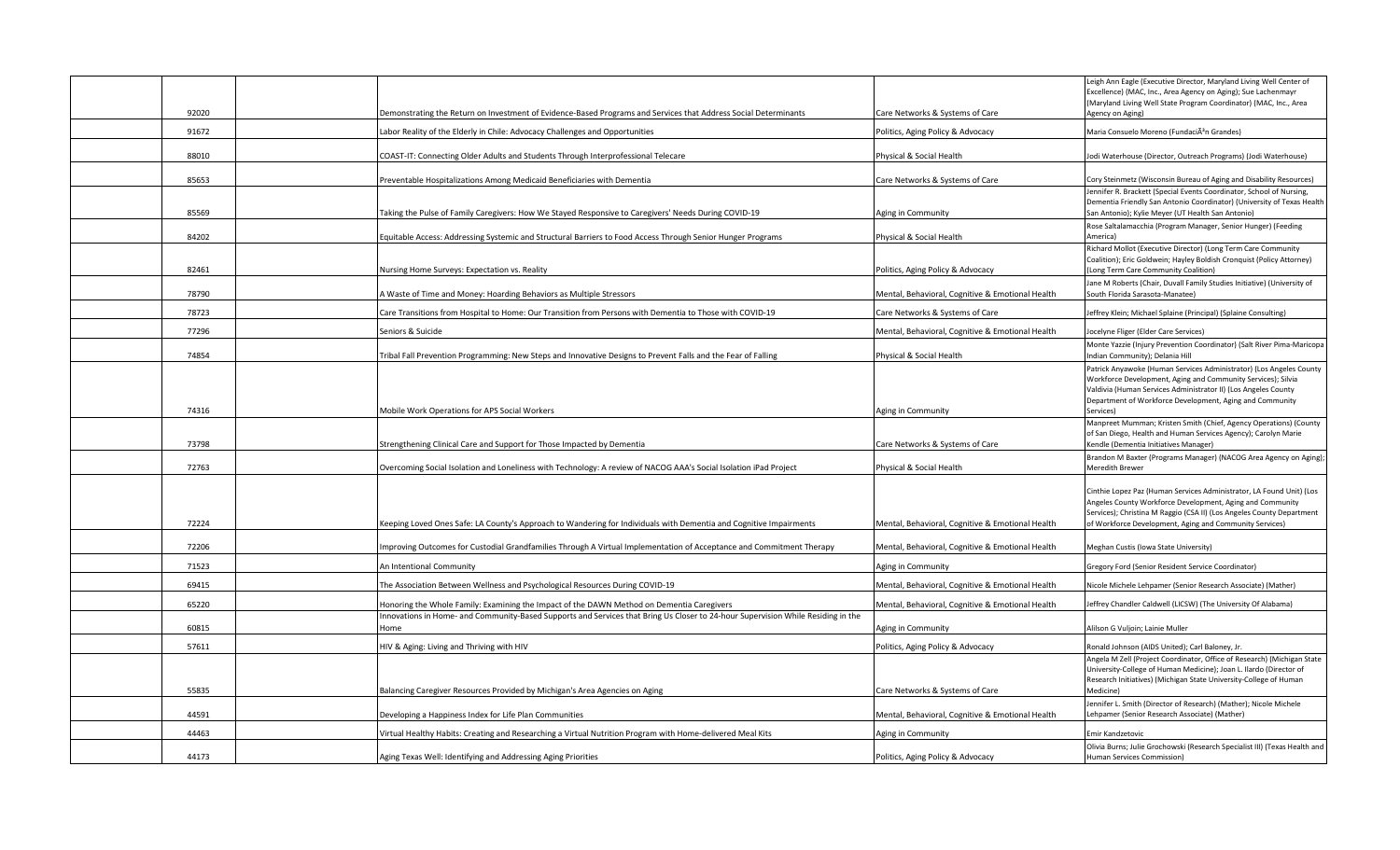|       |                                                                                                                                                                                                                              |                                                  | Leigh Ann Eagle (Executive Director, Maryland Living Well Center of<br>Excellence) (MAC, Inc., Area Agency on Aging); Sue Lachenmayr<br>(Maryland Living Well State Program Coordinator) (MAC, Inc., Area                                                             |
|-------|------------------------------------------------------------------------------------------------------------------------------------------------------------------------------------------------------------------------------|--------------------------------------------------|-----------------------------------------------------------------------------------------------------------------------------------------------------------------------------------------------------------------------------------------------------------------------|
| 92020 | Demonstrating the Return on Investment of Evidence-Based Programs and Services that Address Social Determinants                                                                                                              | Care Networks & Systems of Care                  | Agency on Aging)                                                                                                                                                                                                                                                      |
| 91672 | Labor Reality of the Elderly in Chile: Advocacy Challenges and Opportunities                                                                                                                                                 | Politics, Aging Policy & Advocacy                | Maria Consuelo Moreno (FundaciÃ <sup>3</sup> n Grandes)                                                                                                                                                                                                               |
| 88010 | COAST-IT: Connecting Older Adults and Students Through Interprofessional Telecare                                                                                                                                            | Physical & Social Health                         | Jodi Waterhouse (Director, Outreach Programs) (Jodi Waterhouse)                                                                                                                                                                                                       |
| 85653 | Preventable Hospitalizations Among Medicaid Beneficiaries with Dementia                                                                                                                                                      | Care Networks & Systems of Care                  | Cory Steinmetz (Wisconsin Bureau of Aging and Disability Resources)                                                                                                                                                                                                   |
|       |                                                                                                                                                                                                                              |                                                  | Jennifer R. Brackett (Special Events Coordinator, School of Nursing,                                                                                                                                                                                                  |
| 85569 | Taking the Pulse of Family Caregivers: How We Stayed Responsive to Caregivers' Needs During COVID-19                                                                                                                         | Aging in Community                               | Dementia Friendly San Antonio Coordinator) (University of Texas Health<br>San Antonio); Kylie Meyer (UT Health San Antonio)                                                                                                                                           |
| 84202 | Equitable Access: Addressing Systemic and Structural Barriers to Food Access Through Senior Hunger Programs                                                                                                                  | Physical & Social Health                         | Rose Saltalamacchia (Program Manager, Senior Hunger) (Feeding<br>America)                                                                                                                                                                                             |
|       |                                                                                                                                                                                                                              |                                                  | Richard Mollot (Executive Director) (Long Term Care Community                                                                                                                                                                                                         |
| 82461 | Nursing Home Surveys: Expectation vs. Reality                                                                                                                                                                                | Politics, Aging Policy & Advocacy                | Coalition); Eric Goldwein; Hayley Boldish Cronquist (Policy Attorney)<br>(Long Term Care Community Coalition)                                                                                                                                                         |
| 78790 | A Waste of Time and Money: Hoarding Behaviors as Multiple Stressors                                                                                                                                                          | Mental, Behavioral, Cognitive & Emotional Health | Jane M Roberts (Chair, Duvall Family Studies Initiative) (University of<br>South Florida Sarasota-Manatee)                                                                                                                                                            |
|       |                                                                                                                                                                                                                              |                                                  |                                                                                                                                                                                                                                                                       |
| 78723 | Care Transitions from Hospital to Home: Our Transition from Persons with Dementia to Those with COVID-19                                                                                                                     | Care Networks & Systems of Care                  | Jeffrey Klein; Michael Splaine (Principal) (Splaine Consulting)                                                                                                                                                                                                       |
| 77296 | Seniors & Suicide                                                                                                                                                                                                            | Mental, Behavioral, Cognitive & Emotional Health | Jocelyne Fliger (Elder Care Services)<br>Monte Yazzie (Injury Prevention Coordinator) (Salt River Pima-Maricopa                                                                                                                                                       |
| 74854 | Tribal Fall Prevention Programming: New Steps and Innovative Designs to Prevent Falls and the Fear of Falling                                                                                                                | Physical & Social Health                         | Indian Community); Delania Hill                                                                                                                                                                                                                                       |
|       |                                                                                                                                                                                                                              |                                                  | Patrick Anyawoke (Human Services Administrator) (Los Angeles County<br>Workforce Development, Aging and Community Services); Silvia<br>Valdivia (Human Services Administrator II) (Los Angeles County<br>Department of Workforce Development, Aging and Community     |
| 74316 | Mobile Work Operations for APS Social Workers                                                                                                                                                                                | Aging in Community                               | Services)                                                                                                                                                                                                                                                             |
| 73798 | Strengthening Clinical Care and Support for Those Impacted by Dementia                                                                                                                                                       | Care Networks & Systems of Care                  | Manpreet Mumman; Kristen Smith (Chief, Agency Operations) (County<br>of San Diego, Health and Human Services Agency); Carolyn Marie<br>Kendle (Dementia Initiatives Manager)                                                                                          |
| 72763 | Overcoming Social Isolation and Loneliness with Technology: A review of NACOG AAA's Social Isolation iPad Project                                                                                                            | Physical & Social Health                         | Brandon M Baxter (Programs Manager) (NACOG Area Agency on Aging);<br>Meredith Brewer                                                                                                                                                                                  |
| 72224 | Keeping Loved Ones Safe: LA County's Approach to Wandering for Individuals with Dementia and Cognitive Impairments                                                                                                           | Mental, Behavioral, Cognitive & Emotional Health | Cinthie Lopez Paz (Human Services Administrator, LA Found Unit) (Los<br>Angeles County Workforce Development, Aging and Community<br>Services); Christina M Raggio (CSA II) (Los Angeles County Department<br>of Workforce Development, Aging and Community Services) |
| 72206 | mproving Outcomes for Custodial Grandfamilies Through A Virtual Implementation of Acceptance and Commitment Therapy                                                                                                          | Mental, Behavioral, Cognitive & Emotional Health | Meghan Custis (Iowa State University)                                                                                                                                                                                                                                 |
| 71523 | An Intentional Community                                                                                                                                                                                                     | Aging in Community                               | Gregory Ford (Senior Resident Service Coordinator)                                                                                                                                                                                                                    |
| 69415 |                                                                                                                                                                                                                              |                                                  |                                                                                                                                                                                                                                                                       |
|       | The Association Between Wellness and Psychological Resources During COVID-19                                                                                                                                                 | Mental, Behavioral, Cognitive & Emotional Health | Nicole Michele Lehpamer (Senior Research Associate) (Mather)                                                                                                                                                                                                          |
| 65220 | Honoring the Whole Family: Examining the Impact of the DAWN Method on Dementia Caregivers<br>nnovations in Home- and Community-Based Supports and Services that Bring Us Closer to 24-hour Supervision While Residing in the | Mental, Behavioral, Cognitive & Emotional Health | Jeffrey Chandler Caldwell (LICSW) (The University Of Alabama)                                                                                                                                                                                                         |
| 60815 | Home                                                                                                                                                                                                                         | Aging in Community                               | Alilson G Vuljoin; Lainie Muller                                                                                                                                                                                                                                      |
| 57611 | HIV & Aging: Living and Thriving with HIV                                                                                                                                                                                    | Politics, Aging Policy & Advocacy                | Ronald Johnson (AIDS United); Carl Baloney, Jr.                                                                                                                                                                                                                       |
| 55835 | Balancing Caregiver Resources Provided by Michigan's Area Agencies on Aging                                                                                                                                                  | Care Networks & Systems of Care                  | Angela M Zell (Project Coordinator, Office of Research) (Michigan State<br>University-College of Human Medicine); Joan L. Ilardo (Director of<br>Research Initiatives) (Michigan State University-College of Human<br>Medicine)                                       |
| 44591 | Developing a Happiness Index for Life Plan Communities                                                                                                                                                                       | Mental, Behavioral, Cognitive & Emotional Health | Jennifer L. Smith (Director of Research) (Mather); Nicole Michele<br>Lehpamer (Senior Research Associate) (Mather)                                                                                                                                                    |
| 44463 | Virtual Healthy Habits: Creating and Researching a Virtual Nutrition Program with Home-delivered Meal Kits                                                                                                                   | Aging in Community                               | Emir Kandzetovic                                                                                                                                                                                                                                                      |
|       |                                                                                                                                                                                                                              |                                                  | Olivia Burns; Julie Grochowski (Research Specialist III) (Texas Health and                                                                                                                                                                                            |
| 44173 | Aging Texas Well: Identifying and Addressing Aging Priorities                                                                                                                                                                | Politics, Aging Policy & Advocacy                | Human Services Commission)                                                                                                                                                                                                                                            |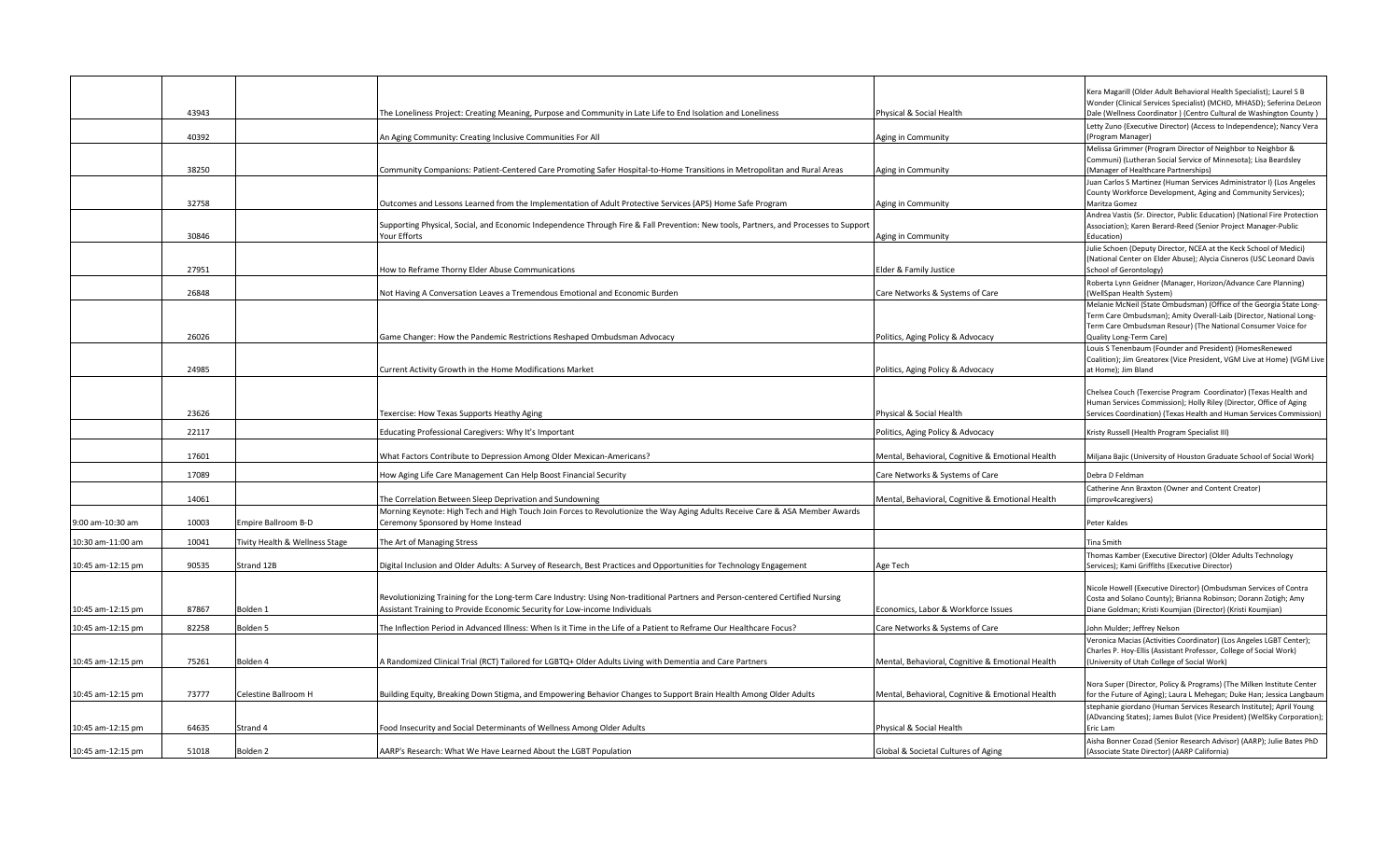|                   |       |                                |                                                                                                                                                                    |                                                  | Kera Magarill (Older Adult Behavioral Health Specialist); Laurel S B                                                                           |
|-------------------|-------|--------------------------------|--------------------------------------------------------------------------------------------------------------------------------------------------------------------|--------------------------------------------------|------------------------------------------------------------------------------------------------------------------------------------------------|
|                   | 43943 |                                | The Loneliness Project: Creating Meaning, Purpose and Community in Late Life to End Isolation and Loneliness                                                       | Physical & Social Health                         | Wonder (Clinical Services Specialist) (MCHD, MHASD); Seferina DeLeon<br>Dale (Wellness Coordinator) (Centro Cultural de Washington County)     |
|                   |       |                                |                                                                                                                                                                    |                                                  | Letty Zuno (Executive Director) (Access to Independence); Nancy Vera                                                                           |
|                   | 40392 |                                | An Aging Community: Creating Inclusive Communities For All                                                                                                         | Aging in Community                               | (Program Manager)                                                                                                                              |
|                   |       |                                |                                                                                                                                                                    |                                                  | Melissa Grimmer (Program Director of Neighbor to Neighbor &                                                                                    |
|                   | 38250 |                                | Community Companions: Patient-Centered Care Promoting Safer Hospital-to-Home Transitions in Metropolitan and Rural Areas                                           | Aging in Community                               | Communi) (Lutheran Social Service of Minnesota); Lisa Beardsley<br>(Manager of Healthcare Partnerships)                                        |
|                   |       |                                |                                                                                                                                                                    |                                                  | Juan Carlos S Martinez (Human Services Administrator I) (Los Angeles                                                                           |
|                   | 32758 |                                | Outcomes and Lessons Learned from the Implementation of Adult Protective Services (APS) Home Safe Program                                                          | Aging in Community                               | County Workforce Development, Aging and Community Services);<br>Maritza Gomez                                                                  |
|                   |       |                                |                                                                                                                                                                    |                                                  | Andrea Vastis (Sr. Director, Public Education) (National Fire Protection                                                                       |
|                   |       |                                | Supporting Physical, Social, and Economic Independence Through Fire & Fall Prevention: New tools, Partners, and Processes to Support                               |                                                  | Association); Karen Berard-Reed (Senior Project Manager-Public                                                                                 |
|                   | 30846 |                                | Your Efforts                                                                                                                                                       | Aging in Community                               | Education)<br>Julie Schoen (Deputy Director, NCEA at the Keck School of Medici)                                                                |
|                   |       |                                |                                                                                                                                                                    |                                                  | (National Center on Elder Abuse); Alycia Cisneros (USC Leonard Davis                                                                           |
|                   | 27951 |                                | How to Reframe Thorny Elder Abuse Communications                                                                                                                   | Elder & Family Justice                           | School of Gerontology)                                                                                                                         |
|                   | 26848 |                                |                                                                                                                                                                    | Care Networks & Systems of Care                  | Roberta Lynn Geidner (Manager, Horizon/Advance Care Planning)<br>(WellSpan Health System)                                                      |
|                   |       |                                | Not Having A Conversation Leaves a Tremendous Emotional and Economic Burden                                                                                        |                                                  | Melanie McNeil (State Ombudsman) (Office of the Georgia State Long-                                                                            |
|                   |       |                                |                                                                                                                                                                    |                                                  | Ferm Care Ombudsman); Amity Overall-Laib (Director, National Long-                                                                             |
|                   | 26026 |                                | Game Changer: How the Pandemic Restrictions Reshaped Ombudsman Advocacy                                                                                            | Politics, Aging Policy & Advocacy                | Term Care Ombudsman Resour) (The National Consumer Voice for<br>Quality Long-Term Care)                                                        |
|                   |       |                                |                                                                                                                                                                    |                                                  | Louis S Tenenbaum (Founder and President) (HomesRenewed                                                                                        |
|                   |       |                                |                                                                                                                                                                    |                                                  | Coalition); Jim Greatorex (Vice President, VGM Live at Home) (VGM Live                                                                         |
|                   | 24985 |                                | Current Activity Growth in the Home Modifications Market                                                                                                           | Politics, Aging Policy & Advocacy                | at Home); Jim Bland                                                                                                                            |
|                   |       |                                |                                                                                                                                                                    |                                                  | Chelsea Couch (Texercise Program Coordinator) (Texas Health and                                                                                |
|                   | 23626 |                                |                                                                                                                                                                    |                                                  | Human Services Commission); Holly Riley (Director, Office of Aging                                                                             |
|                   |       |                                | <b>Texercise: How Texas Supports Heathy Aging</b>                                                                                                                  | Physical & Social Health                         | Services Coordination) (Texas Health and Human Services Commission)                                                                            |
|                   | 22117 |                                | Educating Professional Caregivers: Why It's Important                                                                                                              | Politics, Aging Policy & Advocacy                | Kristy Russell (Health Program Specialist III)                                                                                                 |
|                   | 17601 |                                | What Factors Contribute to Depression Among Older Mexican-Americans?                                                                                               | Mental, Behavioral, Cognitive & Emotional Health | Miljana Bajic (University of Houston Graduate School of Social Work)                                                                           |
|                   | 17089 |                                | How Aging Life Care Management Can Help Boost Financial Security                                                                                                   | Care Networks & Systems of Care                  | Debra D Feldman                                                                                                                                |
|                   |       |                                |                                                                                                                                                                    |                                                  | Catherine Ann Braxton (Owner and Content Creator)                                                                                              |
|                   | 14061 |                                | The Correlation Between Sleep Deprivation and Sundowning                                                                                                           | Mental, Behavioral, Cognitive & Emotional Health | improv4caregivers)                                                                                                                             |
| 9:00 am-10:30 am  | 10003 | mpire Ballroom B-D             | Morning Keynote: High Tech and High Touch Join Forces to Revolutionize the Way Aging Adults Receive Care & ASA Member Awards<br>Ceremony Sponsored by Home Instead |                                                  | Peter Kaldes                                                                                                                                   |
|                   |       |                                |                                                                                                                                                                    |                                                  |                                                                                                                                                |
| 10:30 am-11:00 am | 10041 | Fivity Health & Wellness Stage | The Art of Managing Stress                                                                                                                                         |                                                  | lina Smith                                                                                                                                     |
| 10:45 am-12:15 pm | 90535 | Strand 12B                     | Digital Inclusion and Older Adults: A Survey of Research, Best Practices and Opportunities for Technology Engagement                                               | Age Tech                                         | Thomas Kamber (Executive Director) (Older Adults Technology<br>Services); Kami Griffiths (Executive Director)                                  |
|                   |       |                                |                                                                                                                                                                    |                                                  |                                                                                                                                                |
|                   |       |                                | Revolutionizing Training for the Long-term Care Industry: Using Non-traditional Partners and Person-centered Certified Nursing                                     |                                                  | Nicole Howell (Executive Director) (Ombudsman Services of Contra                                                                               |
| 10:45 am-12:15 pm | 87867 | Bolden 1                       | Assistant Training to Provide Economic Security for Low-income Individuals                                                                                         | Economics, Labor & Workforce Issues              | Costa and Solano County); Brianna Robinson; Dorann Zotigh; Amy<br>Diane Goldman; Kristi Koumjian (Director) (Kristi Koumjian)                  |
| 10:45 am-12:15 pm | 82258 | Bolden 5                       | The Inflection Period in Advanced Illness: When Is it Time in the Life of a Patient to Reframe Our Healthcare Focus?                                               | Care Networks & Systems of Care                  | John Mulder; Jeffrey Nelson                                                                                                                    |
|                   |       |                                |                                                                                                                                                                    |                                                  | Veronica Macias (Activities Coordinator) (Los Angeles LGBT Center);                                                                            |
|                   |       |                                |                                                                                                                                                                    |                                                  | Charles P. Hoy-Ellis (Assistant Professor, College of Social Work)                                                                             |
| 10:45 am-12:15 pm | 75261 | Bolden 4                       | A Randomized Clinical Trial (RCT) Tailored for LGBTQ+ Older Adults Living with Dementia and Care Partners                                                          | Mental, Behavioral, Cognitive & Emotional Health | (University of Utah College of Social Work)                                                                                                    |
|                   |       |                                |                                                                                                                                                                    |                                                  | Nora Super (Director, Policy & Programs) (The Milken Institute Center                                                                          |
| 10:45 am-12:15 pm | 73777 | Celestine Ballroom H           | Building Equity, Breaking Down Stigma, and Empowering Behavior Changes to Support Brain Health Among Older Adults                                                  | Mental, Behavioral, Cognitive & Emotional Health | for the Future of Aging); Laura L Mehegan; Duke Han; Jessica Langbaum                                                                          |
|                   |       |                                |                                                                                                                                                                    |                                                  | stephanie giordano (Human Services Research Institute); April Young<br>(ADvancing States); James Bulot (Vice President) (WellSky Corporation); |
| 10:45 am-12:15 pm | 64635 | Strand 4                       | Food Insecurity and Social Determinants of Wellness Among Older Adults                                                                                             | Physical & Social Health                         | Eric Lam                                                                                                                                       |
|                   |       |                                |                                                                                                                                                                    |                                                  | Aisha Bonner Cozad (Senior Research Advisor) (AARP); Julie Bates PhD                                                                           |
| 10:45 am-12:15 pm | 51018 | Bolden 2                       | AARP's Research: What We Have Learned About the LGBT Population                                                                                                    | Global & Societal Cultures of Aging              | (Associate State Director) (AARP California)                                                                                                   |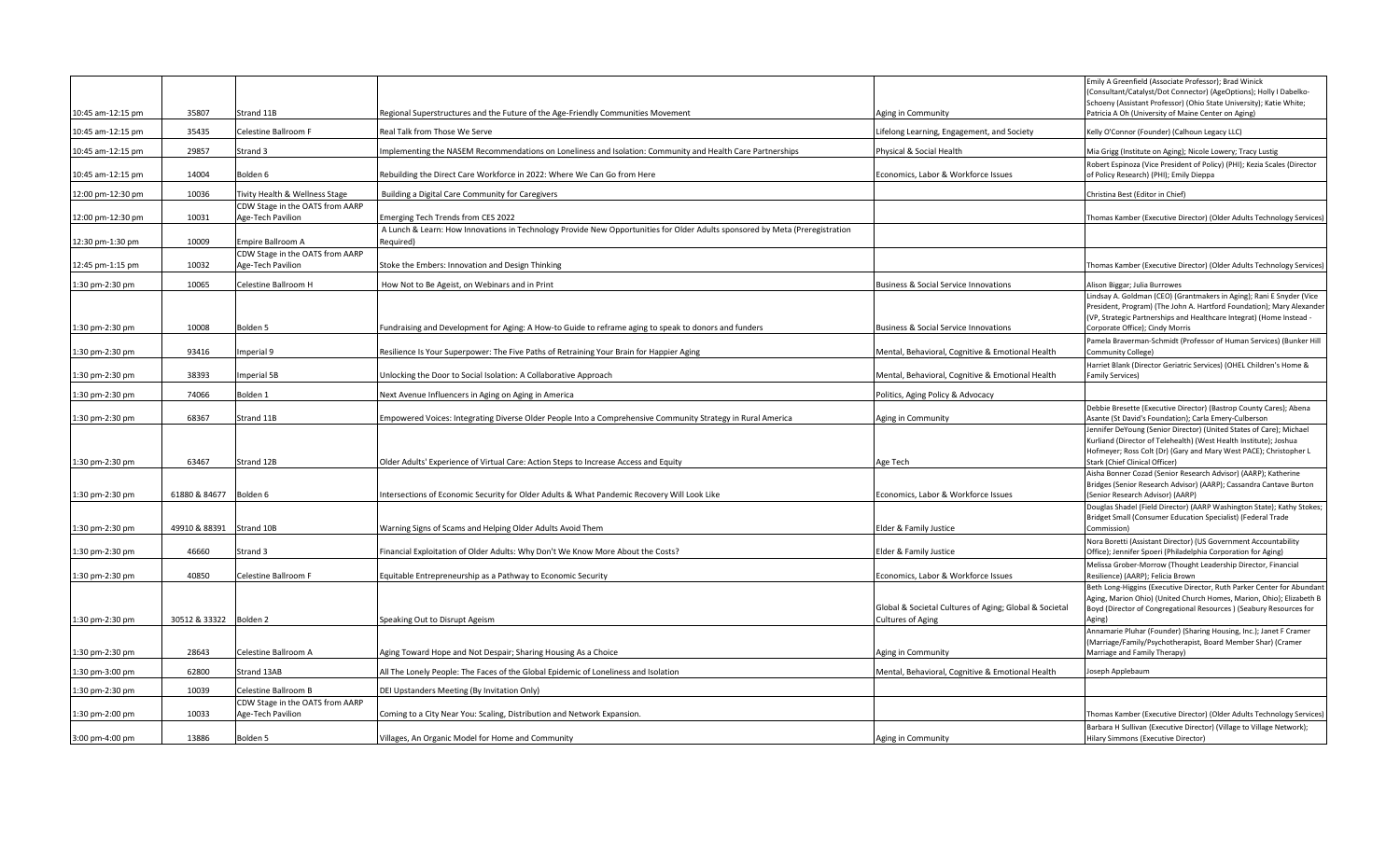| 10:45 am-12:15 pm | 35807                  | Strand 11B                                           | Regional Superstructures and the Future of the Age-Friendly Communities Movement                                                          | Aging in Community                                                                 | Emily A Greenfield (Associate Professor); Brad Winick<br>(Consultant/Catalyst/Dot Connector) (AgeOptions); Holly I Dabelko-<br>Schoeny (Assistant Professor) (Ohio State University); Katie White;<br>Patricia A Oh (University of Maine Center on Aging) |
|-------------------|------------------------|------------------------------------------------------|-------------------------------------------------------------------------------------------------------------------------------------------|------------------------------------------------------------------------------------|-----------------------------------------------------------------------------------------------------------------------------------------------------------------------------------------------------------------------------------------------------------|
| 10:45 am-12:15 pm | 35435                  | Celestine Ballroom F                                 | Real Talk from Those We Serve                                                                                                             | ifelong Learning, Engagement, and Society.                                         | Kelly O'Connor (Founder) (Calhoun Legacy LLC)                                                                                                                                                                                                             |
| 10:45 am-12:15 pm | 29857                  | Strand 3                                             | Implementing the NASEM Recommendations on Loneliness and Isolation: Community and Health Care Partnerships                                | Physical & Social Health                                                           | Mia Grigg (Institute on Aging); Nicole Lowery; Tracy Lustig                                                                                                                                                                                               |
| 10:45 am-12:15 pm | 14004                  | Bolden 6                                             | Rebuilding the Direct Care Workforce in 2022: Where We Can Go from Here                                                                   | Economics, Labor & Workforce Issues                                                | Robert Espinoza (Vice President of Policy) (PHI); Kezia Scales (Director<br>of Policy Research) (PHI); Emily Dieppa                                                                                                                                       |
| 12:00 pm-12:30 pm | 10036                  | Tivity Health & Wellness Stage                       | Building a Digital Care Community for Caregivers                                                                                          |                                                                                    | Christina Best (Editor in Chief)                                                                                                                                                                                                                          |
| 12:00 pm-12:30 pm | 10031                  | CDW Stage in the OATS from AARP<br>Age-Tech Pavilion | Emerging Tech Trends from CES 2022                                                                                                        |                                                                                    | [homas Kamber (Executive Director) (Older Adults Technology Services                                                                                                                                                                                      |
| 12:30 pm-1:30 pm  | 10009                  | Empire Ballroom A                                    | A Lunch & Learn: How Innovations in Technology Provide New Opportunities for Older Adults sponsored by Meta (Preregistration<br>Required) |                                                                                    |                                                                                                                                                                                                                                                           |
| 12:45 pm-1:15 pm  | 10032                  | CDW Stage in the OATS from AARP<br>Age-Tech Pavilion | Stoke the Embers: Innovation and Design Thinking                                                                                          |                                                                                    | [homas Kamber (Executive Director) (Older Adults Technology Services)                                                                                                                                                                                     |
| 1:30 pm-2:30 pm   | 10065                  | Celestine Ballroom H                                 | How Not to Be Ageist, on Webinars and in Print                                                                                            | Business & Social Service Innovations                                              | Alison Biggar; Julia Burrowes                                                                                                                                                                                                                             |
| 1:30 pm-2:30 pm   | 10008                  | Bolden <sub>5</sub>                                  | Fundraising and Development for Aging: A How-to Guide to reframe aging to speak to donors and funders                                     | <b>Business &amp; Social Service Innovations</b>                                   | Lindsay A. Goldman (CEO) (Grantmakers in Aging); Rani E Snyder (Vice<br>President, Program) (The John A. Hartford Foundation); Mary Alexander<br>(VP, Strategic Partnerships and Healthcare Integrat) (Home Instead -<br>Corporate Office); Cindy Morris  |
| 1:30 pm-2:30 pm   | 93416                  | mperial 9                                            | Resilience Is Your Superpower: The Five Paths of Retraining Your Brain for Happier Aging                                                  | Mental, Behavioral, Cognitive & Emotional Health                                   | Pamela Braverman-Schmidt (Professor of Human Services) (Bunker Hill<br>Community College)                                                                                                                                                                 |
| 1:30 pm-2:30 pm   | 38393                  | <b>Imperial 5B</b>                                   | Unlocking the Door to Social Isolation: A Collaborative Approach                                                                          | Mental, Behavioral, Cognitive & Emotional Health                                   | Harriet Blank (Director Geriatric Services) (OHEL Children's Home &<br><b>Family Services)</b>                                                                                                                                                            |
| 1:30 pm-2:30 pm   | 74066                  | Bolden <sub>1</sub>                                  | Next Avenue Influencers in Aging on Aging in America                                                                                      | Politics, Aging Policy & Advocacy                                                  |                                                                                                                                                                                                                                                           |
| 1:30 pm-2:30 pm   | 68367                  | Strand 11B                                           | Impowered Voices: Integrating Diverse Older People Into a Comprehensive Community Strategy in Rural America                               | Aging in Community                                                                 | Debbie Bresette (Executive Director) (Bastrop County Cares); Abena<br>Asante (St David's Foundation); Carla Emery-Culberson                                                                                                                               |
| 1:30 pm-2:30 pm   | 63467                  | Strand 12B                                           | Older Adults' Experience of Virtual Care: Action Steps to Increase Access and Equity                                                      | Age Tech                                                                           | Jennifer DeYoung (Senior Director) (United States of Care); Michael<br>Kurliand (Director of Telehealth) (West Health Institute); Joshua<br>Hofmeyer; Ross Colt (Dr) (Gary and Mary West PACE); Christopher L<br>Stark (Chief Clinical Officer)           |
| 1:30 pm-2:30 pm   | 61880 & 84677 Bolden 6 |                                                      | Intersections of Economic Security for Older Adults & What Pandemic Recovery Will Look Like                                               | Economics, Labor & Workforce Issues                                                | Aisha Bonner Cozad (Senior Research Advisor) (AARP); Katherine<br>Bridges (Senior Research Advisor) (AARP); Cassandra Cantave Burton<br>(Senior Research Advisor) (AARP)                                                                                  |
|                   |                        |                                                      |                                                                                                                                           |                                                                                    | Douglas Shadel (Field Director) (AARP Washington State); Kathy Stokes;<br>Bridget Small (Consumer Education Specialist) (Federal Trade                                                                                                                    |
| 1:30 pm-2:30 pm   | 49910 & 88391          | Strand 10B                                           | Warning Signs of Scams and Helping Older Adults Avoid Them                                                                                | Elder & Family Justice                                                             | Commission)<br>Nora Boretti (Assistant Director) (US Government Accountability                                                                                                                                                                            |
| 1:30 pm-2:30 pm   | 46660                  | Strand 3                                             | Financial Exploitation of Older Adults: Why Don't We Know More About the Costs?                                                           | Elder & Family Justice                                                             | Office); Jennifer Spoeri (Philadelphia Corporation for Aging)                                                                                                                                                                                             |
| 1:30 pm-2:30 pm   | 40850                  | Celestine Ballroom F                                 | Equitable Entrepreneurship as a Pathway to Economic Security                                                                              | Economics, Labor & Workforce Issues                                                | Melissa Grober-Morrow (Thought Leadership Director, Financial<br>Resilience) (AARP); Felicia Brown                                                                                                                                                        |
| 1:30 pm-2:30 pm   | 30512 & 33322 Bolden 2 |                                                      | Speaking Out to Disrupt Ageism                                                                                                            | Global & Societal Cultures of Aging; Global & Societal<br><b>Cultures of Aging</b> | Beth Long-Higgins (Executive Director, Ruth Parker Center for Abundant<br>Aging, Marion Ohio) (United Church Homes, Marion, Ohio); Elizabeth B<br>Boyd (Director of Congregational Resources) (Seabury Resources for<br>Aging)                            |
| 1:30 pm-2:30 pm   | 28643                  | Celestine Ballroom A                                 | Aging Toward Hope and Not Despair; Sharing Housing As a Choice                                                                            | Aging in Community                                                                 | Annamarie Pluhar (Founder) (Sharing Housing, Inc.); Janet F Cramer<br>(Marriage/Family/Psychotherapist, Board Member Shar) (Cramer<br>Marriage and Family Therapy)                                                                                        |
| 1:30 pm-3:00 pm   | 62800                  | Strand 13AB                                          | All The Lonely People: The Faces of the Global Epidemic of Loneliness and Isolation                                                       | Mental, Behavioral, Cognitive & Emotional Health                                   | Joseph Applebaum                                                                                                                                                                                                                                          |
| 1:30 pm-2:30 pm   | 10039                  | Celestine Ballroom B                                 | DEI Upstanders Meeting (By Invitation Only)                                                                                               |                                                                                    |                                                                                                                                                                                                                                                           |
| 1:30 pm-2:00 pm   | 10033                  | CDW Stage in the OATS from AARP<br>Age-Tech Pavilion | Coming to a City Near You: Scaling, Distribution and Network Expansion.                                                                   |                                                                                    | Thomas Kamber (Executive Director) (Older Adults Technology Services)                                                                                                                                                                                     |
| 3:00 pm-4:00 pm   | 13886                  | Bolden <sub>5</sub>                                  | Villages, An Organic Model for Home and Community                                                                                         | Aging in Community                                                                 | Barbara H Sullivan (Executive Director) (Village to Village Network);<br>Hilary Simmons (Executive Director)                                                                                                                                              |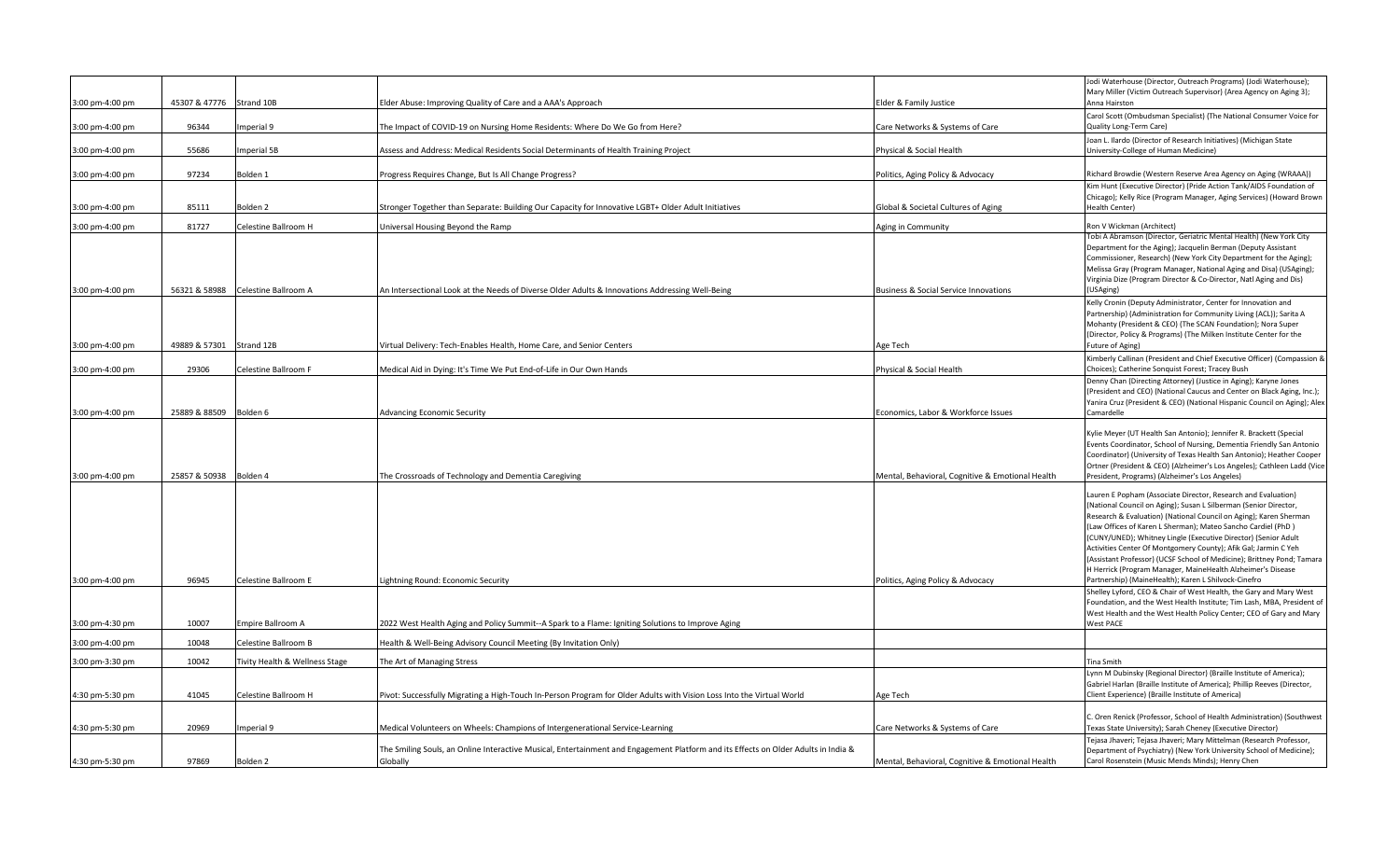|                 |               |                                |                                                                                                                                                |                                                  | Jodi Waterhouse (Director, Outreach Programs) (Jodi Waterhouse);<br>Mary Miller (Victim Outreach Supervisor) (Area Agency on Aging 3);                                                                                                                                                                                                                                                                                                                                                                                                                                                                                                                                             |
|-----------------|---------------|--------------------------------|------------------------------------------------------------------------------------------------------------------------------------------------|--------------------------------------------------|------------------------------------------------------------------------------------------------------------------------------------------------------------------------------------------------------------------------------------------------------------------------------------------------------------------------------------------------------------------------------------------------------------------------------------------------------------------------------------------------------------------------------------------------------------------------------------------------------------------------------------------------------------------------------------|
| 3:00 pm-4:00 pm | 45307 & 47776 | Strand 10B                     | Elder Abuse: Improving Quality of Care and a AAA's Approach                                                                                    | Elder & Family Justice                           | Anna Hairston                                                                                                                                                                                                                                                                                                                                                                                                                                                                                                                                                                                                                                                                      |
| 3:00 pm-4:00 pm | 96344         | mperial 9                      | The Impact of COVID-19 on Nursing Home Residents: Where Do We Go from Here?                                                                    | Care Networks & Systems of Care                  | Carol Scott (Ombudsman Specialist) (The National Consumer Voice for<br>Quality Long-Term Care)                                                                                                                                                                                                                                                                                                                                                                                                                                                                                                                                                                                     |
| 3:00 pm-4:00 pm | 55686         | mperial 5B                     | Assess and Address: Medical Residents Social Determinants of Health Training Project                                                           | Physical & Social Health                         | Joan L. Ilardo (Director of Research Initiatives) (Michigan State<br>University-College of Human Medicine)                                                                                                                                                                                                                                                                                                                                                                                                                                                                                                                                                                         |
| 3:00 pm-4:00 pm | 97234         | Bolden 1                       | Progress Requires Change, But Is All Change Progress?                                                                                          | Politics, Aging Policy & Advocacy                | Richard Browdie (Western Reserve Area Agency on Aging (WRAAA))                                                                                                                                                                                                                                                                                                                                                                                                                                                                                                                                                                                                                     |
| 3:00 pm-4:00 pm | 85111         | Bolden 2                       | Stronger Together than Separate: Building Our Capacity for Innovative LGBT+ Older Adult Initiatives                                            | Global & Societal Cultures of Aging              | Kim Hunt (Executive Director) (Pride Action Tank/AIDS Foundation of<br>Chicago); Kelly Rice (Program Manager, Aging Services) (Howard Brown<br>Health Center)                                                                                                                                                                                                                                                                                                                                                                                                                                                                                                                      |
| 3:00 pm-4:00 pm | 81727         | Celestine Ballroom H           | <b>Jniversal Housing Beyond the Ramp</b>                                                                                                       | Aging in Community                               | Ron V Wickman (Architect)                                                                                                                                                                                                                                                                                                                                                                                                                                                                                                                                                                                                                                                          |
| 3:00 pm-4:00 pm | 56321 & 58988 | Celestine Ballroom A           | An Intersectional Look at the Needs of Diverse Older Adults & Innovations Addressing Well-Being                                                | <b>Business &amp; Social Service Innovations</b> | Tobi A Abramson (Director, Geriatric Mental Health) (New York City<br>Department for the Aging); Jacquelin Berman (Deputy Assistant<br>Commissioner, Research) (New York City Department for the Aging);<br>Melissa Gray (Program Manager, National Aging and Disa) (USAging);<br>Virginia Dize (Program Director & Co-Director, Natl Aging and Dis)<br>(USAging)                                                                                                                                                                                                                                                                                                                  |
| 3:00 pm-4:00 pm | 49889 & 57301 | Strand 12B                     | Virtual Delivery: Tech-Enables Health, Home Care, and Senior Centers                                                                           | Age Tech                                         | Kelly Cronin (Deputy Administrator, Center for Innovation and<br>Partnership) (Administration for Community Living (ACL)); Sarita A<br>Mohanty (President & CEO) (The SCAN Foundation); Nora Super<br>(Director, Policy & Programs) (The Milken Institute Center for the<br>Future of Aging)                                                                                                                                                                                                                                                                                                                                                                                       |
|                 |               |                                |                                                                                                                                                |                                                  | Kimberly Callinan (President and Chief Executive Officer) (Compassion &                                                                                                                                                                                                                                                                                                                                                                                                                                                                                                                                                                                                            |
| 3:00 pm-4:00 pm | 29306         | Celestine Ballroom F           | Medical Aid in Dying: It's Time We Put End-of-Life in Our Own Hands                                                                            | Physical & Social Health                         | Choices); Catherine Sonquist Forest; Tracey Bush                                                                                                                                                                                                                                                                                                                                                                                                                                                                                                                                                                                                                                   |
| 3:00 pm-4:00 pm | 25889 & 88509 | Bolden 6                       | <b>Advancing Economic Security</b>                                                                                                             | Economics, Labor & Workforce Issues              | Denny Chan (Directing Attorney) (Justice in Aging); Karyne Jones<br>(President and CEO) (National Caucus and Center on Black Aging, Inc.);<br>Yanira Cruz (President & CEO) (National Hispanic Council on Aging); Alex<br>Camardelle                                                                                                                                                                                                                                                                                                                                                                                                                                               |
|                 |               |                                |                                                                                                                                                |                                                  |                                                                                                                                                                                                                                                                                                                                                                                                                                                                                                                                                                                                                                                                                    |
| 3:00 pm-4:00 pm | 25857 & 50938 | Bolden 4                       | The Crossroads of Technology and Dementia Caregiving                                                                                           | Mental, Behavioral, Cognitive & Emotional Health | Kylie Meyer (UT Health San Antonio); Jennifer R. Brackett (Special<br>Events Coordinator, School of Nursing, Dementia Friendly San Antonio<br>Coordinator) (University of Texas Health San Antonio); Heather Cooper<br>Ortner (President & CEO) (Alzheimer's Los Angeles); Cathleen Ladd (Vice<br>President, Programs) (Alzheimer's Los Angeles)                                                                                                                                                                                                                                                                                                                                   |
| 3:00 pm-4:00 pm | 96945         | Celestine Ballroom E           | Lightning Round: Economic Security                                                                                                             | Politics, Aging Policy & Advocacy                | Lauren E Popham (Associate Director, Research and Evaluation)<br>(National Council on Aging); Susan L Silberman (Senior Director,<br>Research & Evaluation) (National Council on Aging); Karen Sherman<br>(Law Offices of Karen L Sherman); Mateo Sancho Cardiel (PhD)<br>(CUNY/UNED); Whitney Lingle (Executive Director) (Senior Adult<br>Activities Center Of Montgomery County); Afik Gal; Jarmin C Yeh<br>(Assistant Professor) (UCSF School of Medicine); Brittney Pond; Tamara<br>H Herrick (Program Manager, MaineHealth Alzheimer's Disease<br>Partnership) (MaineHealth); Karen L Shilvock-Cinefro<br>Shelley Lyford, CEO & Chair of West Health, the Gary and Mary West |
| 3:00 pm-4:30 pm | 10007         | Empire Ballroom A              | 2022 West Health Aging and Policy Summit--A Spark to a Flame: Igniting Solutions to Improve Aging                                              |                                                  | Foundation, and the West Health Institute; Tim Lash, MBA, President of<br>West Health and the West Health Policy Center; CEO of Gary and Mary<br><b>West PACE</b>                                                                                                                                                                                                                                                                                                                                                                                                                                                                                                                  |
| 3:00 pm-4:00 pm | 10048         | Celestine Ballroom B           | Health & Well-Being Advisory Council Meeting (By Invitation Only)                                                                              |                                                  |                                                                                                                                                                                                                                                                                                                                                                                                                                                                                                                                                                                                                                                                                    |
| 3:00 pm-3:30 pm | 10042         | Tivity Health & Wellness Stage | The Art of Managing Stress                                                                                                                     |                                                  | <b>Tina Smith</b>                                                                                                                                                                                                                                                                                                                                                                                                                                                                                                                                                                                                                                                                  |
| 4:30 pm-5:30 pm | 41045         | Celestine Ballroom H           | Pivot: Successfully Migrating a High-Touch In-Person Program for Older Adults with Vision Loss Into the Virtual World                          | Age Tech                                         | Lynn M Dubinsky (Regional Director) (Braille Institute of America);<br>Gabriel Harlan (Braille Institute of America); Phillip Reeves (Director,<br>Client Experience) (Braille Institute of America)                                                                                                                                                                                                                                                                                                                                                                                                                                                                               |
| 4:30 pm-5:30 pm | 20969         | mperial 9                      | Medical Volunteers on Wheels: Champions of Intergenerational Service-Learning                                                                  | Care Networks & Systems of Care                  | C. Oren Renick (Professor, School of Health Administration) (Southwest<br>Texas State University); Sarah Cheney (Executive Director)                                                                                                                                                                                                                                                                                                                                                                                                                                                                                                                                               |
| 4:30 pm-5:30 pm | 97869         | Bolden 2                       | The Smiling Souls, an Online Interactive Musical, Entertainment and Engagement Platform and its Effects on Older Adults in India &<br>Globally | Mental, Behavioral, Cognitive & Emotional Health | Tejasa Jhaveri; Tejasa Jhaveri; Mary Mittelman (Research Professor,<br>Department of Psychiatry) (New York University School of Medicine);<br>Carol Rosenstein (Music Mends Minds); Henry Chen                                                                                                                                                                                                                                                                                                                                                                                                                                                                                     |
|                 |               |                                |                                                                                                                                                |                                                  |                                                                                                                                                                                                                                                                                                                                                                                                                                                                                                                                                                                                                                                                                    |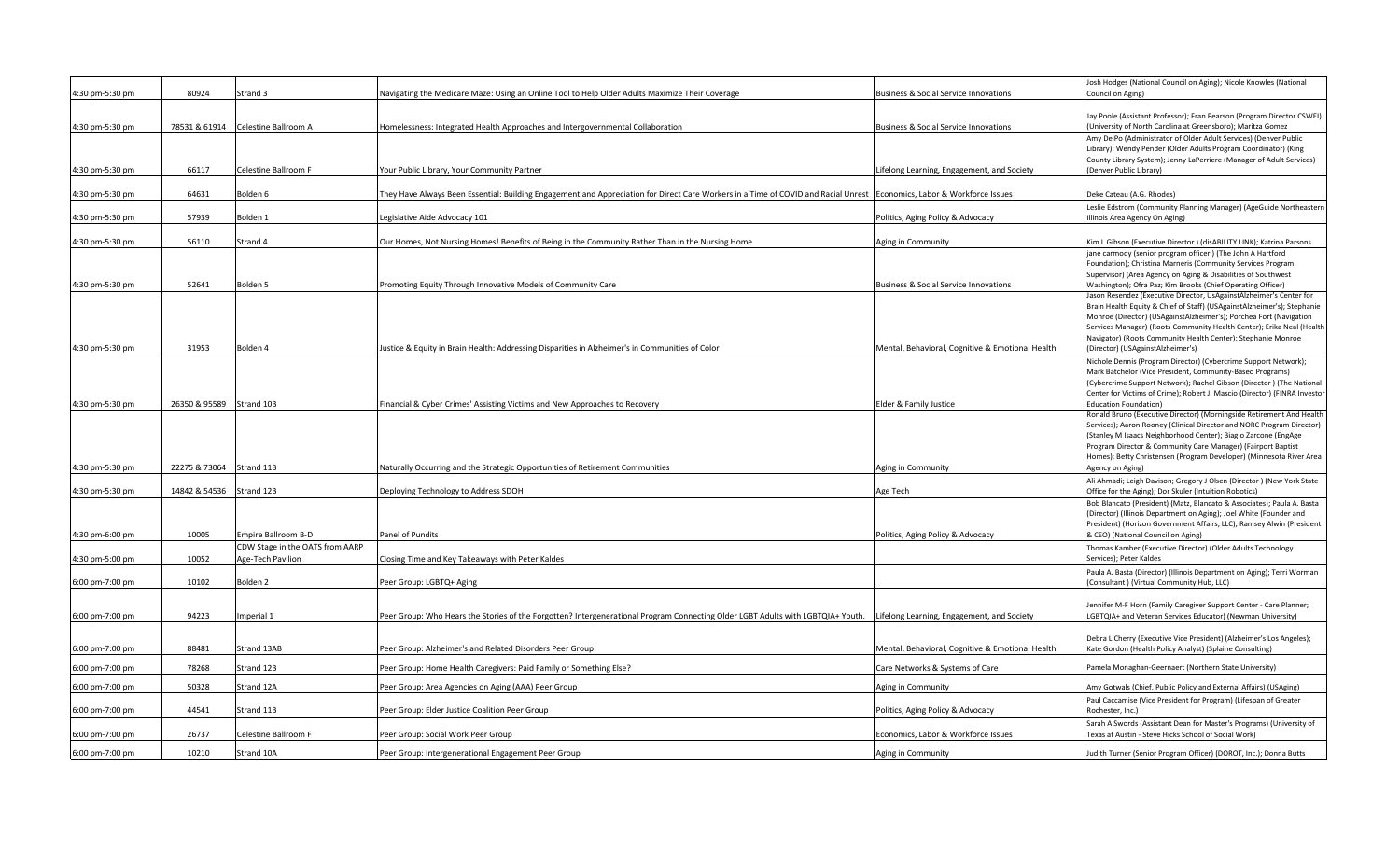| 4:30 pm-5:30 pm | 80924         | Strand 3                        | Navigating the Medicare Maze: Using an Online Tool to Help Older Adults Maximize Their Coverage                                                                        | <b>Business &amp; Social Service Innovations</b> | Josh Hodges (National Council on Aging); Nicole Knowles (National<br>Council on Aging)                                                  |
|-----------------|---------------|---------------------------------|------------------------------------------------------------------------------------------------------------------------------------------------------------------------|--------------------------------------------------|-----------------------------------------------------------------------------------------------------------------------------------------|
|                 |               |                                 |                                                                                                                                                                        |                                                  |                                                                                                                                         |
|                 |               |                                 |                                                                                                                                                                        |                                                  | Jay Poole (Assistant Professor); Fran Pearson (Program Director CSWEI)                                                                  |
| 4:30 pm-5:30 pm | 78531 & 61914 | Celestine Ballroom A            | Homelessness: Integrated Health Approaches and Intergovernmental Collaboration                                                                                         | <b>Business &amp; Social Service Innovations</b> | (University of North Carolina at Greensboro); Maritza Gomez                                                                             |
|                 |               |                                 |                                                                                                                                                                        |                                                  | Amy DelPo (Administrator of Older Adult Services) (Denver Public                                                                        |
|                 |               |                                 |                                                                                                                                                                        |                                                  | Library); Wendy Pender (Older Adults Program Coordinator) (King<br>County Library System); Jenny LaPerriere (Manager of Adult Services) |
| 4:30 pm-5:30 pm | 66117         | Celestine Ballroom F            | Your Public Library, Your Community Partner                                                                                                                            | Lifelong Learning, Engagement, and Society       | (Denver Public Library)                                                                                                                 |
|                 |               |                                 |                                                                                                                                                                        |                                                  |                                                                                                                                         |
| 4:30 pm-5:30 pm | 64631         | Bolden 6                        | They Have Always Been Essential: Building Engagement and Appreciation for Direct Care Workers in a Time of COVID and Racial Unrest Economics, Labor & Workforce Issues |                                                  | Deke Cateau (A.G. Rhodes)                                                                                                               |
|                 |               |                                 |                                                                                                                                                                        |                                                  | Leslie Edstrom (Community Planning Manager) (AgeGuide Northeastern                                                                      |
| 4:30 pm-5:30 pm | 57939         | Bolden 1                        | Legislative Aide Advocacy 101                                                                                                                                          | Politics, Aging Policy & Advocacy                | Illinois Area Agency On Aging)                                                                                                          |
| 4:30 pm-5:30 pm | 56110         | Strand 4                        | Our Homes, Not Nursing Homes! Benefits of Being in the Community Rather Than in the Nursing Home                                                                       | Aging in Community                               | Kim L Gibson (Executive Director) (disABILITY LINK); Katrina Parsons                                                                    |
|                 |               |                                 |                                                                                                                                                                        |                                                  | jane carmody (senior program officer) (The John A Hartford                                                                              |
|                 |               |                                 |                                                                                                                                                                        |                                                  | Foundation); Christina Marneris (Community Services Program                                                                             |
|                 |               |                                 |                                                                                                                                                                        |                                                  | Supervisor) (Area Agency on Aging & Disabilities of Southwest                                                                           |
| 4:30 pm-5:30 pm | 52641         | Bolden 5                        | Promoting Equity Through Innovative Models of Community Care                                                                                                           | <b>Business &amp; Social Service Innovations</b> | Washington); Ofra Paz; Kim Brooks (Chief Operating Officer)                                                                             |
|                 |               |                                 |                                                                                                                                                                        |                                                  | Jason Resendez (Executive Director, UsAgainstAlzheimer's Center for                                                                     |
|                 |               |                                 |                                                                                                                                                                        |                                                  | Brain Health Equity & Chief of Staff) (USAgainstAlzheimer's); Stephanie                                                                 |
|                 |               |                                 |                                                                                                                                                                        |                                                  | Monroe (Director) (USAgainstAlzheimer's); Porchea Fort (Navigation                                                                      |
|                 |               |                                 |                                                                                                                                                                        |                                                  | Services Manager) (Roots Community Health Center); Erika Neal (Health                                                                   |
|                 |               |                                 |                                                                                                                                                                        |                                                  | Navigator) (Roots Community Health Center); Stephanie Monroe                                                                            |
| 4:30 pm-5:30 pm | 31953         | Bolden 4                        | Justice & Equity in Brain Health: Addressing Disparities in Alzheimer's in Communities of Color                                                                        | Mental, Behavioral, Cognitive & Emotional Health | (Director) (USAgainstAlzheimer's)                                                                                                       |
|                 |               |                                 |                                                                                                                                                                        |                                                  | Nichole Dennis (Program Director) (Cybercrime Support Network);                                                                         |
|                 |               |                                 |                                                                                                                                                                        |                                                  | Mark Batchelor (Vice President, Community-Based Programs)                                                                               |
|                 |               |                                 |                                                                                                                                                                        |                                                  | (Cybercrime Support Network); Rachel Gibson (Director) (The National                                                                    |
|                 |               |                                 |                                                                                                                                                                        |                                                  | Center for Victims of Crime); Robert J. Mascio (Director) (FINRA Investor                                                               |
| 4:30 pm-5:30 pm | 26350 & 95589 | Strand 10B                      | Financial & Cyber Crimes' Assisting Victims and New Approaches to Recovery                                                                                             | Elder & Family Justice                           | <b>Education Foundation)</b>                                                                                                            |
|                 |               |                                 |                                                                                                                                                                        |                                                  | Ronald Bruno (Executive Director) (Morningside Retirement And Health                                                                    |
|                 |               |                                 |                                                                                                                                                                        |                                                  | Services); Aaron Rooney (Clinical Director and NORC Program Director)                                                                   |
|                 |               |                                 |                                                                                                                                                                        |                                                  | (Stanley M Isaacs Neighborhood Center); Biagio Zarcone (EngAge                                                                          |
|                 |               |                                 |                                                                                                                                                                        |                                                  | Program Director & Community Care Manager) (Fairport Baptist                                                                            |
|                 |               |                                 |                                                                                                                                                                        |                                                  | Homes); Betty Christensen (Program Developer) (Minnesota River Area                                                                     |
| 4:30 pm-5:30 pm | 22275 & 73064 | Strand 11B                      | Naturally Occurring and the Strategic Opportunities of Retirement Communities                                                                                          | Aging in Community                               | Agency on Aging)                                                                                                                        |
|                 |               |                                 |                                                                                                                                                                        |                                                  | Ali Ahmadi; Leigh Davison; Gregory J Olsen (Director) (New York State                                                                   |
| 4:30 pm-5:30 pm | 14842 & 54536 | Strand 12B                      | Deploying Technology to Address SDOH                                                                                                                                   | Age Tech                                         | Office for the Aging); Dor Skuler (Intuition Robotics)                                                                                  |
|                 |               |                                 |                                                                                                                                                                        |                                                  | Bob Blancato (President) (Matz, Blancato & Associates); Paula A. Basta                                                                  |
|                 |               |                                 |                                                                                                                                                                        |                                                  | (Director) (Illinois Department on Aging); Joel White (Founder and                                                                      |
|                 |               |                                 |                                                                                                                                                                        |                                                  | President) (Horizon Government Affairs, LLC); Ramsey Alwin (President                                                                   |
| 4:30 pm-6:00 pm | 10005         | Empire Ballroom B-D             | Panel of Pundits                                                                                                                                                       | Politics, Aging Policy & Advocacy                | & CEO) (National Council on Aging)                                                                                                      |
|                 |               | CDW Stage in the OATS from AARP |                                                                                                                                                                        |                                                  | Thomas Kamber (Executive Director) (Older Adults Technology                                                                             |
| 4:30 pm-5:00 pm | 10052         | Age-Tech Pavilion               | Closing Time and Key Takeaways with Peter Kaldes                                                                                                                       |                                                  | Services); Peter Kaldes                                                                                                                 |
|                 |               |                                 |                                                                                                                                                                        |                                                  | Paula A. Basta (Director) (Illinois Department on Aging); Terri Worman                                                                  |
| 6:00 pm-7:00 pm | 10102         | Bolden 2                        | Peer Group: LGBTQ+ Aging                                                                                                                                               |                                                  | Consultant ) (Virtual Community Hub, LLC)                                                                                               |
|                 |               |                                 |                                                                                                                                                                        |                                                  |                                                                                                                                         |
|                 |               |                                 |                                                                                                                                                                        |                                                  | Jennifer M-F Horn (Family Caregiver Support Center - Care Planner;                                                                      |
| 6:00 pm-7:00 pm | 94223         | Imperial 1                      | Peer Group: Who Hears the Stories of the Forgotten? Intergenerational Program Connecting Older LGBT Adults with LGBTQIA+ Youth.                                        | Lifelong Learning, Engagement, and Society       | LGBTQIA+ and Veteran Services Educator) (Newman University)                                                                             |
|                 |               |                                 |                                                                                                                                                                        |                                                  |                                                                                                                                         |
|                 |               |                                 |                                                                                                                                                                        |                                                  | Debra L Cherry (Executive Vice President) (Alzheimer's Los Angeles);                                                                    |
| 6:00 pm-7:00 pm | 88481         | Strand 13AB                     | Peer Group: Alzheimer's and Related Disorders Peer Group                                                                                                               | Mental, Behavioral, Cognitive & Emotional Health | Kate Gordon (Health Policy Analyst) (Splaine Consulting)                                                                                |
| 6:00 pm-7:00 pm | 78268         | Strand 12B                      | Peer Group: Home Health Caregivers: Paid Family or Something Else?                                                                                                     | Care Networks & Systems of Care                  | Pamela Monaghan-Geernaert (Northern State University)                                                                                   |
| 6:00 pm-7:00 pm | 50328         | Strand 12A                      | Peer Group: Area Agencies on Aging (AAA) Peer Group                                                                                                                    | Aging in Community                               | Amy Gotwals (Chief, Public Policy and External Affairs) (USAging)                                                                       |
|                 |               |                                 |                                                                                                                                                                        |                                                  | Paul Caccamise (Vice President for Program) (Lifespan of Greater                                                                        |
| 6:00 pm-7:00 pm | 44541         | Strand 11B                      | Peer Group: Elder Justice Coalition Peer Group                                                                                                                         | Politics, Aging Policy & Advocacy                | Rochester, Inc.)                                                                                                                        |
|                 |               |                                 |                                                                                                                                                                        |                                                  | Sarah A Swords (Assistant Dean for Master's Programs) (University of                                                                    |
| 6:00 pm-7:00 pm | 26737         | Celestine Ballroom F            | Peer Group: Social Work Peer Group                                                                                                                                     | Economics, Labor & Workforce Issues              | Texas at Austin - Steve Hicks School of Social Work)                                                                                    |
|                 |               |                                 |                                                                                                                                                                        |                                                  |                                                                                                                                         |
| 6:00 pm-7:00 pm | 10210         | Strand 10A                      | Peer Group: Intergenerational Engagement Peer Group                                                                                                                    | Aging in Community                               | Judith Turner (Senior Program Officer) (DOROT, Inc.); Donna Butts                                                                       |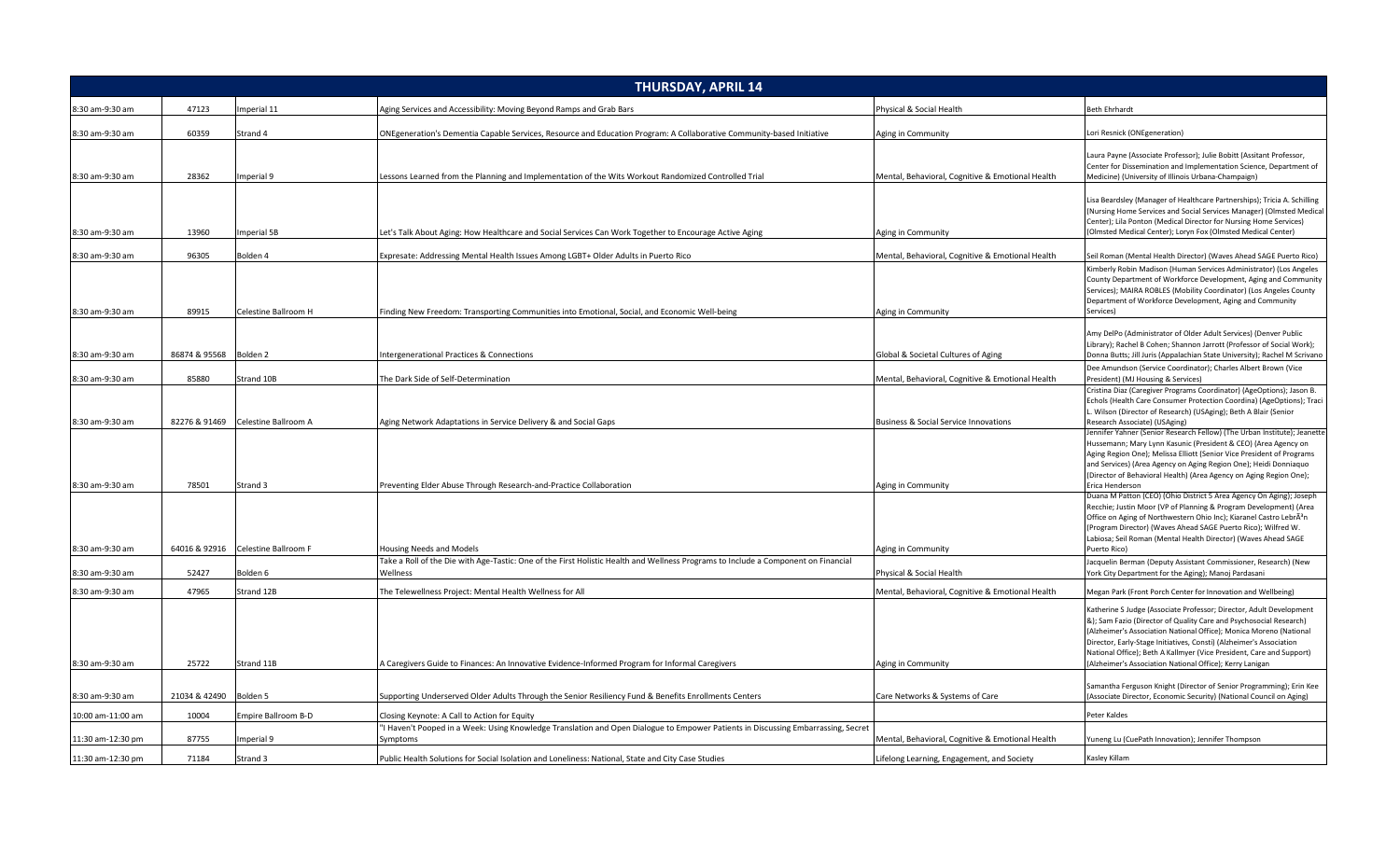| <b>THURSDAY, APRIL 14</b>          |                |                                    |                                                                                                                                                             |                                                                        |                                                                                                                                                                                                                                                                                                                                                                                                                                                                                            |  |
|------------------------------------|----------------|------------------------------------|-------------------------------------------------------------------------------------------------------------------------------------------------------------|------------------------------------------------------------------------|--------------------------------------------------------------------------------------------------------------------------------------------------------------------------------------------------------------------------------------------------------------------------------------------------------------------------------------------------------------------------------------------------------------------------------------------------------------------------------------------|--|
| 8:30 am-9:30 am                    | 47123          | mperial 11                         | Aging Services and Accessibility: Moving Beyond Ramps and Grab Bars                                                                                         | Physical & Social Health                                               | <b>Beth Ehrhardt</b>                                                                                                                                                                                                                                                                                                                                                                                                                                                                       |  |
| 8:30 am-9:30 am                    | 60359          | Strand 4                           | ONEgeneration's Dementia Capable Services, Resource and Education Program: A Collaborative Community-based Initiative                                       | Aging in Community                                                     | Lori Resnick (ONEgeneration)                                                                                                                                                                                                                                                                                                                                                                                                                                                               |  |
| 8:30 am-9:30 am                    | 28362          | mperial 9                          | Lessons Learned from the Planning and Implementation of the Wits Workout Randomized Controlled Trial                                                        | Mental, Behavioral, Cognitive & Emotional Health                       | Laura Payne (Associate Professor); Julie Bobitt (Assitant Professor,<br>Center for Dissemination and Implementation Science, Department of<br>Medicine) (University of Illinois Urbana-Champaign)                                                                                                                                                                                                                                                                                          |  |
| 8:30 am-9:30 am                    | 13960          | mperial 5B                         | et's Talk About Aging: How Healthcare and Social Services Can Work Together to Encourage Active Aging                                                       | Aging in Community                                                     | Lisa Beardsley (Manager of Healthcare Partnerships); Tricia A. Schilling<br>(Nursing Home Services and Social Services Manager) (Olmsted Medical<br>Center); Lila Ponton (Medical Director for Nursing Home Services)<br>(Olmsted Medical Center); Loryn Fox (Olmsted Medical Center)                                                                                                                                                                                                      |  |
| 8:30 am-9:30 am                    | 96305          | Bolden 4                           | Expresate: Addressing Mental Health Issues Among LGBT+ Older Adults in Puerto Rico                                                                          | Mental, Behavioral, Cognitive & Emotional Health                       | Seil Roman (Mental Health Director) (Waves Ahead SAGE Puerto Rico)                                                                                                                                                                                                                                                                                                                                                                                                                         |  |
|                                    |                |                                    |                                                                                                                                                             |                                                                        | Kimberly Robin Madison (Human Services Administrator) (Los Angeles<br>County Department of Workforce Development, Aging and Community<br>Services); MAIRA ROBLES (Mobility Coordinator) (Los Angeles County<br>Department of Workforce Development, Aging and Community                                                                                                                                                                                                                    |  |
| 8:30 am-9:30 am                    | 89915          | Celestine Ballroom H               | Finding New Freedom: Transporting Communities into Emotional, Social, and Economic Well-being                                                               | Aging in Community                                                     | Services)                                                                                                                                                                                                                                                                                                                                                                                                                                                                                  |  |
| 8:30 am-9:30 am                    | 86874 & 95568  | Bolden <sub>2</sub>                | ntergenerational Practices & Connections                                                                                                                    | Global & Societal Cultures of Aging                                    | Amy DelPo (Administrator of Older Adult Services) (Denver Public<br>Library); Rachel B Cohen; Shannon Jarrott (Professor of Social Work);<br>Donna Butts; Jill Juris (Appalachian State University); Rachel M Scrivano                                                                                                                                                                                                                                                                     |  |
|                                    |                |                                    |                                                                                                                                                             |                                                                        | Dee Amundson (Service Coordinator); Charles Albert Brown (Vice                                                                                                                                                                                                                                                                                                                                                                                                                             |  |
| 8:30 am-9:30 am                    | 85880          | Strand 10B                         | The Dark Side of Self-Determination                                                                                                                         | Mental, Behavioral, Cognitive & Emotional Health                       | President) (MJ Housing & Services)<br>Cristina Diaz (Caregiver Programs Coordinator) (AgeOptions); Jason B.<br>Echols (Health Care Consumer Protection Coordina) (AgeOptions); Traci<br>L. Wilson (Director of Research) (USAging); Beth A Blair (Senior                                                                                                                                                                                                                                   |  |
| 8:30 am-9:30 am                    | 82276 & 91469  | Celestine Ballroom A               | Aging Network Adaptations in Service Delivery & and Social Gaps                                                                                             | <b>Business &amp; Social Service Innovations</b>                       | Research Associate) (USAging)<br>Jennifer Yahner (Senior Research Fellow) (The Urban Institute); Jeanette<br>Hussemann; Mary Lynn Kasunic (President & CEO) (Area Agency on<br>Aging Region One); Melissa Elliott (Senior Vice President of Programs<br>and Services) (Area Agency on Aging Region One); Heidi Donniaquo<br>(Director of Behavioral Health) (Area Agency on Aging Region One);                                                                                             |  |
| 8:30 am-9:30 am                    | 78501          | Strand 3                           | Preventing Elder Abuse Through Research-and-Practice Collaboration                                                                                          | Aging in Community                                                     | Erica Henderson                                                                                                                                                                                                                                                                                                                                                                                                                                                                            |  |
| 8:30 am-9:30 am                    |                | 64016 & 92916 Celestine Ballroom F | <b>Housing Needs and Models</b>                                                                                                                             | Aging in Community                                                     | Duana M Patton (CEO) (Ohio District 5 Area Agency On Aging); Joseph<br>Recchie; Justin Moor (VP of Planning & Program Development) (Area<br>Office on Aging of Northwestern Ohio Inc); Kiaranel Castro LebrÂ <sup>3</sup> n<br>(Program Director) (Waves Ahead SAGE Puerto Rico); Wilfred W.<br>Labiosa; Seil Roman (Mental Health Director) (Waves Ahead SAGE<br>Puerto Rico)                                                                                                             |  |
|                                    |                |                                    | Take a Roll of the Die with Age-Tastic: One of the First Holistic Health and Wellness Programs to Include a Component on Financial                          |                                                                        | Jacquelin Berman (Deputy Assistant Commissioner, Research) (New                                                                                                                                                                                                                                                                                                                                                                                                                            |  |
| 8:30 am-9:30 am                    | 52427          | Bolden 6                           | Wellness                                                                                                                                                    | Physical & Social Health                                               | York City Department for the Aging); Manoj Pardasani                                                                                                                                                                                                                                                                                                                                                                                                                                       |  |
| 8:30 am-9:30 am<br>8:30 am-9:30 am | 47965<br>25722 | Strand 12B<br>Strand 11B           | The Telewellness Project: Mental Health Wellness for All<br>A Caregivers Guide to Finances: An Innovative Evidence-Informed Program for Informal Caregivers | Mental, Behavioral, Cognitive & Emotional Health<br>Aging in Community | Megan Park (Front Porch Center for Innovation and Wellbeing)<br>Katherine S Judge (Associate Professor; Director, Adult Development<br>&); Sam Fazio (Director of Quality Care and Psychosocial Research)<br>(Alzheimer's Association National Office); Monica Moreno (National<br>Director, Early-Stage Initiatives, Consti) (Alzheimer's Association<br>National Office); Beth A Kallmyer (Vice President, Care and Support)<br>(Alzheimer's Association National Office); Kerry Lanigan |  |
|                                    |                |                                    |                                                                                                                                                             |                                                                        |                                                                                                                                                                                                                                                                                                                                                                                                                                                                                            |  |
| 8:30 am-9:30 am                    | 21034 & 42490  | Bolden 5                           | Supporting Underserved Older Adults Through the Senior Resiliency Fund & Benefits Enrollments Centers                                                       | Care Networks & Systems of Care                                        | Samantha Ferguson Knight (Director of Senior Programming); Erin Kee<br>(Associate Director, Economic Security) (National Council on Aging)                                                                                                                                                                                                                                                                                                                                                 |  |
| 10:00 am-11:00 am                  | 10004          | <b>Empire Ballroom B-D</b>         | Closing Keynote: A Call to Action for Equity                                                                                                                |                                                                        | Peter Kaldes                                                                                                                                                                                                                                                                                                                                                                                                                                                                               |  |
| 11:30 am-12:30 pm                  | 87755          | mperial 9                          | I Haven't Pooped in a Week: Using Knowledge Translation and Open Dialogue to Empower Patients in Discussing Embarrassing, Secret<br>Symptoms                | Mental, Behavioral, Cognitive & Emotional Health                       | Yuneng Lu (CuePath Innovation); Jennifer Thompson                                                                                                                                                                                                                                                                                                                                                                                                                                          |  |
| 11:30 am-12:30 pm                  | 71184          | Strand 3                           | Public Health Solutions for Social Isolation and Loneliness: National, State and City Case Studies                                                          | Lifelong Learning, Engagement, and Society                             | Kasley Killam                                                                                                                                                                                                                                                                                                                                                                                                                                                                              |  |